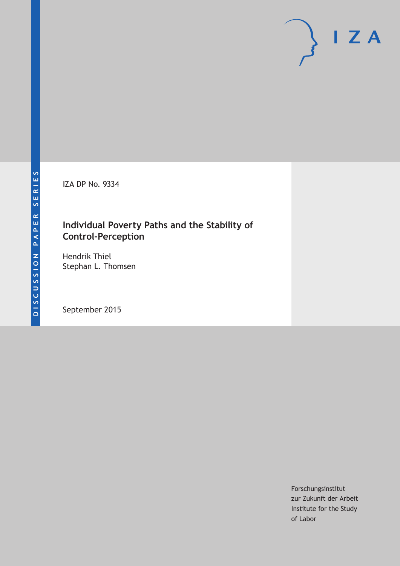IZA DP No. 9334

# **Individual Poverty Paths and the Stability of Control-Perception**

Hendrik Thiel Stephan L. Thomsen

September 2015

Forschungsinstitut zur Zukunft der Arbeit Institute for the Study of Labor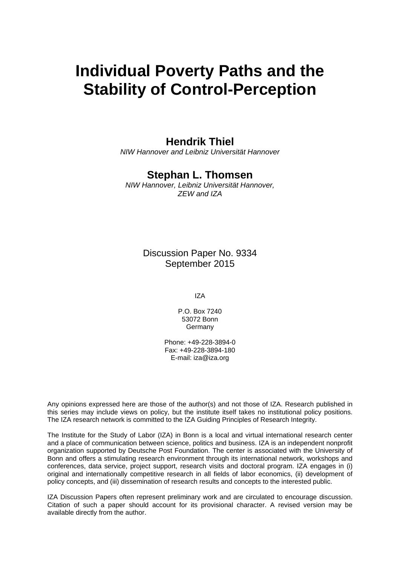# **Individual Poverty Paths and the Stability of Control-Perception**

### **Hendrik Thiel**

*NIW Hannover and Leibniz Universität Hannover* 

# **Stephan L. Thomsen**

*NIW Hannover, Leibniz Universität Hannover, ZEW and IZA* 

> Discussion Paper No. 9334 September 2015

> > IZA

P.O. Box 7240 53072 Bonn **Germany** 

Phone: +49-228-3894-0 Fax: +49-228-3894-180 E-mail: iza@iza.org

Any opinions expressed here are those of the author(s) and not those of IZA. Research published in this series may include views on policy, but the institute itself takes no institutional policy positions. The IZA research network is committed to the IZA Guiding Principles of Research Integrity.

The Institute for the Study of Labor (IZA) in Bonn is a local and virtual international research center and a place of communication between science, politics and business. IZA is an independent nonprofit organization supported by Deutsche Post Foundation. The center is associated with the University of Bonn and offers a stimulating research environment through its international network, workshops and conferences, data service, project support, research visits and doctoral program. IZA engages in (i) original and internationally competitive research in all fields of labor economics, (ii) development of policy concepts, and (iii) dissemination of research results and concepts to the interested public.

IZA Discussion Papers often represent preliminary work and are circulated to encourage discussion. Citation of such a paper should account for its provisional character. A revised version may be available directly from the author.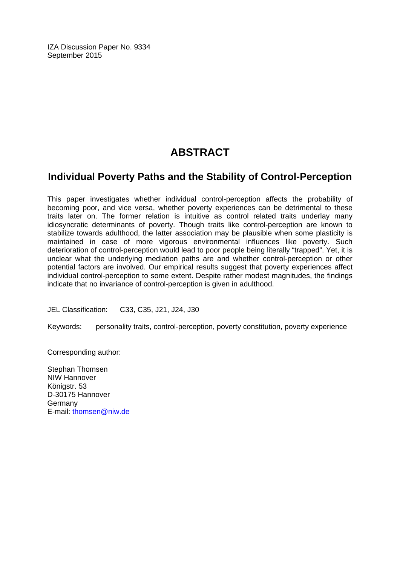IZA Discussion Paper No. 9334 September 2015

# **ABSTRACT**

### **Individual Poverty Paths and the Stability of Control-Perception**

This paper investigates whether individual control-perception affects the probability of becoming poor, and vice versa, whether poverty experiences can be detrimental to these traits later on. The former relation is intuitive as control related traits underlay many idiosyncratic determinants of poverty. Though traits like control-perception are known to stabilize towards adulthood, the latter association may be plausible when some plasticity is maintained in case of more vigorous environmental influences like poverty. Such deterioration of control-perception would lead to poor people being literally "trapped". Yet, it is unclear what the underlying mediation paths are and whether control-perception or other potential factors are involved. Our empirical results suggest that poverty experiences affect individual control-perception to some extent. Despite rather modest magnitudes, the findings indicate that no invariance of control-perception is given in adulthood.

JEL Classification: C33, C35, J21, J24, J30

Keywords: personality traits, control-perception, poverty constitution, poverty experience

Corresponding author:

Stephan Thomsen NIW Hannover Königstr. 53 D-30175 Hannover **Germany** E-mail: thomsen@niw.de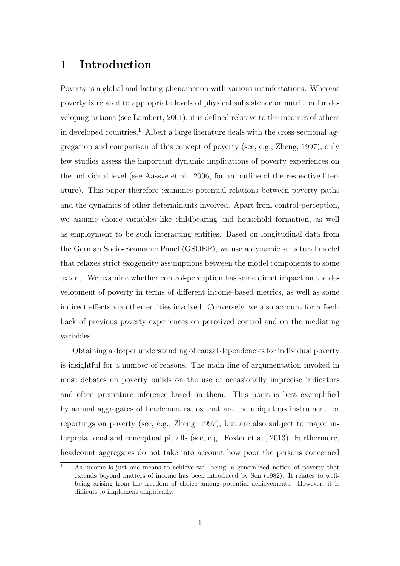### 1 Introduction

Poverty is a global and lasting phenomenon with various manifestations. Whereas poverty is related to appropriate levels of physical subsistence or nutrition for developing nations (see Lambert, 2001), it is defined relative to the incomes of others in developed countries.<sup>1</sup> Albeit a large literature deals with the cross-sectional aggregation and comparison of this concept of poverty (see, e.g., Zheng, 1997), only few studies assess the important dynamic implications of poverty experiences on the individual level (see Aassve et al., 2006, for an outline of the respective literature). This paper therefore examines potential relations between poverty paths and the dynamics of other determinants involved. Apart from control-perception, we assume choice variables like childbearing and household formation, as well as employment to be such interacting entities. Based on longitudinal data from the German Socio-Economic Panel (GSOEP), we use a dynamic structural model that relaxes strict exogeneity assumptions between the model components to some extent. We examine whether control-perception has some direct impact on the development of poverty in terms of different income-based metrics, as well as some indirect effects via other entities involved. Conversely, we also account for a feedback of previous poverty experiences on perceived control and on the mediating variables.

Obtaining a deeper understanding of causal dependencies for individual poverty is insightful for a number of reasons. The main line of argumentation invoked in most debates on poverty builds on the use of occasionally imprecise indicators and often premature inference based on them. This point is best exemplified by annual aggregates of headcount ratios that are the ubiquitous instrument for reportings on poverty (see, e.g., Zheng, 1997), but are also subject to major interpretational and conceptual pitfalls (see, e.g., Foster et al., 2013). Furthermore, headcount aggregates do not take into account how poor the persons concerned

 $\overline{1}$  As income is just one means to achieve well-being, a generalized notion of poverty that extends beyond matters of income has been introduced by Sen (1982). It relates to wellbeing arising from the freedom of choice among potential achievements. However, it is difficult to implement empirically.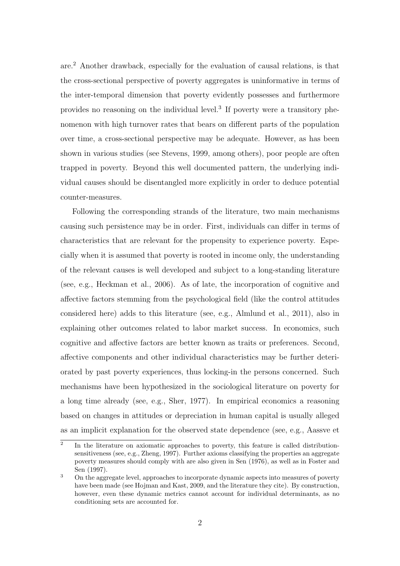are.<sup>2</sup> Another drawback, especially for the evaluation of causal relations, is that the cross-sectional perspective of poverty aggregates is uninformative in terms of the inter-temporal dimension that poverty evidently possesses and furthermore provides no reasoning on the individual level.<sup>3</sup> If poverty were a transitory phenomenon with high turnover rates that bears on different parts of the population over time, a cross-sectional perspective may be adequate. However, as has been shown in various studies (see Stevens, 1999, among others), poor people are often trapped in poverty. Beyond this well documented pattern, the underlying individual causes should be disentangled more explicitly in order to deduce potential counter-measures.

Following the corresponding strands of the literature, two main mechanisms causing such persistence may be in order. First, individuals can differ in terms of characteristics that are relevant for the propensity to experience poverty. Especially when it is assumed that poverty is rooted in income only, the understanding of the relevant causes is well developed and subject to a long-standing literature (see, e.g., Heckman et al., 2006). As of late, the incorporation of cognitive and affective factors stemming from the psychological field (like the control attitudes considered here) adds to this literature (see, e.g., Almlund et al., 2011), also in explaining other outcomes related to labor market success. In economics, such cognitive and affective factors are better known as traits or preferences. Second, affective components and other individual characteristics may be further deteriorated by past poverty experiences, thus locking-in the persons concerned. Such mechanisms have been hypothesized in the sociological literature on poverty for a long time already (see, e.g., Sher, 1977). In empirical economics a reasoning based on changes in attitudes or depreciation in human capital is usually alleged as an implicit explanation for the observed state dependence (see, e.g., Aassve et

 $\overline{2}$ In the literature on axiomatic approaches to poverty, this feature is called distributionsensitiveness (see, e.g., Zheng, 1997). Further axioms classifying the properties an aggregate poverty measures should comply with are also given in Sen (1976), as well as in Foster and Sen (1997).

<sup>&</sup>lt;sup>3</sup> On the aggregate level, approaches to incorporate dynamic aspects into measures of poverty have been made (see Hojman and Kast, 2009, and the literature they cite). By construction, however, even these dynamic metrics cannot account for individual determinants, as no conditioning sets are accounted for.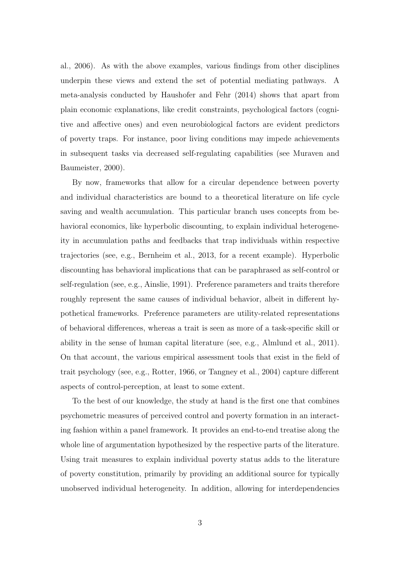al., 2006). As with the above examples, various findings from other disciplines underpin these views and extend the set of potential mediating pathways. A meta-analysis conducted by Haushofer and Fehr (2014) shows that apart from plain economic explanations, like credit constraints, psychological factors (cognitive and affective ones) and even neurobiological factors are evident predictors of poverty traps. For instance, poor living conditions may impede achievements in subsequent tasks via decreased self-regulating capabilities (see Muraven and Baumeister, 2000).

By now, frameworks that allow for a circular dependence between poverty and individual characteristics are bound to a theoretical literature on life cycle saving and wealth accumulation. This particular branch uses concepts from behavioral economics, like hyperbolic discounting, to explain individual heterogeneity in accumulation paths and feedbacks that trap individuals within respective trajectories (see, e.g., Bernheim et al., 2013, for a recent example). Hyperbolic discounting has behavioral implications that can be paraphrased as self-control or self-regulation (see, e.g., Ainslie, 1991). Preference parameters and traits therefore roughly represent the same causes of individual behavior, albeit in different hypothetical frameworks. Preference parameters are utility-related representations of behavioral differences, whereas a trait is seen as more of a task-specific skill or ability in the sense of human capital literature (see, e.g., Almlund et al., 2011). On that account, the various empirical assessment tools that exist in the field of trait psychology (see, e.g., Rotter, 1966, or Tangney et al., 2004) capture different aspects of control-perception, at least to some extent.

To the best of our knowledge, the study at hand is the first one that combines psychometric measures of perceived control and poverty formation in an interacting fashion within a panel framework. It provides an end-to-end treatise along the whole line of argumentation hypothesized by the respective parts of the literature. Using trait measures to explain individual poverty status adds to the literature of poverty constitution, primarily by providing an additional source for typically unobserved individual heterogeneity. In addition, allowing for interdependencies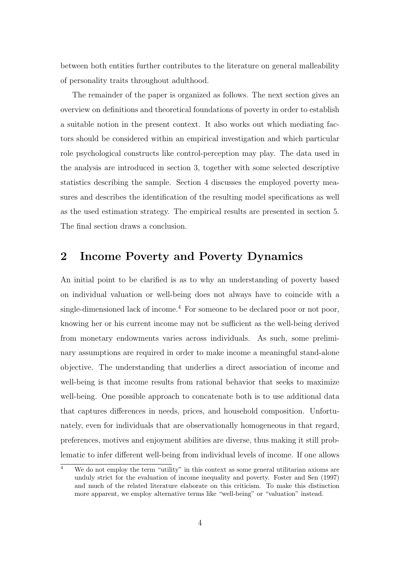between both entities further contributes to the literature on general malleability of personality traits throughout adulthood.

The remainder of the paper is organized as follows. The next section gives an overview on definitions and theoretical foundations of poverty in order to establish a suitable notion in the present context. It also works out which mediating factors should be considered within an empirical investigation and which particular role psychological constructs like control-perception may play. The data used in the analysis are introduced in section 3, together with some selected descriptive statistics describing the sample. Section 4 discusses the employed poverty measures and describes the identification of the resulting model specifications as well as the used estimation strategy. The empirical results are presented in section 5. The final section draws a conclusion.

# 2 Income Poverty and Poverty Dynamics

An initial point to be clarified is as to why an understanding of poverty based on individual valuation or well-being does not always have to coincide with a single-dimensioned lack of income.<sup>4</sup> For someone to be declared poor or not poor, knowing her or his current income may not be sufficient as the well-being derived from monetary endowments varies across individuals. As such, some preliminary assumptions are required in order to make income a meaningful stand-alone objective. The understanding that underlies a direct association of income and well-being is that income results from rational behavior that seeks to maximize well-being. One possible approach to concatenate both is to use additional data that captures differences in needs, prices, and household composition. Unfortunately, even for individuals that are observationally homogeneous in that regard, preferences, motives and enjoyment abilities are diverse, thus making it still problematic to infer different well-being from individual levels of income. If one allows

 $\frac{4}{4}$  We do not employ the term "utility" in this context as some general utilitarian axioms are unduly strict for the evaluation of income inequality and poverty. Foster and Sen (1997) and much of the related literature elaborate on this criticism. To make this distinction more apparent, we employ alternative terms like "well-being" or "valuation" instead.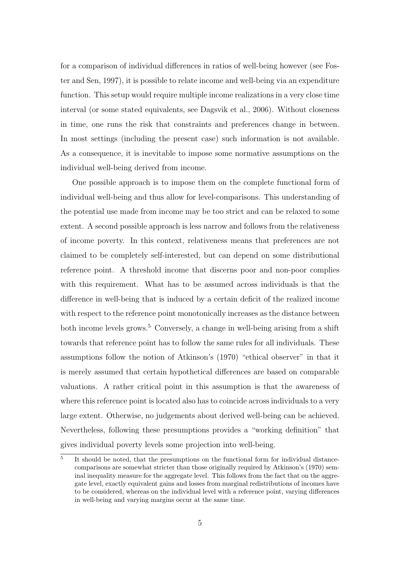for a comparison of individual differences in ratios of well-being however (see Foster and Sen, 1997), it is possible to relate income and well-being via an expenditure function. This setup would require multiple income realizations in a very close time interval (or some stated equivalents, see Dagsvik et al., 2006). Without closeness in time, one runs the risk that constraints and preferences change in between. In most settings (including the present case) such information is not available. As a consequence, it is inevitable to impose some normative assumptions on the individual well-being derived from income.

One possible approach is to impose them on the complete functional form of individual well-being and thus allow for level-comparisons. This understanding of the potential use made from income may be too strict and can be relaxed to some extent. A second possible approach is less narrow and follows from the relativeness of income poverty. In this context, relativeness means that preferences are not claimed to be completely self-interested, but can depend on some distributional reference point. A threshold income that discerns poor and non-poor complies with this requirement. What has to be assumed across individuals is that the difference in well-being that is induced by a certain deficit of the realized income with respect to the reference point monotonically increases as the distance between both income levels grows.<sup>5</sup> Conversely, a change in well-being arising from a shift towards that reference point has to follow the same rules for all individuals. These assumptions follow the notion of Atkinson's (1970) "ethical observer" in that it is merely assumed that certain hypothetical differences are based on comparable valuations. A rather critical point in this assumption is that the awareness of where this reference point is located also has to coincide across individuals to a very large extent. Otherwise, no judgements about derived well-being can be achieved. Nevertheless, following these presumptions provides a "working definition" that gives individual poverty levels some projection into well-being.

<sup>5</sup> It should be noted, that the presumptions on the functional form for individual distancecomparisons are somewhat stricter than those originally required by Atkinson's (1970) seminal inequality measure for the aggregate level. This follows from the fact that on the aggregate level, exactly equivalent gains and losses from marginal redistributions of incomes have to be considered, whereas on the individual level with a reference point, varying differences in well-being and varying margins occur at the same time.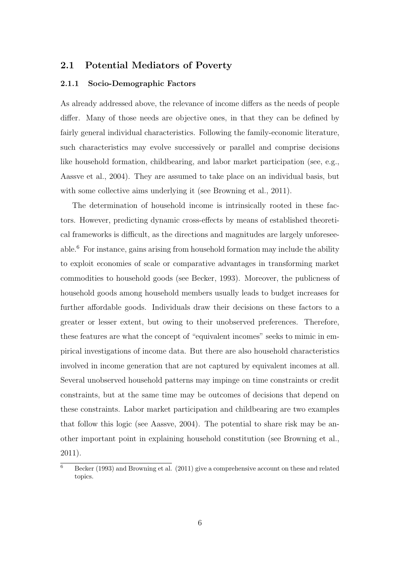### 2.1 Potential Mediators of Poverty

### 2.1.1 Socio-Demographic Factors

As already addressed above, the relevance of income differs as the needs of people differ. Many of those needs are objective ones, in that they can be defined by fairly general individual characteristics. Following the family-economic literature, such characteristics may evolve successively or parallel and comprise decisions like household formation, childbearing, and labor market participation (see, e.g., Aassve et al., 2004). They are assumed to take place on an individual basis, but with some collective aims underlying it (see Browning et al., 2011).

The determination of household income is intrinsically rooted in these factors. However, predicting dynamic cross-effects by means of established theoretical frameworks is difficult, as the directions and magnitudes are largely unforeseeable.<sup>6</sup> For instance, gains arising from household formation may include the ability to exploit economies of scale or comparative advantages in transforming market commodities to household goods (see Becker, 1993). Moreover, the publicness of household goods among household members usually leads to budget increases for further affordable goods. Individuals draw their decisions on these factors to a greater or lesser extent, but owing to their unobserved preferences. Therefore, these features are what the concept of "equivalent incomes" seeks to mimic in empirical investigations of income data. But there are also household characteristics involved in income generation that are not captured by equivalent incomes at all. Several unobserved household patterns may impinge on time constraints or credit constraints, but at the same time may be outcomes of decisions that depend on these constraints. Labor market participation and childbearing are two examples that follow this logic (see Aassve, 2004). The potential to share risk may be another important point in explaining household constitution (see Browning et al., 2011).

 $\overline{6}$  Becker (1993) and Browning et al. (2011) give a comprehensive account on these and related topics.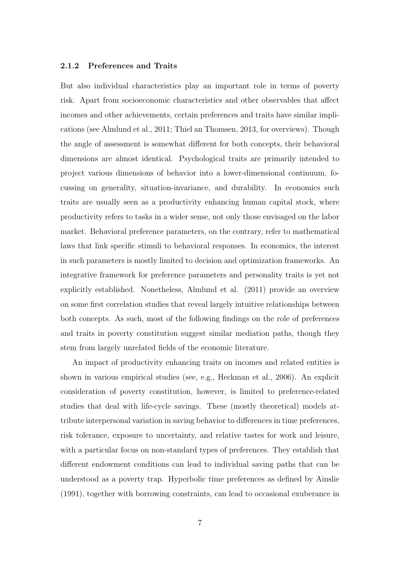#### 2.1.2 Preferences and Traits

But also individual characteristics play an important role in terms of poverty risk. Apart from socioeconomic characteristics and other observables that affect incomes and other achievements, certain preferences and traits have similar implications (see Almlund et al., 2011; Thiel an Thomsen, 2013, for overviews). Though the angle of assessment is somewhat different for both concepts, their behavioral dimensions are almost identical. Psychological traits are primarily intended to project various dimensions of behavior into a lower-dimensional continuum, focussing on generality, situation-invariance, and durability. In economics such traits are usually seen as a productivity enhancing human capital stock, where productivity refers to tasks in a wider sense, not only those envisaged on the labor market. Behavioral preference parameters, on the contrary, refer to mathematical laws that link specific stimuli to behavioral responses. In economics, the interest in such parameters is mostly limited to decision and optimization frameworks. An integrative framework for preference parameters and personality traits is yet not explicitly established. Nonetheless, Almlund et al. (2011) provide an overview on some first correlation studies that reveal largely intuitive relationships between both concepts. As such, most of the following findings on the role of preferences and traits in poverty constitution suggest similar mediation paths, though they stem from largely unrelated fields of the economic literature.

An impact of productivity enhancing traits on incomes and related entities is shown in various empirical studies (see, e.g., Heckman et al., 2006). An explicit consideration of poverty constitution, however, is limited to preference-related studies that deal with life-cycle savings. These (mostly theoretical) models attribute interpersonal variation in saving behavior to differences in time preferences, risk tolerance, exposure to uncertainty, and relative tastes for work and leisure, with a particular focus on non-standard types of preferences. They establish that different endowment conditions can lead to individual saving paths that can be understood as a poverty trap. Hyperbolic time preferences as defined by Ainslie (1991), together with borrowing constraints, can lead to occasional exuberance in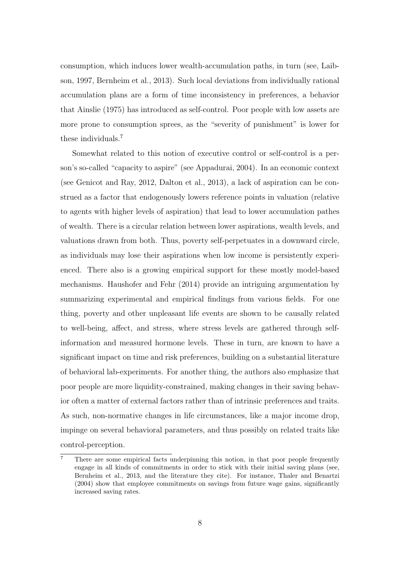consumption, which induces lower wealth-accumulation paths, in turn (see, Laibson, 1997, Bernheim et al., 2013). Such local deviations from individually rational accumulation plans are a form of time inconsistency in preferences, a behavior that Ainslie (1975) has introduced as self-control. Poor people with low assets are more prone to consumption sprees, as the "severity of punishment" is lower for these individuals.<sup>7</sup>

Somewhat related to this notion of executive control or self-control is a person's so-called "capacity to aspire" (see Appadurai, 2004). In an economic context (see Genicot and Ray, 2012, Dalton et al., 2013), a lack of aspiration can be construed as a factor that endogenously lowers reference points in valuation (relative to agents with higher levels of aspiration) that lead to lower accumulation pathes of wealth. There is a circular relation between lower aspirations, wealth levels, and valuations drawn from both. Thus, poverty self-perpetuates in a downward circle, as individuals may lose their aspirations when low income is persistently experienced. There also is a growing empirical support for these mostly model-based mechanisms. Haushofer and Fehr (2014) provide an intriguing argumentation by summarizing experimental and empirical findings from various fields. For one thing, poverty and other unpleasant life events are shown to be causally related to well-being, affect, and stress, where stress levels are gathered through selfinformation and measured hormone levels. These in turn, are known to have a significant impact on time and risk preferences, building on a substantial literature of behavioral lab-experiments. For another thing, the authors also emphasize that poor people are more liquidity-constrained, making changes in their saving behavior often a matter of external factors rather than of intrinsic preferences and traits. As such, non-normative changes in life circumstances, like a major income drop, impinge on several behavioral parameters, and thus possibly on related traits like control-perception.

<sup>7</sup> There are some empirical facts underpinning this notion, in that poor people frequently engage in all kinds of commitments in order to stick with their initial saving plans (see, Bernheim et al., 2013, and the literature they cite). For instance, Thaler and Benartzi (2004) show that employee commitments on savings from future wage gains, significantly increased saving rates.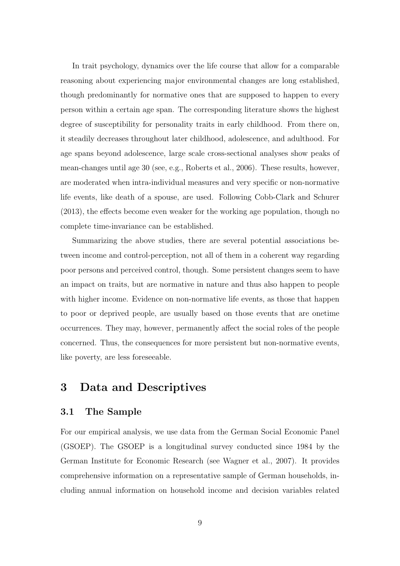In trait psychology, dynamics over the life course that allow for a comparable reasoning about experiencing major environmental changes are long established, though predominantly for normative ones that are supposed to happen to every person within a certain age span. The corresponding literature shows the highest degree of susceptibility for personality traits in early childhood. From there on, it steadily decreases throughout later childhood, adolescence, and adulthood. For age spans beyond adolescence, large scale cross-sectional analyses show peaks of mean-changes until age 30 (see, e.g., Roberts et al., 2006). These results, however, are moderated when intra-individual measures and very specific or non-normative life events, like death of a spouse, are used. Following Cobb-Clark and Schurer (2013), the effects become even weaker for the working age population, though no complete time-invariance can be established.

Summarizing the above studies, there are several potential associations between income and control-perception, not all of them in a coherent way regarding poor persons and perceived control, though. Some persistent changes seem to have an impact on traits, but are normative in nature and thus also happen to people with higher income. Evidence on non-normative life events, as those that happen to poor or deprived people, are usually based on those events that are onetime occurrences. They may, however, permanently affect the social roles of the people concerned. Thus, the consequences for more persistent but non-normative events, like poverty, are less foreseeable.

# 3 Data and Descriptives

### 3.1 The Sample

For our empirical analysis, we use data from the German Social Economic Panel (GSOEP). The GSOEP is a longitudinal survey conducted since 1984 by the German Institute for Economic Research (see Wagner et al., 2007). It provides comprehensive information on a representative sample of German households, including annual information on household income and decision variables related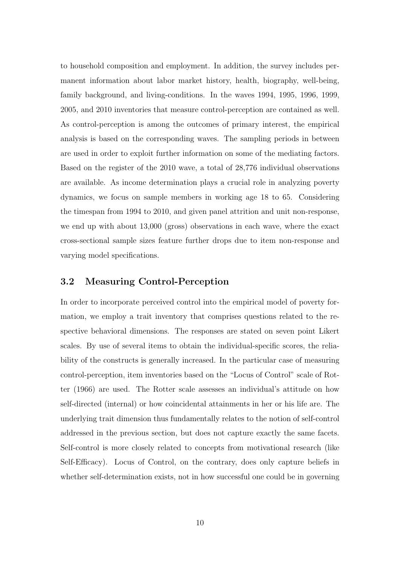to household composition and employment. In addition, the survey includes permanent information about labor market history, health, biography, well-being, family background, and living-conditions. In the waves 1994, 1995, 1996, 1999, 2005, and 2010 inventories that measure control-perception are contained as well. As control-perception is among the outcomes of primary interest, the empirical analysis is based on the corresponding waves. The sampling periods in between are used in order to exploit further information on some of the mediating factors. Based on the register of the 2010 wave, a total of 28,776 individual observations are available. As income determination plays a crucial role in analyzing poverty dynamics, we focus on sample members in working age 18 to 65. Considering the timespan from 1994 to 2010, and given panel attrition and unit non-response, we end up with about 13,000 (gross) observations in each wave, where the exact cross-sectional sample sizes feature further drops due to item non-response and varying model specifications.

### 3.2 Measuring Control-Perception

In order to incorporate perceived control into the empirical model of poverty formation, we employ a trait inventory that comprises questions related to the respective behavioral dimensions. The responses are stated on seven point Likert scales. By use of several items to obtain the individual-specific scores, the reliability of the constructs is generally increased. In the particular case of measuring control-perception, item inventories based on the "Locus of Control" scale of Rotter (1966) are used. The Rotter scale assesses an individual's attitude on how self-directed (internal) or how coincidental attainments in her or his life are. The underlying trait dimension thus fundamentally relates to the notion of self-control addressed in the previous section, but does not capture exactly the same facets. Self-control is more closely related to concepts from motivational research (like Self-Efficacy). Locus of Control, on the contrary, does only capture beliefs in whether self-determination exists, not in how successful one could be in governing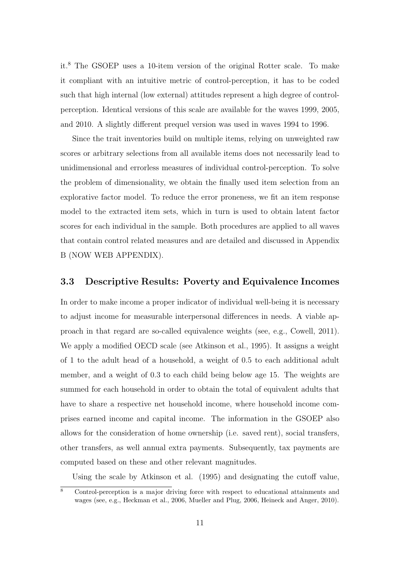it.<sup>8</sup> The GSOEP uses a 10-item version of the original Rotter scale. To make it compliant with an intuitive metric of control-perception, it has to be coded such that high internal (low external) attitudes represent a high degree of controlperception. Identical versions of this scale are available for the waves 1999, 2005, and 2010. A slightly different prequel version was used in waves 1994 to 1996.

Since the trait inventories build on multiple items, relying on unweighted raw scores or arbitrary selections from all available items does not necessarily lead to unidimensional and errorless measures of individual control-perception. To solve the problem of dimensionality, we obtain the finally used item selection from an explorative factor model. To reduce the error proneness, we fit an item response model to the extracted item sets, which in turn is used to obtain latent factor scores for each individual in the sample. Both procedures are applied to all waves that contain control related measures and are detailed and discussed in Appendix B (NOW WEB APPENDIX).

### 3.3 Descriptive Results: Poverty and Equivalence Incomes

In order to make income a proper indicator of individual well-being it is necessary to adjust income for measurable interpersonal differences in needs. A viable approach in that regard are so-called equivalence weights (see, e.g., Cowell, 2011). We apply a modified OECD scale (see Atkinson et al., 1995). It assigns a weight of 1 to the adult head of a household, a weight of 0.5 to each additional adult member, and a weight of 0.3 to each child being below age 15. The weights are summed for each household in order to obtain the total of equivalent adults that have to share a respective net household income, where household income comprises earned income and capital income. The information in the GSOEP also allows for the consideration of home ownership (i.e. saved rent), social transfers, other transfers, as well annual extra payments. Subsequently, tax payments are computed based on these and other relevant magnitudes.

Using the scale by Atkinson et al. (1995) and designating the cutoff value,

<sup>8</sup> Control-perception is a major driving force with respect to educational attainments and wages (see, e.g., Heckman et al., 2006, Mueller and Plug, 2006, Heineck and Anger, 2010).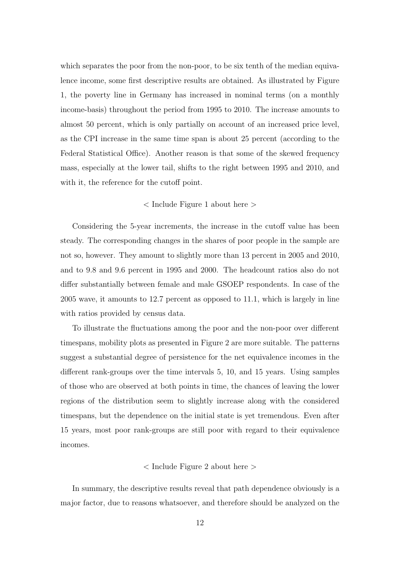which separates the poor from the non-poor, to be six tenth of the median equivalence income, some first descriptive results are obtained. As illustrated by Figure 1, the poverty line in Germany has increased in nominal terms (on a monthly income-basis) throughout the period from 1995 to 2010. The increase amounts to almost 50 percent, which is only partially on account of an increased price level, as the CPI increase in the same time span is about 25 percent (according to the Federal Statistical Office). Another reason is that some of the skewed frequency mass, especially at the lower tail, shifts to the right between 1995 and 2010, and with it, the reference for the cutoff point.

### < Include Figure 1 about here >

Considering the 5-year increments, the increase in the cutoff value has been steady. The corresponding changes in the shares of poor people in the sample are not so, however. They amount to slightly more than 13 percent in 2005 and 2010, and to 9.8 and 9.6 percent in 1995 and 2000. The headcount ratios also do not differ substantially between female and male GSOEP respondents. In case of the 2005 wave, it amounts to 12.7 percent as opposed to 11.1, which is largely in line with ratios provided by census data.

To illustrate the fluctuations among the poor and the non-poor over different timespans, mobility plots as presented in Figure 2 are more suitable. The patterns suggest a substantial degree of persistence for the net equivalence incomes in the different rank-groups over the time intervals 5, 10, and 15 years. Using samples of those who are observed at both points in time, the chances of leaving the lower regions of the distribution seem to slightly increase along with the considered timespans, but the dependence on the initial state is yet tremendous. Even after 15 years, most poor rank-groups are still poor with regard to their equivalence incomes.

### < Include Figure 2 about here >

In summary, the descriptive results reveal that path dependence obviously is a major factor, due to reasons whatsoever, and therefore should be analyzed on the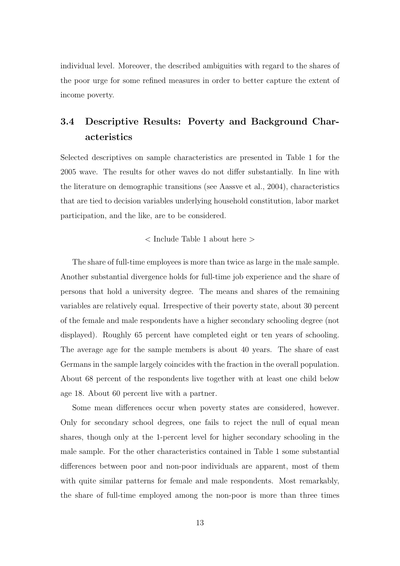individual level. Moreover, the described ambiguities with regard to the shares of the poor urge for some refined measures in order to better capture the extent of income poverty.

# 3.4 Descriptive Results: Poverty and Background Characteristics

Selected descriptives on sample characteristics are presented in Table 1 for the 2005 wave. The results for other waves do not differ substantially. In line with the literature on demographic transitions (see Aassve et al., 2004), characteristics that are tied to decision variables underlying household constitution, labor market participation, and the like, are to be considered.

### $<$  Include Table 1 about here  $>$

The share of full-time employees is more than twice as large in the male sample. Another substantial divergence holds for full-time job experience and the share of persons that hold a university degree. The means and shares of the remaining variables are relatively equal. Irrespective of their poverty state, about 30 percent of the female and male respondents have a higher secondary schooling degree (not displayed). Roughly 65 percent have completed eight or ten years of schooling. The average age for the sample members is about 40 years. The share of east Germans in the sample largely coincides with the fraction in the overall population. About 68 percent of the respondents live together with at least one child below age 18. About 60 percent live with a partner.

Some mean differences occur when poverty states are considered, however. Only for secondary school degrees, one fails to reject the null of equal mean shares, though only at the 1-percent level for higher secondary schooling in the male sample. For the other characteristics contained in Table 1 some substantial differences between poor and non-poor individuals are apparent, most of them with quite similar patterns for female and male respondents. Most remarkably, the share of full-time employed among the non-poor is more than three times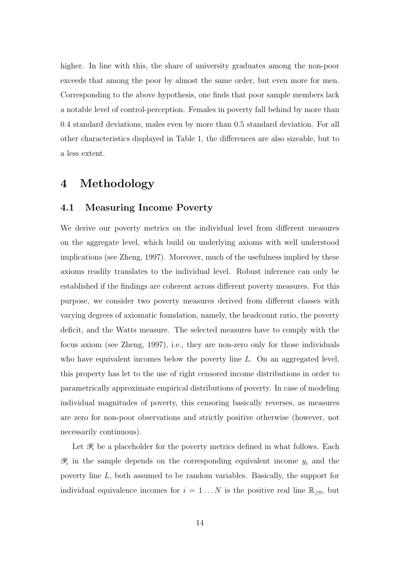higher. In line with this, the share of university graduates among the non-poor exceeds that among the poor by almost the same order, but even more for men. Corresponding to the above hypothesis, one finds that poor sample members lack a notable level of control-perception. Females in poverty fall behind by more than 0.4 standard deviations, males even by more than 0.5 standard deviation. For all other characteristics displayed in Table 1, the differences are also sizeable, but to a less extent.

# 4 Methodology

### 4.1 Measuring Income Poverty

We derive our poverty metrics on the individual level from different measures on the aggregate level, which build on underlying axioms with well understood implications (see Zheng, 1997). Moreover, much of the usefulness implied by these axioms readily translates to the individual level. Robust inference can only be established if the findings are coherent across different poverty measures. For this purpose, we consider two poverty measures derived from different classes with varying degrees of axiomatic foundation, namely, the headcount ratio, the poverty deficit, and the Watts measure. The selected measures have to comply with the focus axiom (see Zheng, 1997), i.e., they are non-zero only for those individuals who have equivalent incomes below the poverty line  $L$ . On an aggregated level, this property has let to the use of right censored income distributions in order to parametrically approximate empirical distributions of poverty. In case of modeling individual magnitudes of poverty, this censoring basically reverses, as measures are zero for non-poor observations and strictly positive otherwise (however, not necessarily continuous).

Let  $\mathscr{Y}_i$  be a placeholder for the poverty metrics defined in what follows. Each  $\mathscr{Y}_i$  in the sample depends on the corresponding equivalent income  $y_i$  and the poverty line L, both assumed to be random variables. Basically, the support for individual equivalence incomes for  $i = 1...N$  is the positive real line  $\mathbb{R}_{\geq 0}$ , but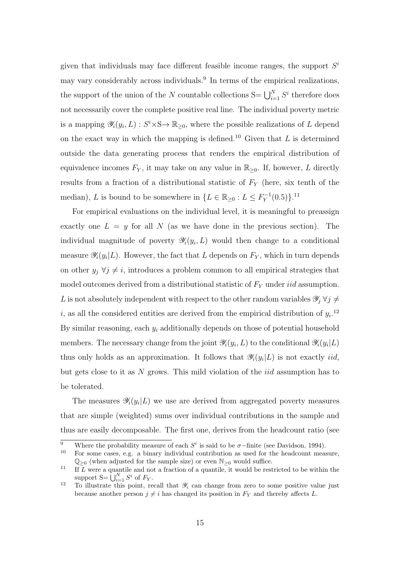given that individuals may face different feasible income ranges, the support  $S<sup>i</sup>$ may vary considerably across individuals.<sup>9</sup> In terms of the empirical realizations, the support of the union of the N countable collections  $S = \bigcup_{i=1}^{N} S^i$  therefore does not necessarily cover the complete positive real line. The individual poverty metric is a mapping  $\mathscr{Y}_i(y_i, L) : S^i \times S \to \mathbb{R}_{\geq 0}$ , where the possible realizations of L depend on the exact way in which the mapping is defined.<sup>10</sup> Given that  $L$  is determined outside the data generating process that renders the empirical distribution of equivalence incomes  $F_Y$ , it may take on any value in  $\mathbb{R}_{\geq 0}$ . If, however, L directly results from a fraction of a distributional statistic of  $F_Y$  (here, six tenth of the median), L is bound to be somewhere in  $\{L \in \mathbb{R}_{\geq 0} : L \leq F_Y^{-1}\}$  $Y^{1}(0.5)\}$ <sup>11</sup>

For empirical evaluations on the individual level, it is meaningful to preassign exactly one  $L = y$  for all N (as we have done in the previous section). The individual magnitude of poverty  $\mathscr{Y}_i(y_i, L)$  would then change to a conditional measure  $\mathscr{Y}_i(y_i|L)$ . However, the fact that L depends on  $F_Y$ , which in turn depends on other  $y_j \,\forall j \neq i$ , introduces a problem common to all empirical strategies that model outcomes derived from a distributional statistic of  $F<sub>Y</sub>$  under *iid* assumption. L is not absolutely independent with respect to the other random variables  $\mathscr{Y}_j \,\forall j \neq j$ i, as all the considered entities are derived from the empirical distribution of  $y_i$ <sup>12</sup> By similar reasoning, each  $y_i$  additionally depends on those of potential household members. The necessary change from the joint  $\mathscr{Y}_i(y_i, L)$  to the conditional  $\mathscr{Y}_i(y_i | L)$ thus only holds as an approximation. It follows that  $\mathscr{Y}_i(y_i|L)$  is not exactly *iid*, but gets close to it as N grows. This mild violation of the iid assumption has to be tolerated.

The measures  $\mathscr{Y}_i(y_i|L)$  we use are derived from aggregated poverty measures that are simple (weighted) sums over individual contributions in the sample and thus are easily decomposable. The first one, derives from the headcount ratio (see

<sup>&</sup>lt;sup>9</sup> Where the probability measure of each  $S<sup>i</sup>$  is said to be  $\sigma$ -finite (see Davidson, 1994).

<sup>10</sup> For some cases, e.g. a binary individual contribution as used for the headcount measure,  $\mathbb{Q}_{\geq 0}$  (when adjusted for the sample size) or even  $\mathbb{N}_{\geq 0}$  would suffice.

<sup>&</sup>lt;sup>11</sup> If  $\overline{L}$  were a quantile and not a fraction of a quantile, it would be restricted to be within the support  $S = \bigcup_{i=1}^{N} S^i$  of  $F_Y$ .

<sup>&</sup>lt;sup>12</sup> To illustrate this point, recall that  $\mathscr{Y}_i$  can change from zero to some positive value just because another person  $j \neq i$  has changed its position in  $F_Y$  and thereby affects L.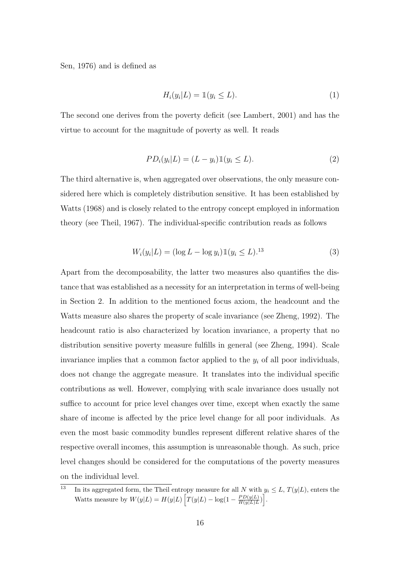Sen, 1976) and is defined as

$$
H_i(y_i|L) = \mathbb{1}(y_i \le L). \tag{1}
$$

The second one derives from the poverty deficit (see Lambert, 2001) and has the virtue to account for the magnitude of poverty as well. It reads

$$
PD_i(y_i|L) = (L - y_i)\mathbb{1}(y_i \le L). \tag{2}
$$

The third alternative is, when aggregated over observations, the only measure considered here which is completely distribution sensitive. It has been established by Watts (1968) and is closely related to the entropy concept employed in information theory (see Theil, 1967). The individual-specific contribution reads as follows

$$
W_i(y_i|L) = (\log L - \log y_i) \mathbb{1}(y_i \le L)^{13} \tag{3}
$$

Apart from the decomposability, the latter two measures also quantifies the distance that was established as a necessity for an interpretation in terms of well-being in Section 2. In addition to the mentioned focus axiom, the headcount and the Watts measure also shares the property of scale invariance (see Zheng, 1992). The headcount ratio is also characterized by location invariance, a property that no distribution sensitive poverty measure fulfills in general (see Zheng, 1994). Scale invariance implies that a common factor applied to the  $y_i$  of all poor individuals, does not change the aggregate measure. It translates into the individual specific contributions as well. However, complying with scale invariance does usually not suffice to account for price level changes over time, except when exactly the same share of income is affected by the price level change for all poor individuals. As even the most basic commodity bundles represent different relative shares of the respective overall incomes, this assumption is unreasonable though. As such, price level changes should be considered for the computations of the poverty measures on the individual level.

<sup>&</sup>lt;sup>13</sup> In its aggregated form, the Theil entropy measure for all N with  $y_i \leq L$ ,  $T(y|L)$ , enters the Watts measure by  $W(y|L) = H(y|L) \left[ T(y|L) - \log(1 - \frac{PD(y|L)}{H(y|L)L} \right]$  $\left[\frac{PD(y|L)}{H(y|L)L}\right].$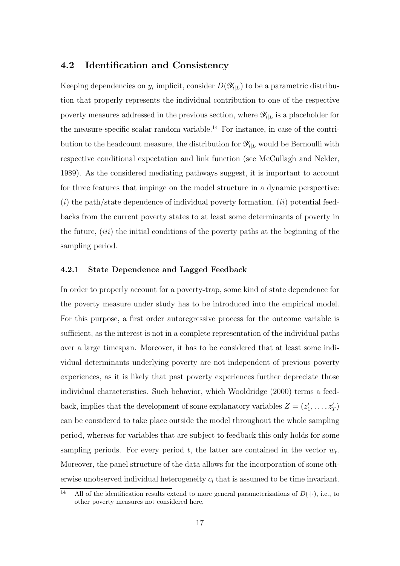### 4.2 Identification and Consistency

Keeping dependencies on  $y_i$  implicit, consider  $D(\mathscr{Y}_{i|L})$  to be a parametric distribution that properly represents the individual contribution to one of the respective poverty measures addressed in the previous section, where  $\mathscr{Y}_{i|L}$  is a placeholder for the measure-specific scalar random variable.<sup>14</sup> For instance, in case of the contribution to the headcount measure, the distribution for  $\mathscr{Y}_{i|L}$  would be Bernoulli with respective conditional expectation and link function (see McCullagh and Nelder, 1989). As the considered mediating pathways suggest, it is important to account for three features that impinge on the model structure in a dynamic perspective:  $(i)$  the path/state dependence of individual poverty formation,  $(ii)$  potential feedbacks from the current poverty states to at least some determinants of poverty in the future,  $(iii)$  the initial conditions of the poverty paths at the beginning of the sampling period.

### 4.2.1 State Dependence and Lagged Feedback

In order to properly account for a poverty-trap, some kind of state dependence for the poverty measure under study has to be introduced into the empirical model. For this purpose, a first order autoregressive process for the outcome variable is sufficient, as the interest is not in a complete representation of the individual paths over a large timespan. Moreover, it has to be considered that at least some individual determinants underlying poverty are not independent of previous poverty experiences, as it is likely that past poverty experiences further depreciate those individual characteristics. Such behavior, which Wooldridge (2000) terms a feedback, implies that the development of some explanatory variables  $Z = (z'_1, \ldots, z'_T)$ can be considered to take place outside the model throughout the whole sampling period, whereas for variables that are subject to feedback this only holds for some sampling periods. For every period t, the latter are contained in the vector  $w_t$ . Moreover, the panel structure of the data allows for the incorporation of some otherwise unobserved individual heterogeneity  $c_i$  that is assumed to be time invariant.

<sup>&</sup>lt;sup>14</sup> All of the identification results extend to more general parameterizations of  $D(\cdot|\cdot)$ , i.e., to other poverty measures not considered here.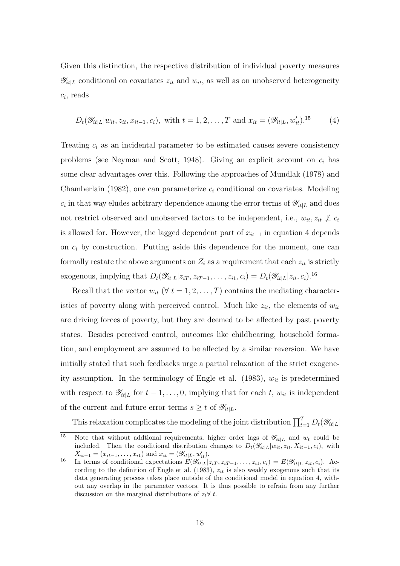Given this distinction, the respective distribution of individual poverty measures  $\mathscr{Y}_{it|L}$  conditional on covariates  $z_{it}$  and  $w_{it}$ , as well as on unobserved heterogeneity  $c_i$ , reads

$$
D_t(\mathscr{Y}_{it|L}|w_{it}, z_{it}, x_{it-1}, c_i)
$$
, with  $t = 1, 2, ..., T$  and  $x_{it} = (\mathscr{Y}_{it|L}, w'_{it})$ .<sup>15</sup> (4)

Treating  $c_i$  as an incidental parameter to be estimated causes severe consistency problems (see Neyman and Scott, 1948). Giving an explicit account on  $c_i$  has some clear advantages over this. Following the approaches of Mundlak (1978) and Chamberlain (1982), one can parameterize  $c_i$  conditional on covariates. Modeling  $c_i$  in that way eludes arbitrary dependence among the error terms of  $\mathscr{Y}_{it|L}$  and does not restrict observed and unobserved factors to be independent, i.e.,  $w_{it}$ ,  $z_{it} \not\perp c_i$ is allowed for. However, the lagged dependent part of  $x_{it-1}$  in equation 4 depends on  $c_i$  by construction. Putting aside this dependence for the moment, one can formally restate the above arguments on  $Z_i$  as a requirement that each  $z_{it}$  is strictly exogenous, implying that  $D_t(\mathscr{Y}_{it|L}|z_{iT}, z_{iT-1}, \ldots, z_{i1}, c_i) = D_t(\mathscr{Y}_{it|L}|z_{it}, c_i)$ .<sup>16</sup>

Recall that the vector  $w_{it}$  ( $\forall t = 1, 2, ..., T$ ) contains the mediating characteristics of poverty along with perceived control. Much like  $z_{it}$ , the elements of  $w_{it}$ are driving forces of poverty, but they are deemed to be affected by past poverty states. Besides perceived control, outcomes like childbearing, household formation, and employment are assumed to be affected by a similar reversion. We have initially stated that such feedbacks urge a partial relaxation of the strict exogeneity assumption. In the terminology of Engle et al. (1983),  $w_{it}$  is predetermined with respect to  $\mathscr{Y}_{it|L}$  for  $t-1,\ldots,0$ , implying that for each  $t, w_{it}$  is independent of the current and future error terms  $s \geq t$  of  $\mathscr{Y}_{it|L}$ .

This relaxation complicates the modeling of the joint distribution  $\prod_{t=1}^T D_t(\mathscr{Y}_{it|L}|)$ 

<sup>&</sup>lt;sup>15</sup> Note that without addtional requirements, higher order lags of  $\mathscr{Y}_{it|L}$  and  $w_t$  could be included. Then the conditional distribution changes to  $D_t(\mathscr{Y}_{it|L}|w_{it}, z_{it}, X_{it-1}, c_i)$ , with  $X_{it-1} = (x_{it-1}, \ldots, x_{i1})$  and  $x_{it} = (\mathscr{Y}_{it}|_L, w'_{it}).$ 

<sup>16</sup> In terms of conditional expectations  $E(\mathscr{Y}_{it|L}|z_{iT}, z_{iT-1}, \ldots, z_{i1}, c_i) = E(\mathscr{Y}_{it|L}|z_{it}, c_i)$ . According to the definition of Engle et al. (1983),  $z_{it}$  is also weakly exogenous such that its data generating process takes place outside of the conditional model in equation 4, without any overlap in the parameter vectors. It is thus possible to refrain from any further discussion on the marginal distributions of  $z_t \forall t$ .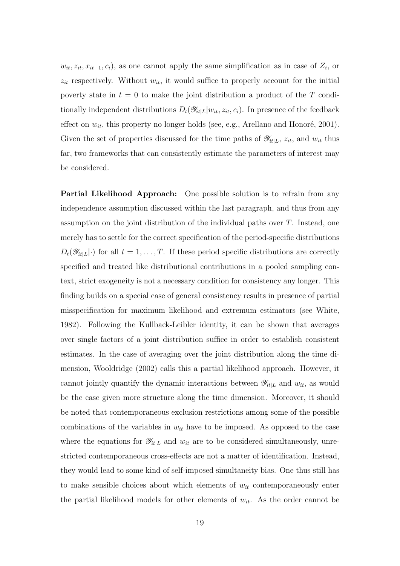$w_{it}, z_{it}, x_{it-1}, c_i$ , as one cannot apply the same simplification as in case of  $Z_i$ , or  $z_{it}$  respectively. Without  $w_{it}$ , it would suffice to properly account for the initial poverty state in  $t = 0$  to make the joint distribution a product of the T conditionally independent distributions  $D_t(\mathscr{Y}_{it}|L|w_{it}, z_{it}, c_i)$ . In presence of the feedback effect on  $w_{it}$ , this property no longer holds (see, e.g., Arellano and Honoré, 2001). Given the set of properties discussed for the time paths of  $\mathscr{Y}_{it|L}, z_{it}$ , and  $w_{it}$  thus far, two frameworks that can consistently estimate the parameters of interest may be considered.

Partial Likelihood Approach: One possible solution is to refrain from any independence assumption discussed within the last paragraph, and thus from any assumption on the joint distribution of the individual paths over T. Instead, one merely has to settle for the correct specification of the period-specific distributions  $D_t(\mathscr{Y}_{it|L}|\cdot)$  for all  $t = 1, \ldots, T$ . If these period specific distributions are correctly specified and treated like distributional contributions in a pooled sampling context, strict exogeneity is not a necessary condition for consistency any longer. This finding builds on a special case of general consistency results in presence of partial misspecification for maximum likelihood and extremum estimators (see White, 1982). Following the Kullback-Leibler identity, it can be shown that averages over single factors of a joint distribution suffice in order to establish consistent estimates. In the case of averaging over the joint distribution along the time dimension, Wooldridge (2002) calls this a partial likelihood approach. However, it cannot jointly quantify the dynamic interactions between  $\mathscr{Y}_{it|L}$  and  $w_{it}$ , as would be the case given more structure along the time dimension. Moreover, it should be noted that contemporaneous exclusion restrictions among some of the possible combinations of the variables in  $w_{it}$  have to be imposed. As opposed to the case where the equations for  $\mathscr{Y}_{it|L}$  and  $w_{it}$  are to be considered simultaneously, unrestricted contemporaneous cross-effects are not a matter of identification. Instead, they would lead to some kind of self-imposed simultaneity bias. One thus still has to make sensible choices about which elements of  $w_{it}$  contemporaneously enter the partial likelihood models for other elements of  $w_{it}$ . As the order cannot be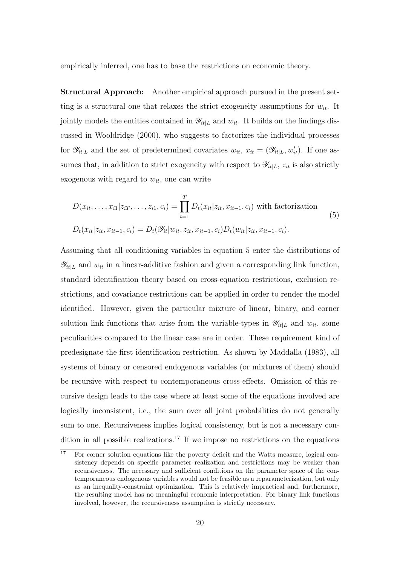empirically inferred, one has to base the restrictions on economic theory.

Structural Approach: Another empirical approach pursued in the present setting is a structural one that relaxes the strict exogeneity assumptions for  $w_{it}$ . It jointly models the entities contained in  $\mathscr{Y}_{it|L}$  and  $w_{it}$ . It builds on the findings discussed in Wooldridge (2000), who suggests to factorizes the individual processes for  $\mathscr{Y}_{it|L}$  and the set of predetermined covariates  $w_{it}$ ,  $x_{it} = (\mathscr{Y}_{it|L}, w'_{it})$ . If one assumes that, in addition to strict exogeneity with respect to  $\mathscr{Y}_{it|L}$ ,  $z_{it}$  is also strictly exogenous with regard to  $w_{it}$ , one can write

$$
D(x_{it},...,x_{i1}|z_{iT},...,z_{i1},c_i) = \prod_{t=1}^{T} D_t(x_{it}|z_{it},x_{it-1},c_i)
$$
 with factorization  

$$
D_t(x_{it}|z_{it},x_{it-1},c_i) = D_t(\mathscr{Y}_{it}|w_{it},z_{it},x_{it-1},c_i)D_t(w_{it}|z_{it},x_{it-1},c_i).
$$
 (5)

Assuming that all conditioning variables in equation 5 enter the distributions of  $\mathscr{Y}_{it|L}$  and  $w_{it}$  in a linear-additive fashion and given a corresponding link function, standard identification theory based on cross-equation restrictions, exclusion restrictions, and covariance restrictions can be applied in order to render the model identified. However, given the particular mixture of linear, binary, and corner solution link functions that arise from the variable-types in  $\mathscr{Y}_{it|L}$  and  $w_{it}$ , some peculiarities compared to the linear case are in order. These requirement kind of predesignate the first identification restriction. As shown by Maddalla (1983), all systems of binary or censored endogenous variables (or mixtures of them) should be recursive with respect to contemporaneous cross-effects. Omission of this recursive design leads to the case where at least some of the equations involved are logically inconsistent, i.e., the sum over all joint probabilities do not generally sum to one. Recursiveness implies logical consistency, but is not a necessary condition in all possible realizations.<sup>17</sup> If we impose no restrictions on the equations

 $\overline{17}$  For corner solution equations like the poverty deficit and the Watts measure, logical consistency depends on specific parameter realization and restrictions may be weaker than recursiveness. The necessary and sufficient conditions on the parameter space of the contemporaneous endogenous variables would not be feasible as a reparameterization, but only as an inequality-constraint optimization. This is relatively impractical and, furthermore, the resulting model has no meaningful economic interpretation. For binary link functions involved, however, the recursiveness assumption is strictly necessary.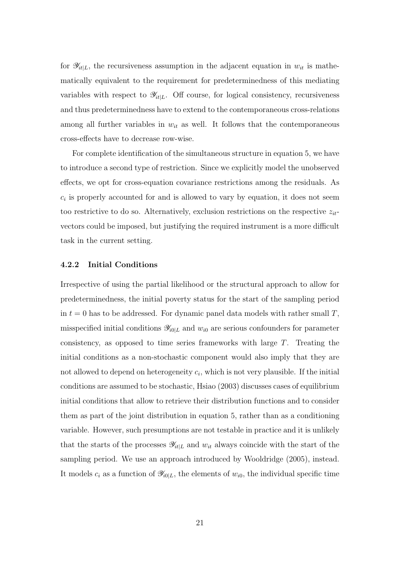for  $\mathscr{Y}_{it|L}$ , the recursiveness assumption in the adjacent equation in  $w_{it}$  is mathematically equivalent to the requirement for predeterminedness of this mediating variables with respect to  $\mathscr{Y}_{it|L}$ . Off course, for logical consistency, recursiveness and thus predeterminedness have to extend to the contemporaneous cross-relations among all further variables in  $w_{it}$  as well. It follows that the contemporaneous cross-effects have to decrease row-wise.

For complete identification of the simultaneous structure in equation 5, we have to introduce a second type of restriction. Since we explicitly model the unobserved effects, we opt for cross-equation covariance restrictions among the residuals. As  $c_i$  is properly accounted for and is allowed to vary by equation, it does not seem too restrictive to do so. Alternatively, exclusion restrictions on the respective  $z_{it}$ vectors could be imposed, but justifying the required instrument is a more difficult task in the current setting.

### 4.2.2 Initial Conditions

Irrespective of using the partial likelihood or the structural approach to allow for predeterminedness, the initial poverty status for the start of the sampling period in  $t = 0$  has to be addressed. For dynamic panel data models with rather small T, misspecified initial conditions  $\mathscr{Y}_{i0|L}$  and  $w_{i0}$  are serious confounders for parameter consistency, as opposed to time series frameworks with large T. Treating the initial conditions as a non-stochastic component would also imply that they are not allowed to depend on heterogeneity  $c_i$ , which is not very plausible. If the initial conditions are assumed to be stochastic, Hsiao (2003) discusses cases of equilibrium initial conditions that allow to retrieve their distribution functions and to consider them as part of the joint distribution in equation 5, rather than as a conditioning variable. However, such presumptions are not testable in practice and it is unlikely that the starts of the processes  $\mathscr{Y}_{it|L}$  and  $w_{it}$  always coincide with the start of the sampling period. We use an approach introduced by Wooldridge (2005), instead. It models  $c_i$  as a function of  $\mathscr{Y}_{i0|L}$ , the elements of  $w_{i0}$ , the individual specific time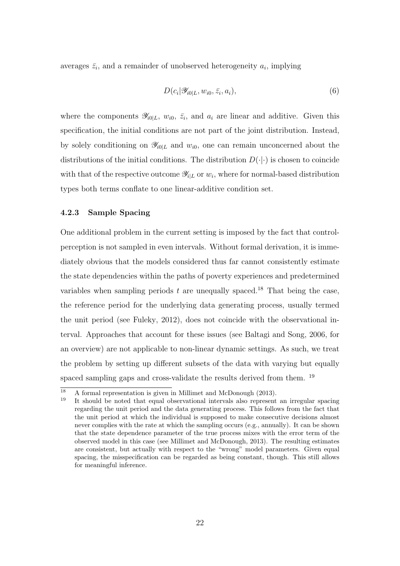averages  $\bar{z}_i$ , and a remainder of unobserved heterogeneity  $a_i$ , implying

$$
D(c_i|\mathscr{Y}_{i0|L}, w_{i0}, \bar{z}_i, a_i), \qquad (6)
$$

where the components  $\mathscr{Y}_{i0|L}$ ,  $w_{i0}$ ,  $\bar{z}_i$ , and  $a_i$  are linear and additive. Given this specification, the initial conditions are not part of the joint distribution. Instead, by solely conditioning on  $\mathscr{Y}_{i0|L}$  and  $w_{i0}$ , one can remain unconcerned about the distributions of the initial conditions. The distribution  $D(\cdot|\cdot)$  is chosen to coincide with that of the respective outcome  $\mathscr{Y}_{i|L}$  or  $w_i$ , where for normal-based distribution types both terms conflate to one linear-additive condition set.

### 4.2.3 Sample Spacing

One additional problem in the current setting is imposed by the fact that controlperception is not sampled in even intervals. Without formal derivation, it is immediately obvious that the models considered thus far cannot consistently estimate the state dependencies within the paths of poverty experiences and predetermined variables when sampling periods  $t$  are unequally spaced.<sup>18</sup> That being the case, the reference period for the underlying data generating process, usually termed the unit period (see Fuleky, 2012), does not coincide with the observational interval. Approaches that account for these issues (see Baltagi and Song, 2006, for an overview) are not applicable to non-linear dynamic settings. As such, we treat the problem by setting up different subsets of the data with varying but equally spaced sampling gaps and cross-validate the results derived from them. <sup>19</sup>

 $\frac{18}{18}$  A formal representation is given in Millimet and McDonough (2013).

<sup>19</sup> It should be noted that equal observational intervals also represent an irregular spacing regarding the unit period and the data generating process. This follows from the fact that the unit period at which the individual is supposed to make consecutive decisions almost never complies with the rate at which the sampling occurs (e.g., annually). It can be shown that the state dependence parameter of the true process mixes with the error term of the observed model in this case (see Millimet and McDonough, 2013). The resulting estimates are consistent, but actually with respect to the "wrong" model parameters. Given equal spacing, the misspecification can be regarded as being constant, though. This still allows for meaningful inference.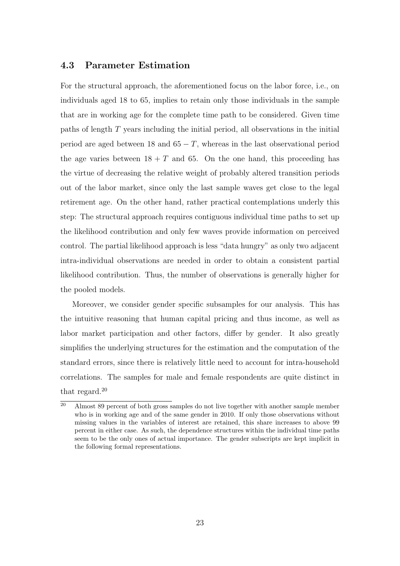### 4.3 Parameter Estimation

For the structural approach, the aforementioned focus on the labor force, i.e., on individuals aged 18 to 65, implies to retain only those individuals in the sample that are in working age for the complete time path to be considered. Given time paths of length T years including the initial period, all observations in the initial period are aged between 18 and  $65 - T$ , whereas in the last observational period the age varies between  $18 + T$  and 65. On the one hand, this proceeding has the virtue of decreasing the relative weight of probably altered transition periods out of the labor market, since only the last sample waves get close to the legal retirement age. On the other hand, rather practical contemplations underly this step: The structural approach requires contiguous individual time paths to set up the likelihood contribution and only few waves provide information on perceived control. The partial likelihood approach is less "data hungry" as only two adjacent intra-individual observations are needed in order to obtain a consistent partial likelihood contribution. Thus, the number of observations is generally higher for the pooled models.

Moreover, we consider gender specific subsamples for our analysis. This has the intuitive reasoning that human capital pricing and thus income, as well as labor market participation and other factors, differ by gender. It also greatly simplifies the underlying structures for the estimation and the computation of the standard errors, since there is relatively little need to account for intra-household correlations. The samples for male and female respondents are quite distinct in that regard.<sup>20</sup>

 $\frac{20}{20}$  Almost 89 percent of both gross samples do not live together with another sample member who is in working age and of the same gender in 2010. If only those observations without missing values in the variables of interest are retained, this share increases to above 99 percent in either case. As such, the dependence structures within the individual time paths seem to be the only ones of actual importance. The gender subscripts are kept implicit in the following formal representations.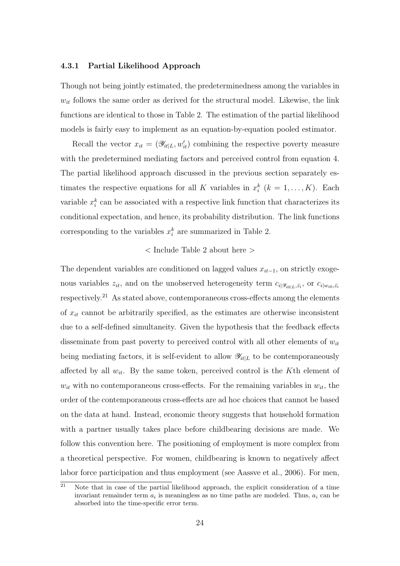#### 4.3.1 Partial Likelihood Approach

Though not being jointly estimated, the predeterminedness among the variables in  $w_{it}$  follows the same order as derived for the structural model. Likewise, the link functions are identical to those in Table 2. The estimation of the partial likelihood models is fairly easy to implement as an equation-by-equation pooled estimator.

Recall the vector  $x_{it} = (\mathscr{Y}_{it|L}, w'_{it})$  combining the respective poverty measure with the predetermined mediating factors and perceived control from equation 4. The partial likelihood approach discussed in the previous section separately estimates the respective equations for all K variables in  $x_i^k$  ( $k = 1, ..., K$ ). Each variable  $x_i^k$  can be associated with a respective link function that characterizes its conditional expectation, and hence, its probability distribution. The link functions corresponding to the variables  $x_i^k$  are summarized in Table 2.

### $\langle$  Include Table 2 about here  $\langle$

The dependent variables are conditioned on lagged values  $x_{it-1}$ , on strictly exogenous variables  $z_{it}$ , and on the unobserved heterogeneity term  $c_{i|\mathscr{Y}_{i0|L},\bar{z_i}}$ , or  $c_{i|w_{i0},\bar{z_i}}$ respectively.<sup>21</sup> As stated above, contemporaneous cross-effects among the elements of  $x_{it}$  cannot be arbitrarily specified, as the estimates are otherwise inconsistent due to a self-defined simultaneity. Given the hypothesis that the feedback effects disseminate from past poverty to perceived control with all other elements of  $w_{it}$ being mediating factors, it is self-evident to allow  $\mathscr{Y}_{it|L}$  to be contemporaneously affected by all  $w_{it}$ . By the same token, perceived control is the K<sup>th</sup> element of  $w_{it}$  with no contemporaneous cross-effects. For the remaining variables in  $w_{it}$ , the order of the contemporaneous cross-effects are ad hoc choices that cannot be based on the data at hand. Instead, economic theory suggests that household formation with a partner usually takes place before childbearing decisions are made. We follow this convention here. The positioning of employment is more complex from a theoretical perspective. For women, childbearing is known to negatively affect labor force participation and thus employment (see Aassve et al., 2006). For men,

<sup>&</sup>lt;sup>21</sup> Note that in case of the partial likelihood approach, the explicit consideration of a time invariant remainder term  $a_i$  is meaningless as no time paths are modeled. Thus,  $a_i$  can be absorbed into the time-specific error term.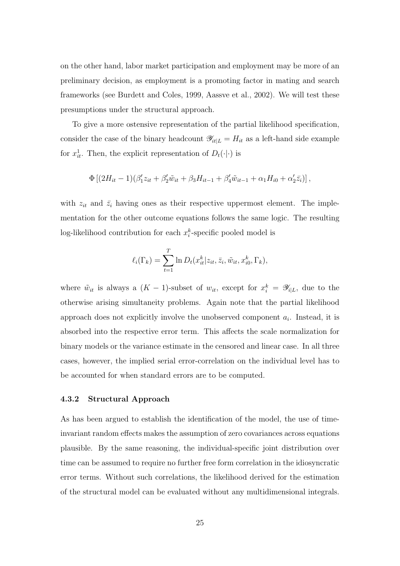on the other hand, labor market participation and employment may be more of an preliminary decision, as employment is a promoting factor in mating and search frameworks (see Burdett and Coles, 1999, Aassve et al., 2002). We will test these presumptions under the structural approach.

To give a more ostensive representation of the partial likelihood specification, consider the case of the binary headcount  $\mathscr{Y}_{it|L} = H_{it}$  as a left-hand side example for  $x_{it}^1$ . Then, the explicit representation of  $D_t(\cdot|\cdot)$  is

$$
\Phi [(2H_{it}-1)(\beta'_1 z_{it} + \beta'_2 \tilde{w}_{it} + \beta_3 H_{it-1} + \beta'_4 \tilde{w}_{it-1} + \alpha_1 H_{i0} + \alpha'_2 \bar{z}_i)],
$$

with  $z_{it}$  and  $\bar{z}_i$  having ones as their respective uppermost element. The implementation for the other outcome equations follows the same logic. The resulting log-likelihood contribution for each  $x_i^k$ -specific pooled model is

$$
\ell_i(\Gamma_k) = \sum_{t=1}^T \ln D_t(x_{it}^k | z_{it}, \bar{z}_i, \tilde{w}_{it}, x_{i0}^k, \Gamma_k),
$$

where  $\tilde{w}_{it}$  is always a  $(K-1)$ -subset of  $w_{it}$ , except for  $x_i^k = \mathscr{Y}_{i|L}$ , due to the otherwise arising simultaneity problems. Again note that the partial likelihood approach does not explicitly involve the unobserved component  $a_i$ . Instead, it is absorbed into the respective error term. This affects the scale normalization for binary models or the variance estimate in the censored and linear case. In all three cases, however, the implied serial error-correlation on the individual level has to be accounted for when standard errors are to be computed.

#### 4.3.2 Structural Approach

As has been argued to establish the identification of the model, the use of timeinvariant random effects makes the assumption of zero covariances across equations plausible. By the same reasoning, the individual-specific joint distribution over time can be assumed to require no further free form correlation in the idiosyncratic error terms. Without such correlations, the likelihood derived for the estimation of the structural model can be evaluated without any multidimensional integrals.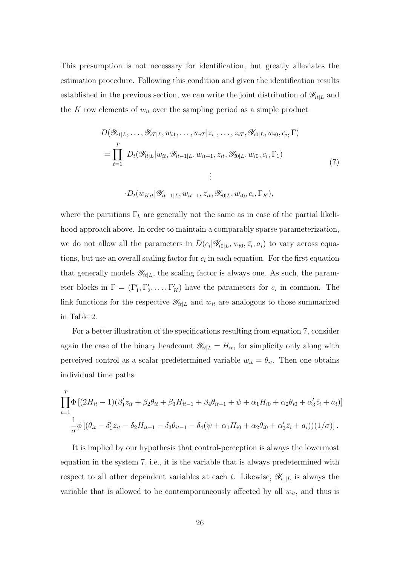This presumption is not necessary for identification, but greatly alleviates the estimation procedure. Following this condition and given the identification results established in the previous section, we can write the joint distribution of  $\mathscr{Y}_{it|L}$  and the K row elements of  $w_{it}$  over the sampling period as a simple product

$$
D(\mathscr{Y}_{i1|L}, \dots, \mathscr{Y}_{iT|L}, w_{i1}, \dots, w_{iT}|z_{i1}, \dots, z_{iT}, \mathscr{Y}_{i0|L}, w_{i0}, c_i, \Gamma)
$$
  
= 
$$
\prod_{t=1}^{T} D_t(\mathscr{Y}_{it|L}|w_{it}, \mathscr{Y}_{it-1|L}, w_{it-1}, z_{it}, \mathscr{Y}_{i0|L}, w_{i0}, c_i, \Gamma_1)
$$
  
:  

$$
\vdots
$$
  

$$
D_t(w_{Kit}|\mathscr{Y}_{it-1|L}, w_{it-1}, z_{it}, \mathscr{Y}_{i0|L}, w_{i0}, c_i, \Gamma_K),
$$
  

$$
(7)
$$

where the partitions  $\Gamma_k$  are generally not the same as in case of the partial likelihood approach above. In order to maintain a comparably sparse parameterization, we do not allow all the parameters in  $D(c_i|\mathscr{Y}_{i\text{0}|L}, w_{i0}, \bar{z}_i, a_i)$  to vary across equations, but use an overall scaling factor for  $c_i$  in each equation. For the first equation that generally models  $\mathscr{Y}_{it|L}$ , the scaling factor is always one. As such, the parameter blocks in  $\Gamma = (\Gamma'_1, \Gamma'_2, \dots, \Gamma'_K)$  have the parameters for  $c_i$  in common. The link functions for the respective  $\mathscr{Y}_{it|L}$  and  $w_{it}$  are analogous to those summarized in Table 2.

For a better illustration of the specifications resulting from equation 7, consider again the case of the binary headcount  $\mathcal{Y}_{it|L} = H_{it}$ , for simplicity only along with perceived control as a scalar predetermined variable  $w_{it} = \theta_{it}$ . Then one obtains individual time paths

$$
\prod_{t=1}^{T} \Phi \left[ (2H_{it} - 1)(\beta_1' z_{it} + \beta_2 \theta_{it} + \beta_3 H_{it-1} + \beta_4 \theta_{it-1} + \psi + \alpha_1 H_{i0} + \alpha_2 \theta_{i0} + \alpha_3' \bar{z}_i + a_i) \right]
$$

$$
\frac{1}{\sigma} \phi \left[ (\theta_{it} - \delta_1' z_{it} - \delta_2 H_{it-1} - \delta_3 \theta_{it-1} - \delta_4 (\psi + \alpha_1 H_{i0} + \alpha_2 \theta_{i0} + \alpha_3' \bar{z}_i + a_i)) (1/\sigma) \right].
$$

It is implied by our hypothesis that control-perception is always the lowermost equation in the system 7, i.e., it is the variable that is always predetermined with respect to all other dependent variables at each t. Likewise,  $\mathscr{Y}_{i|L}$  is always the variable that is allowed to be contemporaneously affected by all  $w_{it}$ , and thus is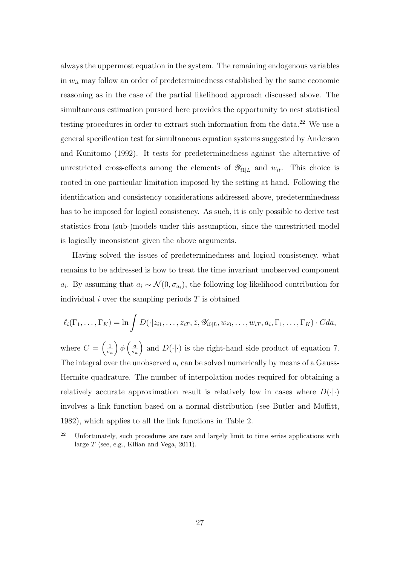always the uppermost equation in the system. The remaining endogenous variables in  $w_{it}$  may follow an order of predeterminedness established by the same economic reasoning as in the case of the partial likelihood approach discussed above. The simultaneous estimation pursued here provides the opportunity to nest statistical testing procedures in order to extract such information from the data.<sup>22</sup> We use a general specification test for simultaneous equation systems suggested by Anderson and Kunitomo (1992). It tests for predeterminedness against the alternative of unrestricted cross-effects among the elements of  $\mathscr{Y}_{i1|L}$  and  $w_{it}$ . This choice is rooted in one particular limitation imposed by the setting at hand. Following the identification and consistency considerations addressed above, predeterminedness has to be imposed for logical consistency. As such, it is only possible to derive test statistics from (sub-)models under this assumption, since the unrestricted model is logically inconsistent given the above arguments.

Having solved the issues of predeterminedness and logical consistency, what remains to be addressed is how to treat the time invariant unobserved component  $a_i$ . By assuming that  $a_i \sim \mathcal{N}(0, \sigma_{a_i})$ , the following log-likelihood contribution for individual  $i$  over the sampling periods  $T$  is obtained

$$
\ell_i(\Gamma_1,\ldots,\Gamma_K)=\ln\int D(\cdot|z_{i1},\ldots,z_{iT},\bar{z},\mathscr{Y}_{i0|L},w_{i0},\ldots,w_{iT},a_i,\Gamma_1,\ldots,\Gamma_K)\cdot Cda,
$$

where  $C = \left(\frac{1}{\pi}\right)$ σa  $\int \phi \left(\frac{a}{a}\right)$ σa ) and  $D(\cdot|\cdot)$  is the right-hand side product of equation 7. The integral over the unobserved  $a_i$  can be solved numerically by means of a Gauss-Hermite quadrature. The number of interpolation nodes required for obtaining a relatively accurate approximation result is relatively low in cases where  $D(\cdot|\cdot)$ involves a link function based on a normal distribution (see Butler and Moffitt, 1982), which applies to all the link functions in Table 2.

 $\overline{a^2}$  Unfortunately, such procedures are rare and largely limit to time series applications with large  $T$  (see, e.g., Kilian and Vega, 2011).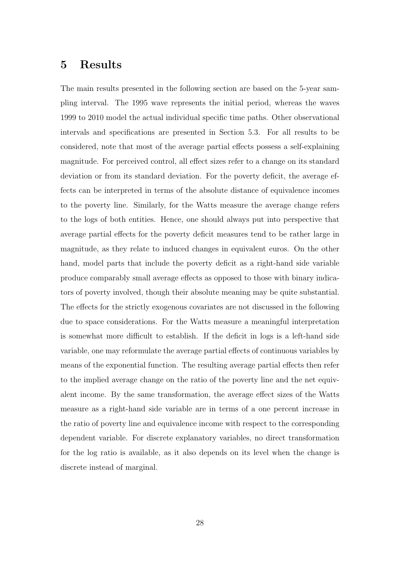### 5 Results

The main results presented in the following section are based on the 5-year sampling interval. The 1995 wave represents the initial period, whereas the waves 1999 to 2010 model the actual individual specific time paths. Other observational intervals and specifications are presented in Section 5.3. For all results to be considered, note that most of the average partial effects possess a self-explaining magnitude. For perceived control, all effect sizes refer to a change on its standard deviation or from its standard deviation. For the poverty deficit, the average effects can be interpreted in terms of the absolute distance of equivalence incomes to the poverty line. Similarly, for the Watts measure the average change refers to the logs of both entities. Hence, one should always put into perspective that average partial effects for the poverty deficit measures tend to be rather large in magnitude, as they relate to induced changes in equivalent euros. On the other hand, model parts that include the poverty deficit as a right-hand side variable produce comparably small average effects as opposed to those with binary indicators of poverty involved, though their absolute meaning may be quite substantial. The effects for the strictly exogenous covariates are not discussed in the following due to space considerations. For the Watts measure a meaningful interpretation is somewhat more difficult to establish. If the deficit in logs is a left-hand side variable, one may reformulate the average partial effects of continuous variables by means of the exponential function. The resulting average partial effects then refer to the implied average change on the ratio of the poverty line and the net equivalent income. By the same transformation, the average effect sizes of the Watts measure as a right-hand side variable are in terms of a one percent increase in the ratio of poverty line and equivalence income with respect to the corresponding dependent variable. For discrete explanatory variables, no direct transformation for the log ratio is available, as it also depends on its level when the change is discrete instead of marginal.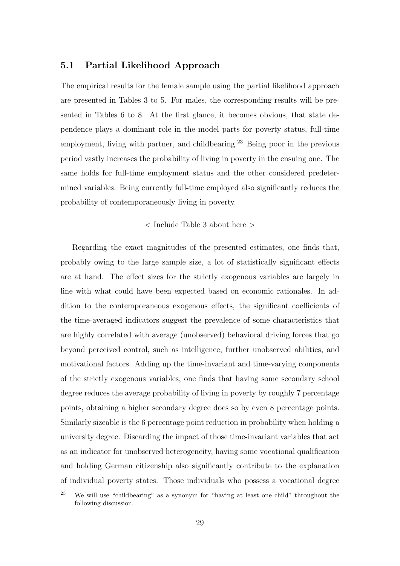### 5.1 Partial Likelihood Approach

The empirical results for the female sample using the partial likelihood approach are presented in Tables 3 to 5. For males, the corresponding results will be presented in Tables 6 to 8. At the first glance, it becomes obvious, that state dependence plays a dominant role in the model parts for poverty status, full-time employment, living with partner, and childbearing.<sup>23</sup> Being poor in the previous period vastly increases the probability of living in poverty in the ensuing one. The same holds for full-time employment status and the other considered predetermined variables. Being currently full-time employed also significantly reduces the probability of contemporaneously living in poverty.

< Include Table 3 about here >

Regarding the exact magnitudes of the presented estimates, one finds that, probably owing to the large sample size, a lot of statistically significant effects are at hand. The effect sizes for the strictly exogenous variables are largely in line with what could have been expected based on economic rationales. In addition to the contemporaneous exogenous effects, the significant coefficients of the time-averaged indicators suggest the prevalence of some characteristics that are highly correlated with average (unobserved) behavioral driving forces that go beyond perceived control, such as intelligence, further unobserved abilities, and motivational factors. Adding up the time-invariant and time-varying components of the strictly exogenous variables, one finds that having some secondary school degree reduces the average probability of living in poverty by roughly 7 percentage points, obtaining a higher secondary degree does so by even 8 percentage points. Similarly sizeable is the 6 percentage point reduction in probability when holding a university degree. Discarding the impact of those time-invariant variables that act as an indicator for unobserved heterogeneity, having some vocational qualification and holding German citizenship also significantly contribute to the explanation of individual poverty states. Those individuals who possess a vocational degree

 $23$  We will use "childbearing" as a synonym for "having at least one child" throughout the following discussion.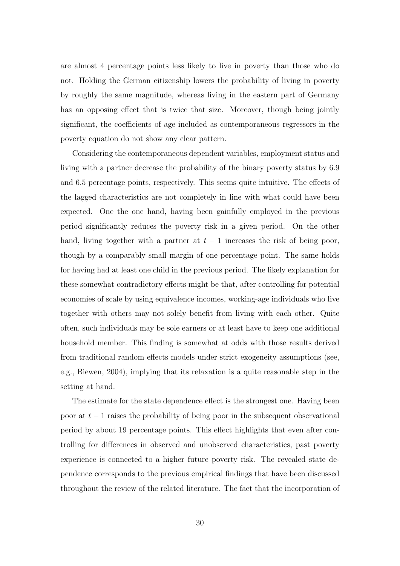are almost 4 percentage points less likely to live in poverty than those who do not. Holding the German citizenship lowers the probability of living in poverty by roughly the same magnitude, whereas living in the eastern part of Germany has an opposing effect that is twice that size. Moreover, though being jointly significant, the coefficients of age included as contemporaneous regressors in the poverty equation do not show any clear pattern.

Considering the contemporaneous dependent variables, employment status and living with a partner decrease the probability of the binary poverty status by 6.9 and 6.5 percentage points, respectively. This seems quite intuitive. The effects of the lagged characteristics are not completely in line with what could have been expected. One the one hand, having been gainfully employed in the previous period significantly reduces the poverty risk in a given period. On the other hand, living together with a partner at  $t - 1$  increases the risk of being poor, though by a comparably small margin of one percentage point. The same holds for having had at least one child in the previous period. The likely explanation for these somewhat contradictory effects might be that, after controlling for potential economies of scale by using equivalence incomes, working-age individuals who live together with others may not solely benefit from living with each other. Quite often, such individuals may be sole earners or at least have to keep one additional household member. This finding is somewhat at odds with those results derived from traditional random effects models under strict exogeneity assumptions (see, e.g., Biewen, 2004), implying that its relaxation is a quite reasonable step in the setting at hand.

The estimate for the state dependence effect is the strongest one. Having been poor at  $t-1$  raises the probability of being poor in the subsequent observational period by about 19 percentage points. This effect highlights that even after controlling for differences in observed and unobserved characteristics, past poverty experience is connected to a higher future poverty risk. The revealed state dependence corresponds to the previous empirical findings that have been discussed throughout the review of the related literature. The fact that the incorporation of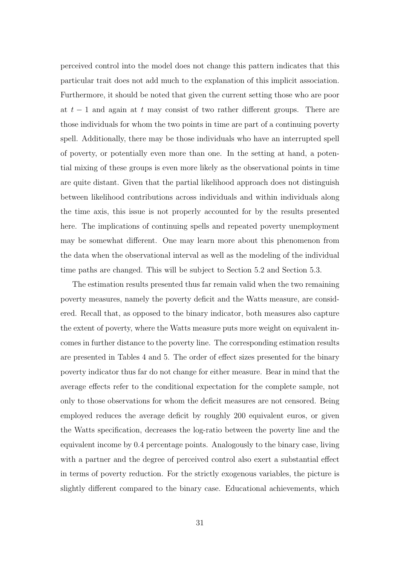perceived control into the model does not change this pattern indicates that this particular trait does not add much to the explanation of this implicit association. Furthermore, it should be noted that given the current setting those who are poor at  $t-1$  and again at t may consist of two rather different groups. There are those individuals for whom the two points in time are part of a continuing poverty spell. Additionally, there may be those individuals who have an interrupted spell of poverty, or potentially even more than one. In the setting at hand, a potential mixing of these groups is even more likely as the observational points in time are quite distant. Given that the partial likelihood approach does not distinguish between likelihood contributions across individuals and within individuals along the time axis, this issue is not properly accounted for by the results presented here. The implications of continuing spells and repeated poverty unemployment may be somewhat different. One may learn more about this phenomenon from the data when the observational interval as well as the modeling of the individual time paths are changed. This will be subject to Section 5.2 and Section 5.3.

The estimation results presented thus far remain valid when the two remaining poverty measures, namely the poverty deficit and the Watts measure, are considered. Recall that, as opposed to the binary indicator, both measures also capture the extent of poverty, where the Watts measure puts more weight on equivalent incomes in further distance to the poverty line. The corresponding estimation results are presented in Tables 4 and 5. The order of effect sizes presented for the binary poverty indicator thus far do not change for either measure. Bear in mind that the average effects refer to the conditional expectation for the complete sample, not only to those observations for whom the deficit measures are not censored. Being employed reduces the average deficit by roughly 200 equivalent euros, or given the Watts specification, decreases the log-ratio between the poverty line and the equivalent income by 0.4 percentage points. Analogously to the binary case, living with a partner and the degree of perceived control also exert a substantial effect in terms of poverty reduction. For the strictly exogenous variables, the picture is slightly different compared to the binary case. Educational achievements, which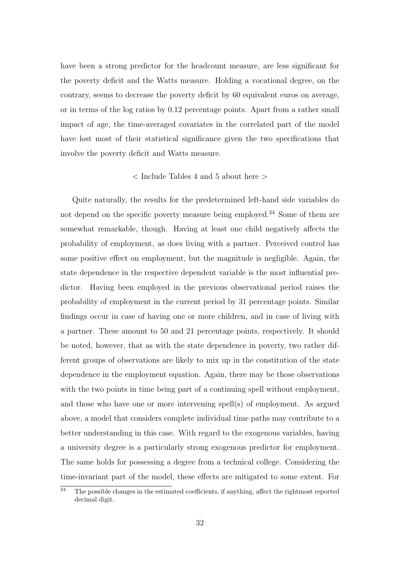have been a strong predictor for the headcount measure, are less significant for the poverty deficit and the Watts measure. Holding a vocational degree, on the contrary, seems to decrease the poverty deficit by 60 equivalent euros on average, or in terms of the log ratios by 0.12 percentage points. Apart from a rather small impact of age, the time-averaged covariates in the correlated part of the model have lost most of their statistical significance given the two specifications that involve the poverty deficit and Watts measure.

### $<$  Include Tables 4 and 5 about here  $>$

Quite naturally, the results for the predetermined left-hand side variables do not depend on the specific poverty measure being employed.<sup>24</sup> Some of them are somewhat remarkable, though. Having at least one child negatively affects the probability of employment, as does living with a partner. Perceived control has some positive effect on employment, but the magnitude is negligible. Again, the state dependence in the respective dependent variable is the most influential predictor. Having been employed in the previous observational period raises the probability of employment in the current period by 31 percentage points. Similar findings occur in case of having one or more children, and in case of living with a partner. These amount to 50 and 21 percentage points, respectively. It should be noted, however, that as with the state dependence in poverty, two rather different groups of observations are likely to mix up in the constitution of the state dependence in the employment equation. Again, there may be those observations with the two points in time being part of a continuing spell without employment, and those who have one or more intervening spell(s) of employment. As argued above, a model that considers complete individual time paths may contribute to a better understanding in this case. With regard to the exogenous variables, having a university degree is a particularly strong exogenous predictor for employment. The same holds for possessing a degree from a technical college. Considering the time-invariant part of the model, these effects are mitigated to some extent. For

 $\overline{a^2}$  The possible changes in the estimated coefficients, if anything, affect the rightmost reported decimal digit.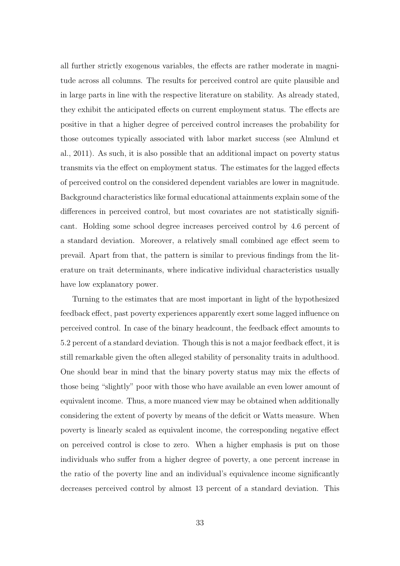all further strictly exogenous variables, the effects are rather moderate in magnitude across all columns. The results for perceived control are quite plausible and in large parts in line with the respective literature on stability. As already stated, they exhibit the anticipated effects on current employment status. The effects are positive in that a higher degree of perceived control increases the probability for those outcomes typically associated with labor market success (see Almlund et al., 2011). As such, it is also possible that an additional impact on poverty status transmits via the effect on employment status. The estimates for the lagged effects of perceived control on the considered dependent variables are lower in magnitude. Background characteristics like formal educational attainments explain some of the differences in perceived control, but most covariates are not statistically significant. Holding some school degree increases perceived control by 4.6 percent of a standard deviation. Moreover, a relatively small combined age effect seem to prevail. Apart from that, the pattern is similar to previous findings from the literature on trait determinants, where indicative individual characteristics usually have low explanatory power.

Turning to the estimates that are most important in light of the hypothesized feedback effect, past poverty experiences apparently exert some lagged influence on perceived control. In case of the binary headcount, the feedback effect amounts to 5.2 percent of a standard deviation. Though this is not a major feedback effect, it is still remarkable given the often alleged stability of personality traits in adulthood. One should bear in mind that the binary poverty status may mix the effects of those being "slightly" poor with those who have available an even lower amount of equivalent income. Thus, a more nuanced view may be obtained when additionally considering the extent of poverty by means of the deficit or Watts measure. When poverty is linearly scaled as equivalent income, the corresponding negative effect on perceived control is close to zero. When a higher emphasis is put on those individuals who suffer from a higher degree of poverty, a one percent increase in the ratio of the poverty line and an individual's equivalence income significantly decreases perceived control by almost 13 percent of a standard deviation. This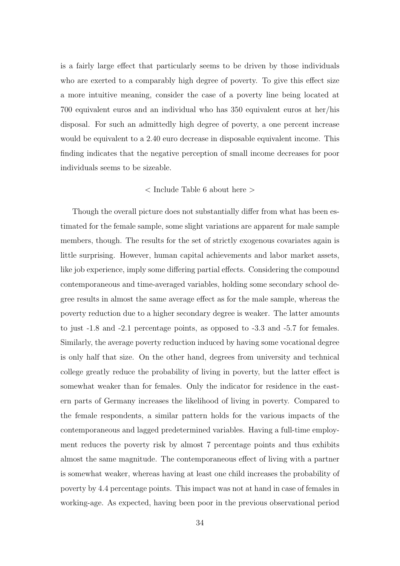is a fairly large effect that particularly seems to be driven by those individuals who are exerted to a comparably high degree of poverty. To give this effect size a more intuitive meaning, consider the case of a poverty line being located at 700 equivalent euros and an individual who has 350 equivalent euros at her/his disposal. For such an admittedly high degree of poverty, a one percent increase would be equivalent to a 2.40 euro decrease in disposable equivalent income. This finding indicates that the negative perception of small income decreases for poor individuals seems to be sizeable.

#### < Include Table 6 about here >

Though the overall picture does not substantially differ from what has been estimated for the female sample, some slight variations are apparent for male sample members, though. The results for the set of strictly exogenous covariates again is little surprising. However, human capital achievements and labor market assets, like job experience, imply some differing partial effects. Considering the compound contemporaneous and time-averaged variables, holding some secondary school degree results in almost the same average effect as for the male sample, whereas the poverty reduction due to a higher secondary degree is weaker. The latter amounts to just -1.8 and -2.1 percentage points, as opposed to -3.3 and -5.7 for females. Similarly, the average poverty reduction induced by having some vocational degree is only half that size. On the other hand, degrees from university and technical college greatly reduce the probability of living in poverty, but the latter effect is somewhat weaker than for females. Only the indicator for residence in the eastern parts of Germany increases the likelihood of living in poverty. Compared to the female respondents, a similar pattern holds for the various impacts of the contemporaneous and lagged predetermined variables. Having a full-time employment reduces the poverty risk by almost 7 percentage points and thus exhibits almost the same magnitude. The contemporaneous effect of living with a partner is somewhat weaker, whereas having at least one child increases the probability of poverty by 4.4 percentage points. This impact was not at hand in case of females in working-age. As expected, having been poor in the previous observational period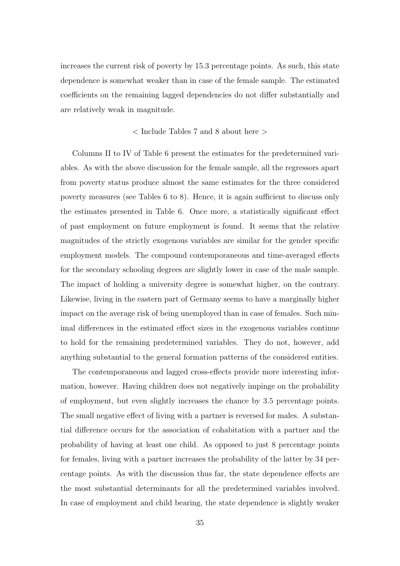increases the current risk of poverty by 15.3 percentage points. As such, this state dependence is somewhat weaker than in case of the female sample. The estimated coefficients on the remaining lagged dependencies do not differ substantially and are relatively weak in magnitude.

#### < Include Tables 7 and 8 about here >

Columns II to IV of Table 6 present the estimates for the predetermined variables. As with the above discussion for the female sample, all the regressors apart from poverty status produce almost the same estimates for the three considered poverty measures (see Tables 6 to 8). Hence, it is again sufficient to discuss only the estimates presented in Table 6. Once more, a statistically significant effect of past employment on future employment is found. It seems that the relative magnitudes of the strictly exogenous variables are similar for the gender specific employment models. The compound contemporaneous and time-averaged effects for the secondary schooling degrees are slightly lower in case of the male sample. The impact of holding a university degree is somewhat higher, on the contrary. Likewise, living in the eastern part of Germany seems to have a marginally higher impact on the average risk of being unemployed than in case of females. Such minimal differences in the estimated effect sizes in the exogenous variables continue to hold for the remaining predetermined variables. They do not, however, add anything substantial to the general formation patterns of the considered entities.

The contemporaneous and lagged cross-effects provide more interesting information, however. Having children does not negatively impinge on the probability of employment, but even slightly increases the chance by 3.5 percentage points. The small negative effect of living with a partner is reversed for males. A substantial difference occurs for the association of cohabitation with a partner and the probability of having at least one child. As opposed to just 8 percentage points for females, living with a partner increases the probability of the latter by 34 percentage points. As with the discussion thus far, the state dependence effects are the most substantial determinants for all the predetermined variables involved. In case of employment and child bearing, the state dependence is slightly weaker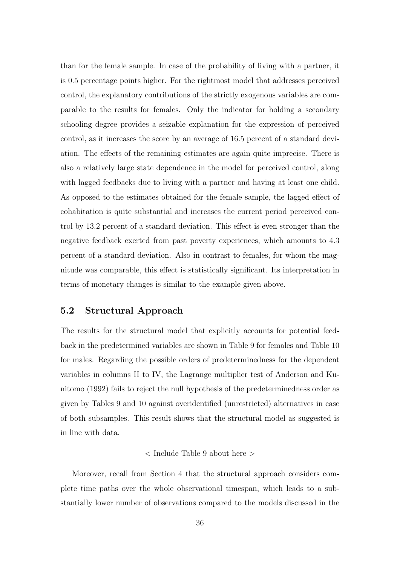than for the female sample. In case of the probability of living with a partner, it is 0.5 percentage points higher. For the rightmost model that addresses perceived control, the explanatory contributions of the strictly exogenous variables are comparable to the results for females. Only the indicator for holding a secondary schooling degree provides a seizable explanation for the expression of perceived control, as it increases the score by an average of 16.5 percent of a standard deviation. The effects of the remaining estimates are again quite imprecise. There is also a relatively large state dependence in the model for perceived control, along with lagged feedbacks due to living with a partner and having at least one child. As opposed to the estimates obtained for the female sample, the lagged effect of cohabitation is quite substantial and increases the current period perceived control by 13.2 percent of a standard deviation. This effect is even stronger than the negative feedback exerted from past poverty experiences, which amounts to 4.3 percent of a standard deviation. Also in contrast to females, for whom the magnitude was comparable, this effect is statistically significant. Its interpretation in terms of monetary changes is similar to the example given above.

### 5.2 Structural Approach

The results for the structural model that explicitly accounts for potential feedback in the predetermined variables are shown in Table 9 for females and Table 10 for males. Regarding the possible orders of predeterminedness for the dependent variables in columns II to IV, the Lagrange multiplier test of Anderson and Kunitomo (1992) fails to reject the null hypothesis of the predeterminedness order as given by Tables 9 and 10 against overidentified (unrestricted) alternatives in case of both subsamples. This result shows that the structural model as suggested is in line with data.

#### < Include Table 9 about here >

Moreover, recall from Section 4 that the structural approach considers complete time paths over the whole observational timespan, which leads to a substantially lower number of observations compared to the models discussed in the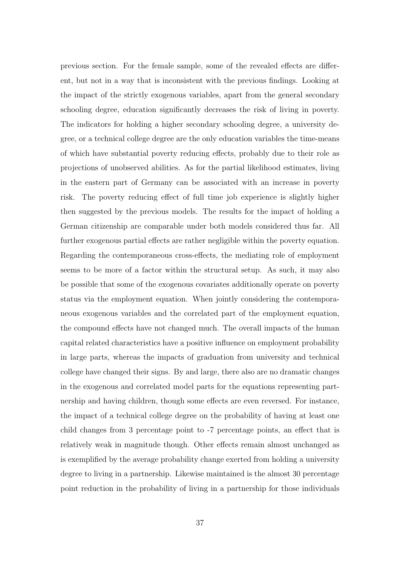previous section. For the female sample, some of the revealed effects are different, but not in a way that is inconsistent with the previous findings. Looking at the impact of the strictly exogenous variables, apart from the general secondary schooling degree, education significantly decreases the risk of living in poverty. The indicators for holding a higher secondary schooling degree, a university degree, or a technical college degree are the only education variables the time-means of which have substantial poverty reducing effects, probably due to their role as projections of unobserved abilities. As for the partial likelihood estimates, living in the eastern part of Germany can be associated with an increase in poverty risk. The poverty reducing effect of full time job experience is slightly higher then suggested by the previous models. The results for the impact of holding a German citizenship are comparable under both models considered thus far. All further exogenous partial effects are rather negligible within the poverty equation. Regarding the contemporaneous cross-effects, the mediating role of employment seems to be more of a factor within the structural setup. As such, it may also be possible that some of the exogenous covariates additionally operate on poverty status via the employment equation. When jointly considering the contemporaneous exogenous variables and the correlated part of the employment equation, the compound effects have not changed much. The overall impacts of the human capital related characteristics have a positive influence on employment probability in large parts, whereas the impacts of graduation from university and technical college have changed their signs. By and large, there also are no dramatic changes in the exogenous and correlated model parts for the equations representing partnership and having children, though some effects are even reversed. For instance, the impact of a technical college degree on the probability of having at least one child changes from 3 percentage point to -7 percentage points, an effect that is relatively weak in magnitude though. Other effects remain almost unchanged as is exemplified by the average probability change exerted from holding a university degree to living in a partnership. Likewise maintained is the almost 30 percentage point reduction in the probability of living in a partnership for those individuals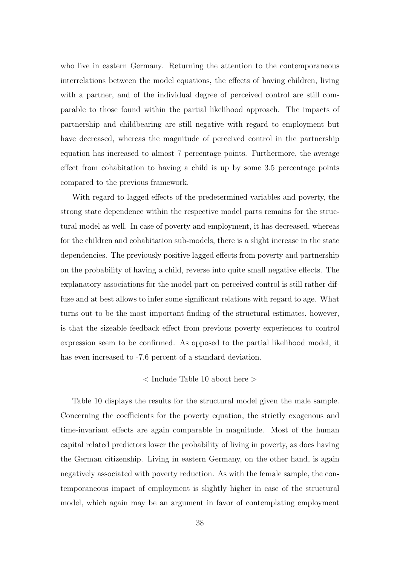who live in eastern Germany. Returning the attention to the contemporaneous interrelations between the model equations, the effects of having children, living with a partner, and of the individual degree of perceived control are still comparable to those found within the partial likelihood approach. The impacts of partnership and childbearing are still negative with regard to employment but have decreased, whereas the magnitude of perceived control in the partnership equation has increased to almost 7 percentage points. Furthermore, the average effect from cohabitation to having a child is up by some 3.5 percentage points compared to the previous framework.

With regard to lagged effects of the predetermined variables and poverty, the strong state dependence within the respective model parts remains for the structural model as well. In case of poverty and employment, it has decreased, whereas for the children and cohabitation sub-models, there is a slight increase in the state dependencies. The previously positive lagged effects from poverty and partnership on the probability of having a child, reverse into quite small negative effects. The explanatory associations for the model part on perceived control is still rather diffuse and at best allows to infer some significant relations with regard to age. What turns out to be the most important finding of the structural estimates, however, is that the sizeable feedback effect from previous poverty experiences to control expression seem to be confirmed. As opposed to the partial likelihood model, it has even increased to -7.6 percent of a standard deviation.

### < Include Table 10 about here >

Table 10 displays the results for the structural model given the male sample. Concerning the coefficients for the poverty equation, the strictly exogenous and time-invariant effects are again comparable in magnitude. Most of the human capital related predictors lower the probability of living in poverty, as does having the German citizenship. Living in eastern Germany, on the other hand, is again negatively associated with poverty reduction. As with the female sample, the contemporaneous impact of employment is slightly higher in case of the structural model, which again may be an argument in favor of contemplating employment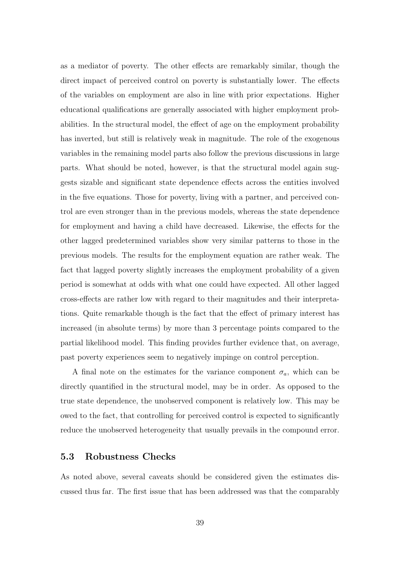as a mediator of poverty. The other effects are remarkably similar, though the direct impact of perceived control on poverty is substantially lower. The effects of the variables on employment are also in line with prior expectations. Higher educational qualifications are generally associated with higher employment probabilities. In the structural model, the effect of age on the employment probability has inverted, but still is relatively weak in magnitude. The role of the exogenous variables in the remaining model parts also follow the previous discussions in large parts. What should be noted, however, is that the structural model again suggests sizable and significant state dependence effects across the entities involved in the five equations. Those for poverty, living with a partner, and perceived control are even stronger than in the previous models, whereas the state dependence for employment and having a child have decreased. Likewise, the effects for the other lagged predetermined variables show very similar patterns to those in the previous models. The results for the employment equation are rather weak. The fact that lagged poverty slightly increases the employment probability of a given period is somewhat at odds with what one could have expected. All other lagged cross-effects are rather low with regard to their magnitudes and their interpretations. Quite remarkable though is the fact that the effect of primary interest has increased (in absolute terms) by more than 3 percentage points compared to the partial likelihood model. This finding provides further evidence that, on average, past poverty experiences seem to negatively impinge on control perception.

A final note on the estimates for the variance component  $\sigma_a$ , which can be directly quantified in the structural model, may be in order. As opposed to the true state dependence, the unobserved component is relatively low. This may be owed to the fact, that controlling for perceived control is expected to significantly reduce the unobserved heterogeneity that usually prevails in the compound error.

#### 5.3 Robustness Checks

As noted above, several caveats should be considered given the estimates discussed thus far. The first issue that has been addressed was that the comparably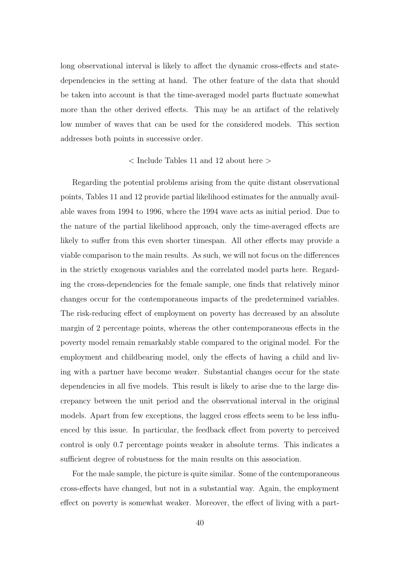long observational interval is likely to affect the dynamic cross-effects and statedependencies in the setting at hand. The other feature of the data that should be taken into account is that the time-averaged model parts fluctuate somewhat more than the other derived effects. This may be an artifact of the relatively low number of waves that can be used for the considered models. This section addresses both points in successive order.

#### < Include Tables 11 and 12 about here >

Regarding the potential problems arising from the quite distant observational points, Tables 11 and 12 provide partial likelihood estimates for the annually available waves from 1994 to 1996, where the 1994 wave acts as initial period. Due to the nature of the partial likelihood approach, only the time-averaged effects are likely to suffer from this even shorter timespan. All other effects may provide a viable comparison to the main results. As such, we will not focus on the differences in the strictly exogenous variables and the correlated model parts here. Regarding the cross-dependencies for the female sample, one finds that relatively minor changes occur for the contemporaneous impacts of the predetermined variables. The risk-reducing effect of employment on poverty has decreased by an absolute margin of 2 percentage points, whereas the other contemporaneous effects in the poverty model remain remarkably stable compared to the original model. For the employment and childbearing model, only the effects of having a child and living with a partner have become weaker. Substantial changes occur for the state dependencies in all five models. This result is likely to arise due to the large discrepancy between the unit period and the observational interval in the original models. Apart from few exceptions, the lagged cross effects seem to be less influenced by this issue. In particular, the feedback effect from poverty to perceived control is only 0.7 percentage points weaker in absolute terms. This indicates a sufficient degree of robustness for the main results on this association.

For the male sample, the picture is quite similar. Some of the contemporaneous cross-effects have changed, but not in a substantial way. Again, the employment effect on poverty is somewhat weaker. Moreover, the effect of living with a part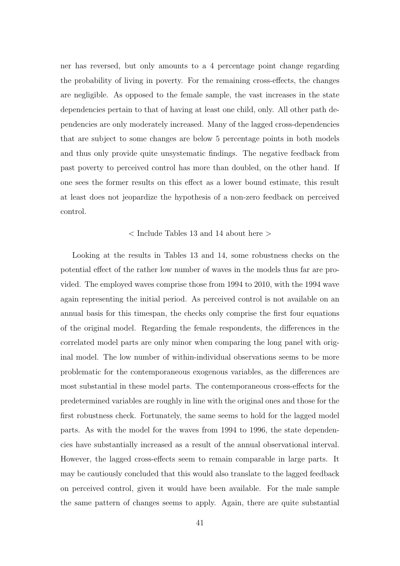ner has reversed, but only amounts to a 4 percentage point change regarding the probability of living in poverty. For the remaining cross-effects, the changes are negligible. As opposed to the female sample, the vast increases in the state dependencies pertain to that of having at least one child, only. All other path dependencies are only moderately increased. Many of the lagged cross-dependencies that are subject to some changes are below 5 percentage points in both models and thus only provide quite unsystematic findings. The negative feedback from past poverty to perceived control has more than doubled, on the other hand. If one sees the former results on this effect as a lower bound estimate, this result at least does not jeopardize the hypothesis of a non-zero feedback on perceived control.

#### < Include Tables 13 and 14 about here >

Looking at the results in Tables 13 and 14, some robustness checks on the potential effect of the rather low number of waves in the models thus far are provided. The employed waves comprise those from 1994 to 2010, with the 1994 wave again representing the initial period. As perceived control is not available on an annual basis for this timespan, the checks only comprise the first four equations of the original model. Regarding the female respondents, the differences in the correlated model parts are only minor when comparing the long panel with original model. The low number of within-individual observations seems to be more problematic for the contemporaneous exogenous variables, as the differences are most substantial in these model parts. The contemporaneous cross-effects for the predetermined variables are roughly in line with the original ones and those for the first robustness check. Fortunately, the same seems to hold for the lagged model parts. As with the model for the waves from 1994 to 1996, the state dependencies have substantially increased as a result of the annual observational interval. However, the lagged cross-effects seem to remain comparable in large parts. It may be cautiously concluded that this would also translate to the lagged feedback on perceived control, given it would have been available. For the male sample the same pattern of changes seems to apply. Again, there are quite substantial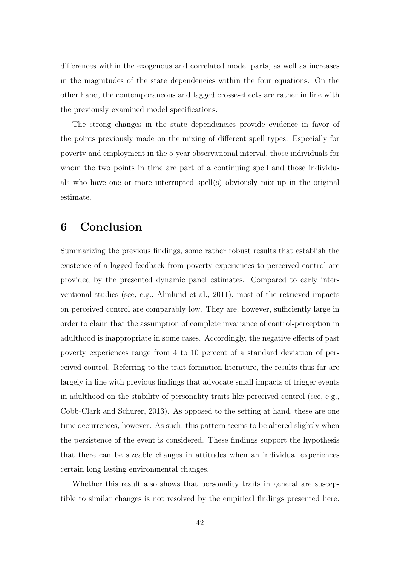differences within the exogenous and correlated model parts, as well as increases in the magnitudes of the state dependencies within the four equations. On the other hand, the contemporaneous and lagged crosse-effects are rather in line with the previously examined model specifications.

The strong changes in the state dependencies provide evidence in favor of the points previously made on the mixing of different spell types. Especially for poverty and employment in the 5-year observational interval, those individuals for whom the two points in time are part of a continuing spell and those individuals who have one or more interrupted spell(s) obviously mix up in the original estimate.

### 6 Conclusion

Summarizing the previous findings, some rather robust results that establish the existence of a lagged feedback from poverty experiences to perceived control are provided by the presented dynamic panel estimates. Compared to early interventional studies (see, e.g., Almlund et al., 2011), most of the retrieved impacts on perceived control are comparably low. They are, however, sufficiently large in order to claim that the assumption of complete invariance of control-perception in adulthood is inappropriate in some cases. Accordingly, the negative effects of past poverty experiences range from 4 to 10 percent of a standard deviation of perceived control. Referring to the trait formation literature, the results thus far are largely in line with previous findings that advocate small impacts of trigger events in adulthood on the stability of personality traits like perceived control (see, e.g., Cobb-Clark and Schurer, 2013). As opposed to the setting at hand, these are one time occurrences, however. As such, this pattern seems to be altered slightly when the persistence of the event is considered. These findings support the hypothesis that there can be sizeable changes in attitudes when an individual experiences certain long lasting environmental changes.

Whether this result also shows that personality traits in general are susceptible to similar changes is not resolved by the empirical findings presented here.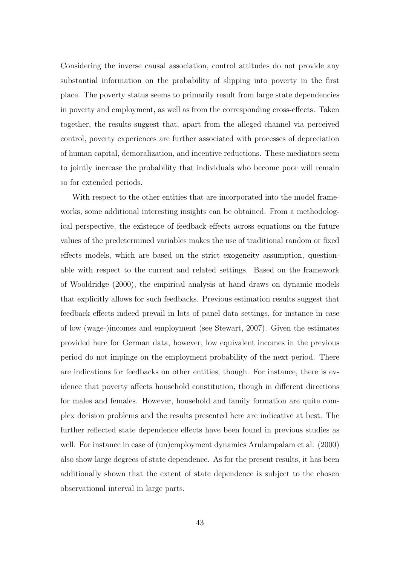Considering the inverse causal association, control attitudes do not provide any substantial information on the probability of slipping into poverty in the first place. The poverty status seems to primarily result from large state dependencies in poverty and employment, as well as from the corresponding cross-effects. Taken together, the results suggest that, apart from the alleged channel via perceived control, poverty experiences are further associated with processes of depreciation of human capital, demoralization, and incentive reductions. These mediators seem to jointly increase the probability that individuals who become poor will remain so for extended periods.

With respect to the other entities that are incorporated into the model frameworks, some additional interesting insights can be obtained. From a methodological perspective, the existence of feedback effects across equations on the future values of the predetermined variables makes the use of traditional random or fixed effects models, which are based on the strict exogeneity assumption, questionable with respect to the current and related settings. Based on the framework of Wooldridge (2000), the empirical analysis at hand draws on dynamic models that explicitly allows for such feedbacks. Previous estimation results suggest that feedback effects indeed prevail in lots of panel data settings, for instance in case of low (wage-)incomes and employment (see Stewart, 2007). Given the estimates provided here for German data, however, low equivalent incomes in the previous period do not impinge on the employment probability of the next period. There are indications for feedbacks on other entities, though. For instance, there is evidence that poverty affects household constitution, though in different directions for males and females. However, household and family formation are quite complex decision problems and the results presented here are indicative at best. The further reflected state dependence effects have been found in previous studies as well. For instance in case of (un)employment dynamics Arulampalam et al. (2000) also show large degrees of state dependence. As for the present results, it has been additionally shown that the extent of state dependence is subject to the chosen observational interval in large parts.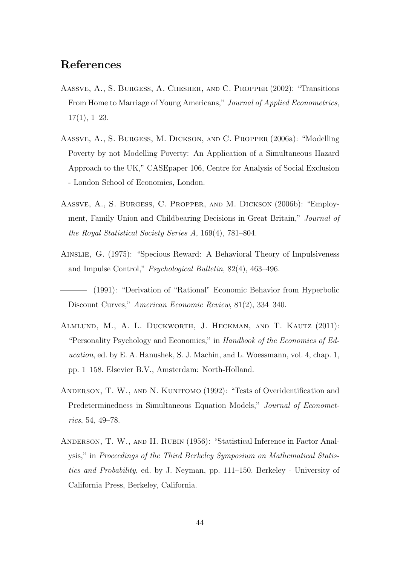### References

- Aassve, A., S. Burgess, A. Chesher, and C. Propper (2002): "Transitions From Home to Marriage of Young Americans," Journal of Applied Econometrics,  $17(1), 1-23.$
- Aassve, A., S. Burgess, M. Dickson, and C. Propper (2006a): "Modelling Poverty by not Modelling Poverty: An Application of a Simultaneous Hazard Approach to the UK," CASEpaper 106, Centre for Analysis of Social Exclusion - London School of Economics, London.
- Aassve, A., S. Burgess, C. Propper, and M. Dickson (2006b): "Employment, Family Union and Childbearing Decisions in Great Britain," Journal of the Royal Statistical Society Series A, 169(4), 781–804.
- Ainslie, G. (1975): "Specious Reward: A Behavioral Theory of Impulsiveness and Impulse Control," Psychological Bulletin, 82(4), 463–496.
- (1991): "Derivation of "Rational" Economic Behavior from Hyperbolic Discount Curves," American Economic Review, 81(2), 334–340.
- Almlund, M., A. L. Duckworth, J. Heckman, and T. Kautz (2011): "Personality Psychology and Economics," in Handbook of the Economics of Education, ed. by E. A. Hanushek, S. J. Machin, and L. Woessmann, vol. 4, chap. 1, pp. 1–158. Elsevier B.V., Amsterdam: North-Holland.
- ANDERSON, T. W., AND N. KUNITOMO (1992): "Tests of Overidentification and Predeterminedness in Simultaneous Equation Models," Journal of Econometrics, 54, 49–78.
- Anderson, T. W., and H. Rubin (1956): "Statistical Inference in Factor Analysis," in Proceedings of the Third Berkeley Symposium on Mathematical Statistics and Probability, ed. by J. Neyman, pp. 111–150. Berkeley - University of California Press, Berkeley, California.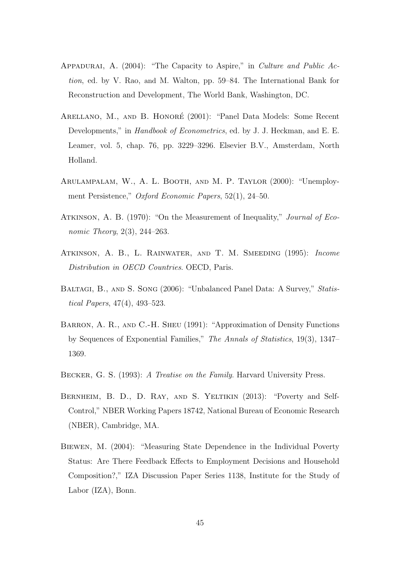- Appadurai, A. (2004): "The Capacity to Aspire," in Culture and Public Action, ed. by V. Rao, and M. Walton, pp. 59–84. The International Bank for Reconstruction and Development, The World Bank, Washington, DC.
- ARELLANO, M., AND B. HONORÉ (2001): "Panel Data Models: Some Recent Developments," in *Handbook of Econometrics*, ed. by J. J. Heckman, and E. E. Leamer, vol. 5, chap. 76, pp. 3229–3296. Elsevier B.V., Amsterdam, North Holland.
- Arulampalam, W., A. L. Booth, and M. P. Taylor (2000): "Unemployment Persistence," Oxford Economic Papers, 52(1), 24–50.
- ATKINSON, A. B. (1970): "On the Measurement of Inequality," *Journal of Eco*nomic Theory, 2(3), 244–263.
- Atkinson, A. B., L. Rainwater, and T. M. Smeeding (1995): Income Distribution in OECD Countries. OECD, Paris.
- BALTAGI, B., AND S. SONG (2006): "Unbalanced Panel Data: A Survey," Statistical Papers, 47(4), 493–523.
- BARRON, A. R., AND C.-H. SHEU (1991): "Approximation of Density Functions by Sequences of Exponential Families," The Annals of Statistics, 19(3), 1347– 1369.
- BECKER, G. S. (1993): A Treatise on the Family. Harvard University Press.
- BERNHEIM, B. D., D. RAY, AND S. YELTIKIN (2013): "Poverty and Self-Control," NBER Working Papers 18742, National Bureau of Economic Research (NBER), Cambridge, MA.
- Biewen, M. (2004): "Measuring State Dependence in the Individual Poverty Status: Are There Feedback Effects to Employment Decisions and Household Composition?," IZA Discussion Paper Series 1138, Institute for the Study of Labor (IZA), Bonn.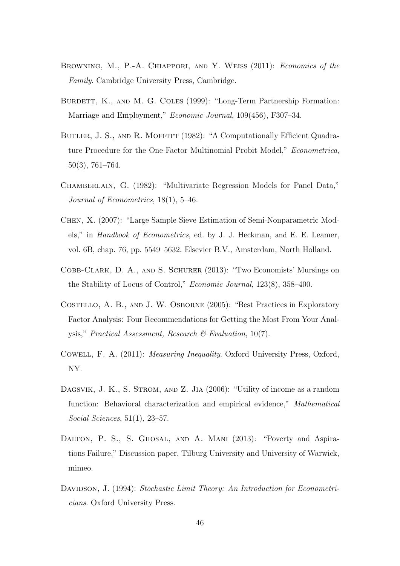- BROWNING, M., P.-A. CHIAPPORI, AND Y. WEISS (2011): *Economics of the* Family. Cambridge University Press, Cambridge.
- BURDETT, K., AND M. G. COLES (1999): "Long-Term Partnership Formation: Marriage and Employment," Economic Journal, 109(456), F307–34.
- BUTLER, J. S., AND R. MOFFITT (1982): "A Computationally Efficient Quadrature Procedure for the One-Factor Multinomial Probit Model," Econometrica, 50(3), 761–764.
- Chamberlain, G. (1982): "Multivariate Regression Models for Panel Data," Journal of Econometrics, 18(1), 5–46.
- Chen, X. (2007): "Large Sample Sieve Estimation of Semi-Nonparametric Models," in Handbook of Econometrics, ed. by J. J. Heckman, and E. E. Leamer, vol. 6B, chap. 76, pp. 5549–5632. Elsevier B.V., Amsterdam, North Holland.
- Cobb-Clark, D. A., and S. Schurer (2013): "Two Economists' Mursings on the Stability of Locus of Control," Economic Journal, 123(8), 358–400.
- Costello, A. B., and J. W. Osborne (2005): "Best Practices in Exploratory Factor Analysis: Four Recommendations for Getting the Most From Your Analysis," Practical Assessment, Research & Evaluation, 10(7).
- Cowell, F. A. (2011): Measuring Inequality. Oxford University Press, Oxford, NY.
- DAGSVIK, J. K., S. STROM, AND Z. JIA (2006): "Utility of income as a random function: Behavioral characterization and empirical evidence," Mathematical Social Sciences, 51(1), 23–57.
- DALTON, P. S., S. GHOSAL, AND A. MANI (2013): "Poverty and Aspirations Failure," Discussion paper, Tilburg University and University of Warwick, mimeo.
- DAVIDSON, J. (1994): Stochastic Limit Theory: An Introduction for Econometricians. Oxford University Press.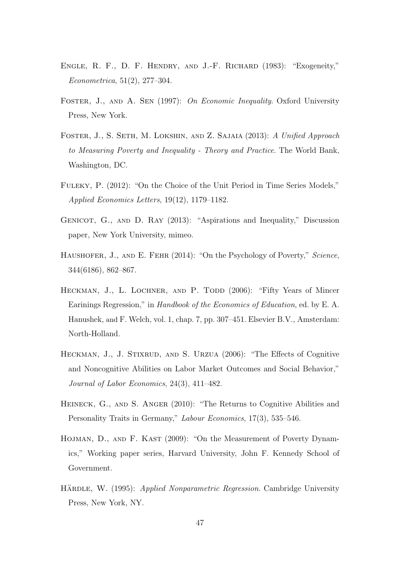- Engle, R. F., D. F. Hendry, and J.-F. Richard (1983): "Exogeneity," Econometrica, 51(2), 277–304.
- FOSTER, J., AND A. SEN (1997): On Economic Inequality. Oxford University Press, New York.
- FOSTER, J., S. SETH, M. LOKSHIN, AND Z. SAJAIA (2013): A Unified Approach to Measuring Poverty and Inequality - Theory and Practice. The World Bank, Washington, DC.
- Fuleky, P. (2012): "On the Choice of the Unit Period in Time Series Models," Applied Economics Letters, 19(12), 1179–1182.
- Genicot, G., and D. Ray (2013): "Aspirations and Inequality," Discussion paper, New York University, mimeo.
- HAUSHOFER, J., AND E. FEHR (2014): "On the Psychology of Poverty," Science, 344(6186), 862–867.
- HECKMAN, J., L. LOCHNER, AND P. TODD (2006): "Fifty Years of Mincer Earinings Regression," in Handbook of the Economics of Education, ed. by E. A. Hanushek, and F. Welch, vol. 1, chap. 7, pp. 307–451. Elsevier B.V., Amsterdam: North-Holland.
- HECKMAN, J., J. STIXRUD, AND S. URZUA (2006): "The Effects of Cognitive and Noncognitive Abilities on Labor Market Outcomes and Social Behavior," Journal of Labor Economics, 24(3), 411–482.
- Heineck, G., and S. Anger (2010): "The Returns to Cognitive Abilities and Personality Traits in Germany," Labour Economics, 17(3), 535–546.
- HOJMAN, D., AND F. KAST (2009): "On the Measurement of Poverty Dynamics," Working paper series, Harvard University, John F. Kennedy School of Government.
- HÄRDLE, W. (1995): Applied Nonparametric Regression. Cambridge University Press, New York, NY.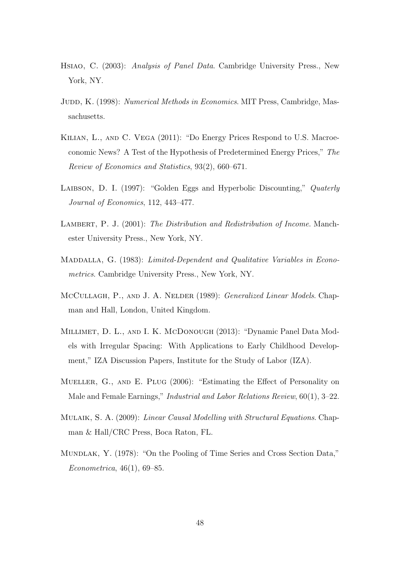- Hsiao, C. (2003): Analysis of Panel Data. Cambridge University Press., New York, NY.
- JUDD, K. (1998): Numerical Methods in Economics. MIT Press, Cambridge, Massachusetts.
- Kilian, L., and C. Vega (2011): "Do Energy Prices Respond to U.S. Macroeconomic News? A Test of the Hypothesis of Predetermined Energy Prices," The Review of Economics and Statistics, 93(2), 660–671.
- LAIBSON, D. I. (1997): "Golden Eggs and Hyperbolic Discounting," Quaterly Journal of Economics, 112, 443–477.
- LAMBERT, P. J. (2001): The Distribution and Redistribution of Income. Manchester University Press., New York, NY.
- MADDALLA, G. (1983): Limited-Dependent and Qualitative Variables in Econometrics. Cambridge University Press., New York, NY.
- MCCULLAGH, P., AND J. A. NELDER (1989): *Generalized Linear Models*. Chapman and Hall, London, United Kingdom.
- Millimet, D. L., and I. K. McDonough (2013): "Dynamic Panel Data Models with Irregular Spacing: With Applications to Early Childhood Development," IZA Discussion Papers, Institute for the Study of Labor (IZA).
- Mueller, G., and E. Plug (2006): "Estimating the Effect of Personality on Male and Female Earnings," Industrial and Labor Relations Review, 60(1), 3–22.
- MULAIK, S. A. (2009): *Linear Causal Modelling with Structural Equations*. Chapman & Hall/CRC Press, Boca Raton, FL.
- Mundlak, Y. (1978): "On the Pooling of Time Series and Cross Section Data," Econometrica, 46(1), 69–85.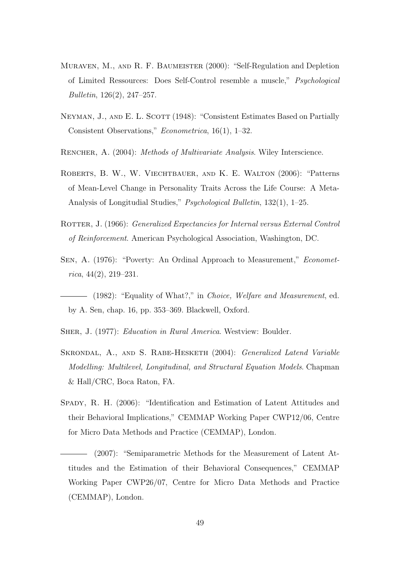- Muraven, M., and R. F. Baumeister (2000): "Self-Regulation and Depletion of Limited Ressources: Does Self-Control resemble a muscle," Psychological Bulletin, 126(2), 247–257.
- NEYMAN, J., AND E. L. SCOTT (1948): "Consistent Estimates Based on Partially Consistent Observations," Econometrica, 16(1), 1–32.
- RENCHER, A. (2004): *Methods of Multivariate Analysis*. Wiley Interscience.
- Roberts, B. W., W. Viechtbauer, and K. E. Walton (2006): "Patterns of Mean-Level Change in Personality Traits Across the Life Course: A Meta-Analysis of Longitudial Studies," Psychological Bulletin, 132(1), 1–25.
- ROTTER, J. (1966): *Generalized Expectancies for Internal versus External Control* of Reinforcement. American Psychological Association, Washington, DC.
- Sen, A. (1976): "Poverty: An Ordinal Approach to Measurement," Economet $rica, 44(2), 219-231.$
- (1982): "Equality of What?," in *Choice, Welfare and Measurement*, ed. by A. Sen, chap. 16, pp. 353–369. Blackwell, Oxford.
- SHER, J. (1977): *Education in Rural America*. Westview: Boulder.
- SKRONDAL, A., AND S. RABE-HESKETH (2004): Generalized Latend Variable Modelling: Multilevel, Longitudinal, and Structural Equation Models. Chapman & Hall/CRC, Boca Raton, FA.
- SPADY, R. H. (2006): "Identification and Estimation of Latent Attitudes and their Behavioral Implications," CEMMAP Working Paper CWP12/06, Centre for Micro Data Methods and Practice (CEMMAP), London.
- (2007): "Semiparametric Methods for the Measurement of Latent Attitudes and the Estimation of their Behavioral Consequences," CEMMAP Working Paper CWP26/07, Centre for Micro Data Methods and Practice (CEMMAP), London.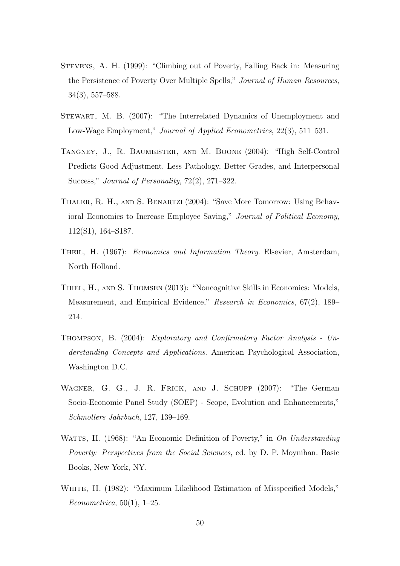- Stevens, A. H. (1999): "Climbing out of Poverty, Falling Back in: Measuring the Persistence of Poverty Over Multiple Spells," Journal of Human Resources, 34(3), 557–588.
- STEWART, M. B. (2007): "The Interrelated Dynamics of Unemployment and Low-Wage Employment," Journal of Applied Econometrics, 22(3), 511–531.
- Tangney, J., R. Baumeister, and M. Boone (2004): "High Self-Control Predicts Good Adjustment, Less Pathology, Better Grades, and Interpersonal Success," Journal of Personality, 72(2), 271–322.
- Thaler, R. H., and S. Benartzi (2004): "Save More Tomorrow: Using Behavioral Economics to Increase Employee Saving," Journal of Political Economy, 112(S1), 164–S187.
- Theil, H. (1967): Economics and Information Theory. Elsevier, Amsterdam, North Holland.
- Thiel, H., and S. Thomsen (2013): "Noncognitive Skills in Economics: Models, Measurement, and Empirical Evidence," Research in Economics, 67(2), 189– 214.
- Thompson, B. (2004): Exploratory and Confirmatory Factor Analysis Understanding Concepts and Applications. American Psychological Association, Washington D.C.
- Wagner, G. G., J. R. Frick, and J. Schupp (2007): "The German Socio-Economic Panel Study (SOEP) - Scope, Evolution and Enhancements," Schmollers Jahrbuch, 127, 139–169.
- WATTS, H. (1968): "An Economic Definition of Poverty," in On Understanding Poverty: Perspectives from the Social Sciences, ed. by D. P. Moynihan. Basic Books, New York, NY.
- WHITE, H. (1982): "Maximum Likelihood Estimation of Misspecified Models," Econometrica,  $50(1)$ , 1–25.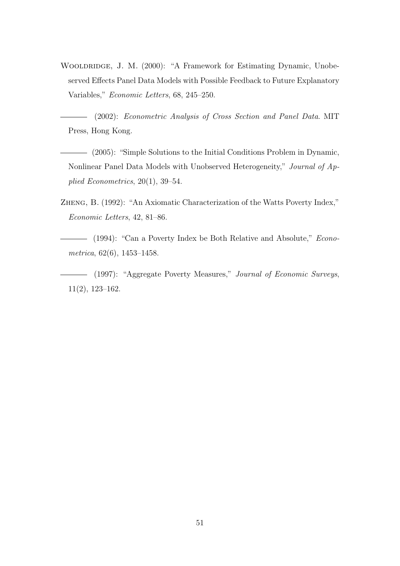WOOLDRIDGE, J. M. (2000): "A Framework for Estimating Dynamic, Unobeserved Effects Panel Data Models with Possible Feedback to Future Explanatory Variables," Economic Letters, 68, 245–250.

(2002): Econometric Analysis of Cross Section and Panel Data. MIT Press, Hong Kong.

- (2005): "Simple Solutions to the Initial Conditions Problem in Dynamic, Nonlinear Panel Data Models with Unobserved Heterogeneity," Journal of Applied Econometrics, 20(1), 39–54.
- Zheng, B. (1992): "An Axiomatic Characterization of the Watts Poverty Index," Economic Letters, 42, 81–86.
- (1994): "Can a Poverty Index be Both Relative and Absolute," *Econo*metrica, 62(6), 1453–1458.
- (1997): "Aggregate Poverty Measures," Journal of Economic Surveys, 11(2), 123–162.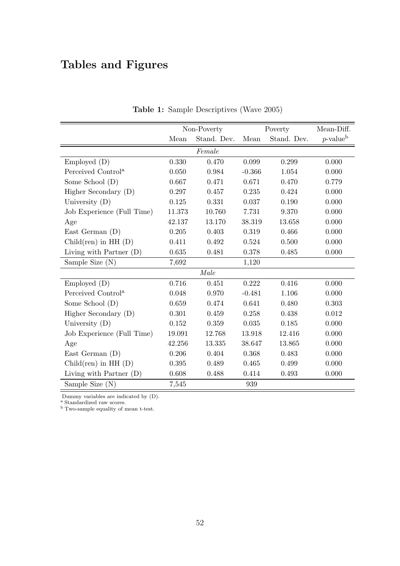# Tables and Figures

|                                |        | Non-Poverty | Poverty  |             | Mean-Diff.              |
|--------------------------------|--------|-------------|----------|-------------|-------------------------|
|                                | Mean   | Stand. Dev. | Mean     | Stand. Dev. | $p$ -value <sup>b</sup> |
|                                |        | Female      |          |             |                         |
| Employd (D)                    | 0.330  | 0.470       | 0.099    | 0.299       | 0.000                   |
| Perceived Control <sup>a</sup> | 0.050  | 0.984       | $-0.366$ | 1.054       | 0.000                   |
| Some School (D)                | 0.667  | 0.471       | 0.671    | 0.470       | 0.779                   |
| Higher Secondary (D)           | 0.297  | 0.457       | 0.235    | 0.424       | 0.000                   |
| University $(D)$               | 0.125  | 0.331       | 0.037    | 0.190       | 0.000                   |
| Job Experience (Full Time)     | 11.373 | 10.760      | 7.731    | 9.370       | 0.000                   |
| Age                            | 42.137 | 13.170      | 38.319   | 13.658      | 0.000                   |
| East German $(D)$              | 0.205  | 0.403       | 0.319    | 0.466       | 0.000                   |
| $Child(ren)$ in HH $(D)$       | 0.411  | 0.492       | 0.524    | $0.500\,$   | 0.000                   |
| Living with Partner $(D)$      | 0.635  | 0.481       | 0.378    | 0.485       | 0.000                   |
| Sample Size (N)                | 7,692  |             | 1,120    |             |                         |
|                                |        | Male        |          |             |                         |
| Employed (D)                   | 0.716  | 0.451       | 0.222    | 0.416       | 0.000                   |
| Perceived Control <sup>a</sup> | 0.048  | 0.970       | $-0.481$ | 1.106       | 0.000                   |
| Some School (D)                | 0.659  | 0.474       | 0.641    | 0.480       | 0.303                   |
| Higher Secondary (D)           | 0.301  | 0.459       | 0.258    | 0.438       | 0.012                   |
| University (D)                 | 0.152  | 0.359       | 0.035    | 0.185       | 0.000                   |
| Job Experience (Full Time)     | 19.091 | 12.768      | 13.918   | 12.416      | 0.000                   |
| Age                            | 42.256 | 13.335      | 38.647   | 13.865      | 0.000                   |
| East German $(D)$              | 0.206  | 0.404       | 0.368    | 0.483       | 0.000                   |
| $Child(ren)$ in HH $(D)$       | 0.395  | 0.489       | 0.465    | 0.499       | 0.000                   |
| Living with Partner $(D)$      | 0.608  | 0.488       | 0.414    | 0.493       | 0.000                   |
| Sample Size (N)                | 7,545  |             | 939      |             |                         |

Table 1: Sample Descriptives (Wave 2005)

Dummy variables are indicated by (D).

<sup>a</sup> Standardized raw scores.

<sup>b</sup> Two-sample equality of mean t-test.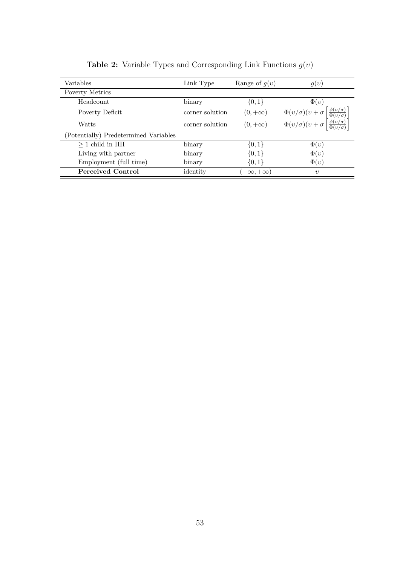| Variables                             | Link Type       | Range of $g(v)$     | g(v)                                                                                                                                                                                        |
|---------------------------------------|-----------------|---------------------|---------------------------------------------------------------------------------------------------------------------------------------------------------------------------------------------|
| Poverty Metrics                       |                 |                     |                                                                                                                                                                                             |
| Headcount                             | binary          | $\{0,1\}$           | $\Phi(v)$                                                                                                                                                                                   |
| Poverty Deficit                       | corner solution | $(0, +\infty)$      | $\begin{array}{l} \Phi(v/\sigma)(v+\sigma \left[ \frac{\phi(v/\sigma)}{\Phi(v/\sigma)} \right. \\ \Phi(v/\sigma)(v+\sigma \left[ \frac{\phi(v/\sigma)}{\Phi(v/\sigma)} \right. \end{array}$ |
| Watts                                 | corner solution | $(0, +\infty)$      |                                                                                                                                                                                             |
| (Potentially) Predetermined Variables |                 |                     |                                                                                                                                                                                             |
| $>1$ child in HH                      | binary          | $\{0,1\}$           | $\Phi(v)$                                                                                                                                                                                   |
| Living with partner                   | binary          | $\{0,1\}$           | $\Phi(v)$                                                                                                                                                                                   |
| Employment (full time)                | binary          | $\{0,1\}$           | $\Phi(v)$                                                                                                                                                                                   |
| <b>Perceived Control</b>              | identity        | $-\infty, +\infty)$ | $\eta$                                                                                                                                                                                      |

**Table 2:** Variable Types and Corresponding Link Functions  $g(v)$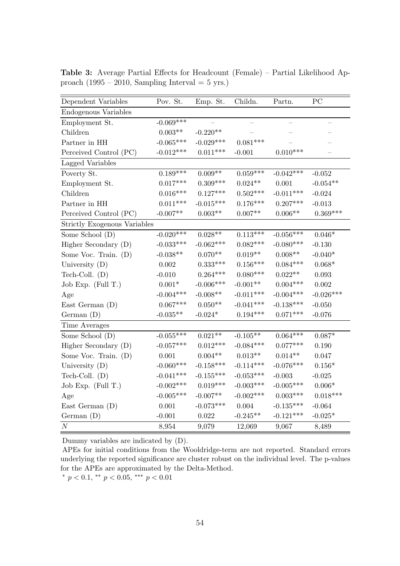| Dependent Variables          | Pov. St.       | Emp. St.           | Childn.     | Partn.                   | $\overline{PC}$ |
|------------------------------|----------------|--------------------|-------------|--------------------------|-----------------|
| Endogenous Variables         |                |                    |             |                          |                 |
| Employment St.               | $-0.069***$    |                    |             | $\overline{\phantom{0}}$ |                 |
| Children                     | $0.003**$      | $-0.220**$         |             |                          |                 |
| Partner in HH                | $-0.065***$    | $-0.029***$        | $0.081***$  |                          |                 |
| Perceived Control (PC)       | $-0.012***$    | $0.011***$         | $-0.001$    | $0.010***$               |                 |
| Lagged Variables             |                |                    |             |                          |                 |
| Poverty St.                  | $0.189***$     | $0.009**$          | $0.059***$  | $-0.042***$              | $-0.052$        |
| Employment St.               | $0.017***$     | $0.309***$         | $0.024**$   | 0.001                    | $-0.054**$      |
| Children                     | $0.016***$     | $0.127***$         | $0.502***$  | $-0.011***$              | $-0.024$        |
| Partner in HH                | $0.011***$     | $-0.015***$        | $0.176***$  | $0.207***$               | $-0.013$        |
| Perceived Control (PC)       | $-0.007**$     | $0.003**$          | $0.007**$   | $0.006**$                | $0.369***$      |
| Strictly Exogenous Variables |                |                    |             |                          |                 |
| Some School (D)              | $-0.020***$    | $0.028^{\ast\ast}$ | $0.113***$  | $-0.056***$              | $0.046*$        |
| Higher Secondary (D)         | $-0.033***$    | $-0.062***$        | $0.082***$  | $-0.080***$              | $-0.130$        |
| Some Voc. Train. (D)         | $-0.038**$     | $0.070**$          | $0.019**$   | $0.008**$                | $-0.040*$       |
| University $(D)$             | 0.002          | $0.333***$         | $0.156***$  | $0.084***$               | $0.068*$        |
| Tech-Coll. $(D)$             | $-0.010$       | $0.264***$         | $0.080***$  | $0.022**$                | 0.093           |
| Job Exp. (Full T.)           | $0.001^{\ast}$ | $-0.006***$        | $-0.001**$  | $0.004***$               | 0.002           |
| Age                          | $-0.004***$    | $-0.008**$         | $-0.011***$ | $-0.004***$              | $-0.026***$     |
| East German $(D)$            | $0.067***$     | $0.050^{\ast\ast}$ | $-0.041***$ | $-0.138***$              | $-0.050$        |
| German $(D)$                 | $-0.035**$     | $-0.024*$          | $0.194***$  | $0.071***$               | $-0.076$        |
| Time Averages                |                |                    |             |                          |                 |
| Some School (D)              | $-0.055***$    | $0.021**$          | $-0.105**$  | $0.064***$               | $0.087*$        |
| Higher Secondary (D)         | $-0.057***$    | $0.012***$         | $-0.084***$ | $0.077***$               | 0.190           |
| Some Voc. Train. (D)         | 0.001          | $0.004**$          | $0.013**$   | $0.014**$                | 0.047           |
| University $(D)$             | $-0.060***$    | $-0.158***$        | $-0.114***$ | $-0.076***$              | $0.156*$        |
| Tech-Coll. $(D)$             | $-0.041***$    | $-0.155***$        | $-0.053***$ | $-0.003$                 | $-0.025$        |
| Job Exp. (Full T.)           | $-0.002***$    | $0.019***$         | $-0.003***$ | $-0.005***$              | $0.006^{\ast}$  |
| Age                          | $-0.005***$    | $-0.007**$         | $-0.002***$ | $0.003^{***}\,$          | $0.018***$      |
| East German $(D)$            | 0.001          | $-0.073***$        | $0.004\,$   | $-0.135***$              | $-0.064$        |
| German(D)                    | $-0.001$       | $0.022\,$          | $-0.245**$  | $-0.121***$              | $-0.025*$       |
| $\cal N$                     | 8,954          | 9,079              | 12,069      | 9,067                    | 8,489           |

Table 3: Average Partial Effects for Headcount (Female) – Partial Likelihood Approach (1995 – 2010, Sampling Interval = 5 yrs.)

APEs for initial conditions from the Wooldridge-term are not reported. Standard errors underlying the reported significance are cluster robust on the individual level. The p-values for the APEs are approximated by the Delta-Method.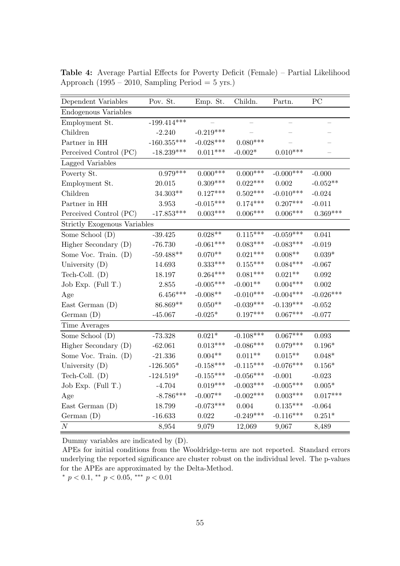| Dependent Variables                 | Pov. St.           | Emp. St.            | Childn.     | Partn.                   | PC                       |
|-------------------------------------|--------------------|---------------------|-------------|--------------------------|--------------------------|
| Endogenous Variables                |                    |                     |             |                          |                          |
| Employment St.                      | $-199.414***$      |                     |             | $\overline{\phantom{0}}$ | $\overline{\phantom{0}}$ |
| Children                            | $-2.240$           | $-0.219***$         |             |                          |                          |
| Partner in HH                       | $-160.355^{***}\,$ | $-0.028***$         | $0.080***$  |                          |                          |
| Perceived Control (PC)              | $-18.239***$       | $0.011***$          | $-0.002*$   | $0.010***$               |                          |
| Lagged Variables                    |                    |                     |             |                          |                          |
| Poverty St.                         | $0.979***$         | $0.000***$          | $0.000***$  | $-0.000$ ***             | $-0.000$                 |
| Employment St.                      | 20.015             | $0.309***$          | $0.022***$  | 0.002                    | $-0.052**$               |
| Children                            | $34.303**$         | $0.127***$          | $0.502***$  | $-0.010***$              | $-0.024$                 |
| Partner in HH                       | $3.953\,$          | $-0.015***$         | $0.174***$  | $0.207***$               | $-0.011$                 |
| Perceived Control (PC)              | $-17.853***$       | $0.003***$          | $0.006***$  | $0.006***$               | $0.369***$               |
| <b>Strictly Exogenous Variables</b> |                    |                     |             |                          |                          |
| Some School (D)                     | $-39.425$          | $0.028^{\ast\ast}$  | $0.115***$  | $-0.059***$              | 0.041                    |
| Higher Secondary (D)                | $-76.730$          | $-0.061***$         | $0.083***$  | $-0.083***$              | $-0.019$                 |
| Some Voc. Train. (D)                | $-59.488**$        | $0.070**$           | $0.021***$  | $0.008**$                | $0.039*$                 |
| University $(D)$                    | 14.693             | $0.333***$          | $0.155***$  | $0.084***$               | $-0.067$                 |
| Tech-Coll. $(D)$                    | 18.197             | $0.264***$          | $0.081***$  | $0.021**$                | 0.092                    |
| Job Exp. (Full T.)                  | $2.855\,$          | $-0.005***$         | $-0.001**$  | $0.004***$               | 0.002                    |
| Age                                 | $6.456***$         | $-0.008**$          | $-0.010***$ | $-0.004***$              | $-0.026***$              |
| East German $(D)$                   | 86.869**           | $0.050**$           | $-0.039***$ | $-0.139***$              | $-0.052$                 |
| German(D)                           | $-45.067$          | $-0.025*$           | $0.197***$  | $0.067***$               | $-0.077$                 |
| Time Averages                       |                    |                     |             |                          |                          |
| Some School (D)                     | $-73.328$          | $0.021*$            | $-0.108***$ | $0.067***$               | 0.093                    |
| Higher Secondary (D)                | $-62.061$          | $0.013***$          | $-0.086***$ | $0.079***$               | $0.196*$                 |
| Some Voc. Train. (D)                | $-21.336$          | $0.004**$           | $0.011**$   | $0.015^{\ast\ast}$       | $0.048*$                 |
| University $(D)$                    | $-126.505*$        | $-0.158***$         | $-0.115***$ | $-0.076***$              | $0.156*$                 |
| Tech-Coll. $(D)$                    | $-124.519*$        | $-0.155***$         | $-0.056***$ | $-0.001$                 | $-0.023$                 |
| Job Exp. (Full T.)                  | $-4.704$           | $0.019***$          | $-0.003***$ | $-0.005***$              | $0.005*$                 |
| Age                                 | $-8.786***$        | $-0.007^{\ast\ast}$ | $-0.002***$ | $0.003***$               | $0.017***$               |
| East German $(D)$                   | 18.799             | $-0.073***$         | $0.004\,$   | $0.135***$               | $-0.064$                 |
| German(D)                           | $-16.633$          | 0.022               | $-0.249***$ | $-0.116***$              | $0.251*$                 |
| $\cal N$                            | 8,954              | 9,079               | 12,069      | 9,067                    | 8,489                    |

Table 4: Average Partial Effects for Poverty Deficit (Female) – Partial Likelihood Approach (1995 – 2010, Sampling Period = 5 yrs.)

APEs for initial conditions from the Wooldridge-term are not reported. Standard errors underlying the reported significance are cluster robust on the individual level. The p-values for the APEs are approximated by the Delta-Method.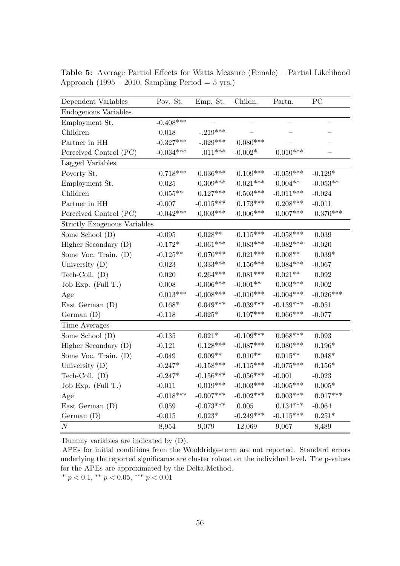| Dependent Variables          | Pov. St.       | Emp. St.           | Childn.         | Partn.                   | PC          |
|------------------------------|----------------|--------------------|-----------------|--------------------------|-------------|
| Endogenous Variables         |                |                    |                 |                          |             |
| Employment St.               | $-0.408***$    |                    |                 | $\overline{\phantom{0}}$ |             |
| Children                     | 0.018          | $-.219***$         |                 |                          |             |
| Partner in HH                | $-0.327***$    | $-.029***$         | $0.080***$      |                          |             |
| Perceived Control (PC)       | $-0.034***$    | $.011***$          | $-0.002*$       | $0.010***$               |             |
| Lagged Variables             |                |                    |                 |                          |             |
| Poverty St.                  | $0.718***$     | $0.036***$         | $0.109***$      | $-0.059***$              | $-0.129*$   |
| Employment St.               | 0.025          | $0.309***$         | $0.021***$      | $0.004**$                | $-0.053**$  |
| Children                     | $0.055**$      | $0.127***$         | $0.503^{***}\,$ | $-0.011***$              | $-0.024$    |
| Partner in HH                | $-0.007$       | $-0.015***$        | $0.173***$      | $0.208***$               | $-0.011$    |
| Perceived Control (PC)       | $-0.042***$    | $0.003***$         | $0.006***$      | $0.007***$               | $0.370***$  |
| Strictly Exogenous Variables |                |                    |                 |                          |             |
| Some School (D)              | $-0.095$       | $0.028^{\ast\ast}$ | $0.115***$      | $-0.058***$              | 0.039       |
| Higher Secondary (D)         | $-0.172*$      | $-0.061***$        | $0.083***$      | $-0.082***$              | $-0.020$    |
| Some Voc. Train. (D)         | $-0.125**$     | $0.070***$         | $0.021***$      | $0.008**$                | $0.039*$    |
| University $(D)$             | 0.023          | $0.333***$         | $0.156***$      | $0.084***$               | $-0.067$    |
| Tech-Coll. $(D)$             | 0.020          | $0.264***$         | $0.081***$      | $0.021**$                | 0.092       |
| Job Exp. $(Full T.)$         | 0.008          | $-0.006***$        | $-0.001**$      | $0.003***$               | 0.002       |
| Age                          | $0.013***$     | $-0.008***$        | $-0.010***$     | $-0.004***$              | $-0.026***$ |
| East German $(D)$            | $0.168^{\ast}$ | $0.049***$         | $-0.039***$     | $-0.139***$              | $-0.051$    |
| German(D)                    | $-0.118$       | $-0.025*$          | $0.197***$      | $0.066***$               | $-0.077$    |
| Time Averages                |                |                    |                 |                          |             |
| Some School (D)              | $-0.135$       | $0.021*$           | $-0.109***$     | $0.068***$               | 0.093       |
| Higher Secondary (D)         | $-0.121$       | $0.128***$         | $-0.087***$     | $0.080***$               | $0.196*$    |
| Some Voc. Train. (D)         | $-0.049$       | $0.009**$          | $0.010**$       | $0.015^{\ast\ast}$       | $0.048*$    |
| University $(D)$             | $-0.247*$      | $-0.158***$        | $-0.115***$     | $-0.075***$              | $0.156*$    |
| Tech-Coll. $(D)$             | $-0.247*$      | $-0.156***$        | $-0.056***$     | $-0.001$                 | $-0.023$    |
| Job Exp. (Full T.)           | $-0.011$       | $0.019***$         | $-0.003***$     | $-0.005***$              | $0.005*$    |
| Age                          | $-0.018***$    | $-0.007***$        | $-0.002***$     | $0.003^{***}\,$          | $0.017***$  |
| East German $(D)$            | 0.059          | $-0.073***$        | 0.005           | $0.134***$               | $-0.064$    |
| German(D)                    | $-0.015$       | $0.023*$           | $-0.249***$     | $-0.115***$              | $0.251*$    |
| $\cal N$                     | 8,954          | 9,079              | 12,069          | 9,067                    | 8,489       |

Table 5: Average Partial Effects for Watts Measure (Female) – Partial Likelihood Approach (1995 – 2010, Sampling Period = 5 yrs.)

APEs for initial conditions from the Wooldridge-term are not reported. Standard errors underlying the reported significance are cluster robust on the individual level. The p-values for the APEs are approximated by the Delta-Method.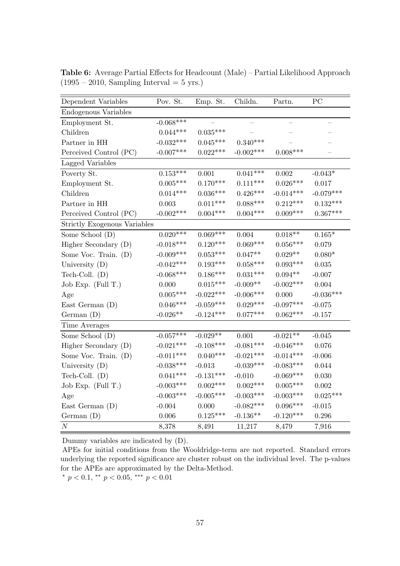| Dependent Variables                 | Pov. St.    | Emp. St.    | Childn.     | Partn.                   | PC          |
|-------------------------------------|-------------|-------------|-------------|--------------------------|-------------|
| Endogenous Variables                |             |             |             |                          |             |
| Employment St.                      | $-0.068***$ |             |             | $\overline{\phantom{0}}$ |             |
| Children                            | $0.044***$  | $0.035***$  |             |                          |             |
| Partner in HH                       | $-0.032***$ | $0.045***$  | $0.340***$  |                          |             |
| Perceived Control (PC)              | $-0.007***$ | $0.022***$  | $-0.002***$ | $0.008***$               |             |
| Lagged Variables                    |             |             |             |                          |             |
| Poverty St.                         | $0.153***$  | 0.001       | $0.041***$  | 0.002                    | $-0.043*$   |
| Employment St.                      | $0.005***$  | $0.170***$  | $0.111***$  | $0.026***$               | 0.017       |
| Children                            | $0.014***$  | $0.036***$  | $0.426***$  | $-0.014***$              | $-0.079***$ |
| Partner in HH                       | 0.003       | $0.011***$  | $0.088***$  | $0.212***$               | $0.132***$  |
| Perceived Control (PC)              | $-0.002***$ | $0.004***$  | $0.004***$  | $0.009***$               | $0.367***$  |
| <b>Strictly Exogenous Variables</b> |             |             |             |                          |             |
| Some School (D)                     | $0.020***$  | $0.069***$  | 0.004       | $0.018^{\ast\ast}$       | $0.165*$    |
| Higher Secondary (D)                | $-0.018***$ | $0.120***$  | $0.069***$  | $0.056***$               | 0.079       |
| Some Voc. Train. (D)                | $-0.009***$ | $0.053***$  | $0.047**$   | $0.029**$                | $0.080*$    |
| University $(D)$                    | $-0.042***$ | $0.193***$  | $0.058***$  | $0.093***$               | 0.035       |
| Tech-Coll. $(D)$                    | $-0.068***$ | $0.186***$  | $0.031***$  | $0.094**$                | $-0.007$    |
| Job Exp. $(Full T.)$                | 0.000       | $0.015***$  | $-0.009**$  | $-0.002***$              | 0.004       |
| Age                                 | $0.005***$  | $-0.022***$ | $-0.006***$ | 0.000                    | $-0.036***$ |
| East German $(D)$                   | $0.046***$  | $-0.059***$ | $0.029***$  | $-0.097***$              | $-0.075$    |
| German(D)                           | $-0.026**$  | $-0.124***$ | $0.077***$  | $0.062***$               | $-0.157$    |
| Time Averages                       |             |             |             |                          |             |
| Some School (D)                     | $-0.057***$ | $-0.029**$  | 0.001       | $-0.021**$               | $-0.045$    |
| Higher Secondary (D)                | $-0.021***$ | $-0.108***$ | $-0.081***$ | $-0.046***$              | 0.076       |
| Some Voc. Train. (D)                | $-0.011***$ | $0.040***$  | $-0.021***$ | $-0.014***$              | $-0.006$    |
| University $(D)$                    | $-0.038***$ | $-0.013$    | $-0.039***$ | $-0.083***$              | 0.044       |
| Tech-Coll. $(D)$                    | $0.041***$  | $-0.131***$ | $-0.010$    | $-0.069***$              | 0.030       |
| Job Exp. $(Full T.)$                | $-0.003***$ | $0.002***$  | $0.002***$  | $0.005^{***}\,$          | 0.002       |
| Age                                 | $-0.003***$ | $-0.005***$ | $-0.003***$ | $-0.003***$              | $0.025***$  |
| East German $(D)$                   | $-0.004$    | 0.000       | $-0.082***$ | $0.096***$               | $-0.015$    |
| German(D)                           | 0.006       | $0.125***$  | $-0.136**$  | $-0.120***$              | 0.296       |
| $\cal N$                            | 8,378       | 8,491       | 11,217      | 8,479                    | 7,916       |

Table 6: Average Partial Effects for Headcount (Male) – Partial Likelihood Approach  $(1995 - 2010,$  Sampling Interval = 5 yrs.)

APEs for initial conditions from the Wooldridge-term are not reported. Standard errors underlying the reported significance are cluster robust on the individual level. The p-values for the APEs are approximated by the Delta-Method.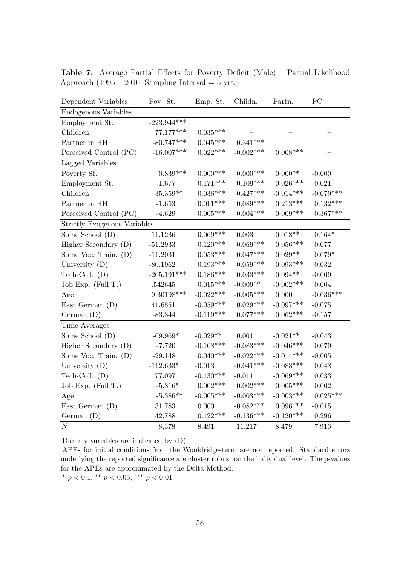| Dependent Variables                 | Pov. St.      | Emp. St.        | Childn.     | Partn.             | PC          |
|-------------------------------------|---------------|-----------------|-------------|--------------------|-------------|
| Endogenous Variables                |               |                 |             |                    |             |
| Employment St.                      | $-223.944***$ |                 |             |                    |             |
| Children                            | 77.177***     | $0.035***$      |             |                    |             |
| Partner in HH                       | $-80.747***$  | $0.045***$      | $0.341***$  |                    |             |
| Perceived Control (PC)              | $-16.007***$  | $0.022***$      | $-0.002***$ | $0.008***$         |             |
| Lagged Variables                    |               |                 |             |                    |             |
| Poverty St.                         | $0.839***$    | $0.000$ ***     | $0.000$ *** | $0.000**$          | $-0.000$    |
| Employment St.                      | 1.677         | $0.171***$      | $0.109***$  | $0.026***$         | 0.021       |
| Children                            | $35.359**$    | $0.036^{***}\;$ | $0.427***$  | $-0.014***$        | $-0.079***$ |
| Partner in HH                       | $-1.653$      | $0.011***$      | $0.089***$  | $0.213***$         | $0.132***$  |
| Perceived Control (PC)              | $-4.629$      | $0.005***$      | $0.004***$  | $0.009***$         | $0.367***$  |
| <b>Strictly Exogenous Variables</b> |               |                 |             |                    |             |
| Some School (D)                     | 11.1236       | $0.069***$      | 0.003       | $0.018^{\ast\ast}$ | $0.164*$    |
| Higher Secondary (D)                | $-51.2933$    | $0.120***$      | $0.069***$  | $0.056***$         | 0.077       |
| Some Voc. Train. (D)                | $-11.2031$    | $0.053***$      | $0.047***$  | $0.029**$          | $0.079*$    |
| University $(D)$                    | $-80.1962$    | $0.193***$      | $0.059***$  | $0.093***$         | 0.032       |
| Tech-Coll. $(D)$                    | $-205.191***$ | $0.186***$      | $0.033***$  | $0.094^{\ast\ast}$ | $-0.009$    |
| Job Exp. (Full T.)                  | .542645       | $0.015***$      | $-0.009**$  | $-0.002***$        | 0.004       |
| Age                                 | $9.30198***$  | $-0.022***$     | $-0.005***$ | 0.000              | $-0.036***$ |
| East German $(D)$                   | 41.6851       | $-0.059***$     | $0.029***$  | $-0.097***$        | $-0.075$    |
| German(D)                           | $-83.344$     | $-0.119***$     | $0.077***$  | $0.062***$         | $-0.157$    |
| Time Averages                       |               |                 |             |                    |             |
| Some School (D)                     | $-69.969*$    | $-0.029**$      | 0.001       | $-0.021**$         | $-0.043$    |
| Higher Secondary (D)                | $-7.720$      | $-0.108***$     | $-0.083***$ | $-0.046***$        | 0.079       |
| Some Voc. Train. (D)                | $-29.148$     | $0.040***$      | $-0.022***$ | $-0.014***$        | $-0.005$    |
| University $(D)$                    | $-112.633*$   | $-0.013$        | $-0.041***$ | $-0.083***$        | 0.048       |
| Tech-Coll. $(D)$                    | 77.097        | $-0.130***$     | $-0.011$    | $-0.069***$        | 0.033       |
| Job Exp. (Full T.)                  | $-5.816*$     | $0.002***$      | $0.002***$  | $0.005***$         | 0.002       |
| Age                                 | $-5.386**$    | $-0.005***$     | $-0.003***$ | $-0.003***$        | $0.025***$  |
| East German $(D)$                   | 31.783        | 0.000           | $-0.082***$ | $0.096***$         | $-0.015$    |
| German(D)                           | 42.788        | $0.122***$      | $-0.136***$ | $-0.120***$        | 0.296       |
| N                                   | 8,378         | 8,491           | 11,217      | 8,479              | 7,916       |

Table 7: Average Partial Effects for Poverty Deficit (Male) – Partial Likelihood Approach (1995 – 2010, Sampling Interval =  $5$  yrs.)

APEs for initial conditions from the Wooldridge-term are not reported. Standard errors underlying the reported significance are cluster robust on the individual level. The p-values for the APEs are approximated by the Delta-Method.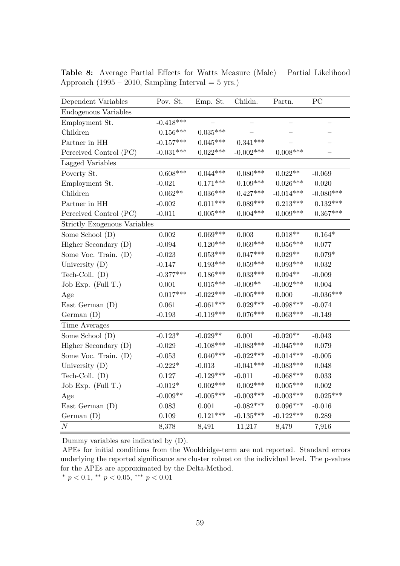| Dependent Variables                 | Pov. St.    | Emp. St.    | Childn.         | Partn.             | PC             |
|-------------------------------------|-------------|-------------|-----------------|--------------------|----------------|
| Endogenous Variables                |             |             |                 |                    |                |
| Employment St.                      | $-0.418***$ |             |                 |                    |                |
| Children                            | $0.156***$  | $0.035***$  |                 |                    |                |
| Partner in HH                       | $-0.157***$ | $0.045***$  | $0.341***$      |                    |                |
| Perceived Control (PC)              | $-0.031***$ | $0.022***$  | $-0.002***$     | $0.008***$         |                |
| Lagged Variables                    |             |             |                 |                    |                |
| Poverty St.                         | $0.608***$  | $0.044***$  | $0.080***$      | $0.022**$          | $-0.069$       |
| Employment St.                      | $-0.021$    | $0.171***$  | $0.109***$      | $0.026***$         | 0.020          |
| Children                            | $0.062**$   | $0.036***$  | $0.427***$      | $-0.014***$        | $-0.080***$    |
| Partner in HH                       | $-0.002$    | $0.011***$  | $0.089***$      | $0.213***$         | $0.132***$     |
| Perceived Control (PC)              | $-0.011$    | $0.005***$  | $0.004***$      | $0.009***$         | $0.367***$     |
| <b>Strictly Exogenous Variables</b> |             |             |                 |                    |                |
| Some School (D)                     | 0.002       | $0.069***$  | 0.003           | $0.018^{\ast\ast}$ | $0.164^{\ast}$ |
| Higher Secondary (D)                | $-0.094$    | $0.120***$  | $0.069***$      | $0.056^{***}\,$    | 0.077          |
| Some Voc. Train. (D)                | $-0.023$    | $0.053***$  | $0.047***$      | $0.029**$          | $0.079*$       |
| University $(D)$                    | $-0.147$    | $0.193***$  | $0.059^{***}\,$ | $0.093***$         | 0.032          |
| Tech-Coll. $(D)$                    | $-0.377***$ | $0.186***$  | $0.033***$      | $0.094^{**}$       | $-0.009$       |
| Job Exp. (Full T.)                  | 0.001       | $0.015***$  | $-0.009**$      | $-0.002***$        | 0.004          |
| Age                                 | $0.017***$  | $-0.022***$ | $-0.005***$     | 0.000              | $-0.036***$    |
| East German $(D)$                   | 0.061       | $-0.061***$ | $0.029***$      | $-0.098***$        | $-0.074$       |
| German $(D)$                        | $-0.193$    | $-0.119***$ | $0.076***$      | $0.063***$         | $-0.149$       |
| Time Averages                       |             |             |                 |                    |                |
| Some School (D)                     | $-0.123*$   | $-0.029**$  | 0.001           | $-0.020**$         | $-0.043$       |
| Higher Secondary (D)                | $-0.029$    | $-0.108***$ | $-0.083***$     | $-0.045***$        | 0.079          |
| Some Voc. Train. (D)                | $-0.053$    | $0.040***$  | $-0.022***$     | $-0.014***$        | $-0.005$       |
| University $(D)$                    | $-0.222*$   | $-0.013$    | $-0.041***$     | $-0.083***$        | 0.048          |
| Tech-Coll. $(D)$                    | 0.127       | $-0.129***$ | $-0.011$        | $-0.068***$        | 0.033          |
| Job Exp. (Full T.)                  | $-0.012*$   | $0.002***$  | $0.002***$      | $0.005^{***}\,$    | 0.002          |
| Age                                 | $-0.009**$  | $-0.005***$ | $-0.003***$     | $-0.003***$        | $0.025***$     |
| East German $(D)$                   | 0.083       | 0.001       | $-0.082***$     | $0.096***$         | $-0.016$       |
| German(D)                           | $0.109\,$   | $0.121***$  | $-0.135***$     | $-0.122***$        | 0.289          |
| $\cal N$                            | 8,378       | 8,491       | 11,217          | 8,479              | 7,916          |

Table 8: Average Partial Effects for Watts Measure (Male) – Partial Likelihood Approach (1995 – 2010, Sampling Interval =  $5$  yrs.)

APEs for initial conditions from the Wooldridge-term are not reported. Standard errors underlying the reported significance are cluster robust on the individual level. The p-values for the APEs are approximated by the Delta-Method.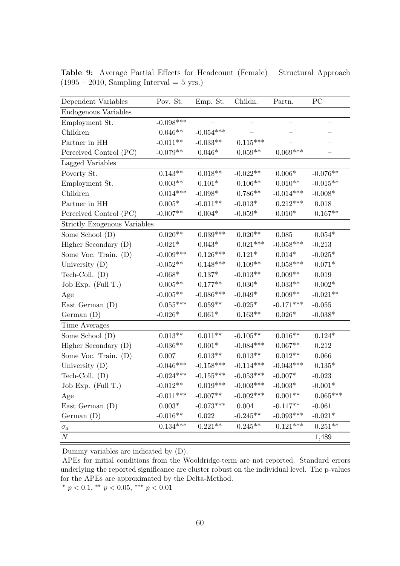| Dependent Variables          | Pov. St.        | Emp. St.       | Childn.     | Partn.      | PC         |
|------------------------------|-----------------|----------------|-------------|-------------|------------|
| Endogenous Variables         |                 |                |             |             |            |
| Employment St.               | $-0.098***$     |                |             |             |            |
| Children                     | $0.046**$       | $-0.054***$    |             |             |            |
| Partner in HH                | $-0.011**$      | $-0.033**$     | $0.115***$  |             |            |
| Perceived Control (PC)       | $-0.079**$      | $0.046*$       | $0.059**$   | $0.069***$  |            |
| Lagged Variables             |                 |                |             |             |            |
| Poverty St.                  | $0.143**$       | $0.018**$      | $-0.022**$  | $0.006*$    | $-0.076**$ |
| Employment St.               | $0.003**$       | $0.101*$       | $0.106**$   | $0.010**$   | $-0.015**$ |
| Children                     | $0.014***$      | $-0.098^*$     | $0.786**$   | $-0.014***$ | $-0.008^*$ |
| Partner in HH                | $0.005*$        | $-0.011**$     | $-0.013*$   | $0.212***$  | 0.018      |
| Perceived Control (PC)       | $-0.007**$      | $0.004*$       | $-0.059*$   | $0.010*$    | $0.167**$  |
| Strictly Exogenous Variables |                 |                |             |             |            |
| Some School (D)              | $0.020**$       | $0.039***$     | $0.020**$   | 0.085       | $0.054*$   |
| Higher Secondary (D)         | $-0.021*$       | $0.043^{\ast}$ | $0.021***$  | $-0.058***$ | $-0.213$   |
| Some Voc. Train. (D)         | $-0.009***$     | $0.126***$     | $0.121*$    | $0.014*$    | $-0.025*$  |
| University $(D)$             | $-0.052**$      | $0.148***$     | $0.109**$   | $0.058***$  | $0.071*$   |
| Tech-Coll. $(D)$             | $-0.068^{\ast}$ | $0.137*$       | $-0.013**$  | $0.009**$   | 0.019      |
| Job Exp. (Full T.)           | $0.005**$       | $0.177**$      | $0.030*$    | $0.033**$   | $0.002*$   |
| Age                          | $-0.005**$      | $-0.086***$    | $-0.049^*$  | $0.009**$   | $-0.021**$ |
| East German $(D)$            | $0.055***$      | $0.059**$      | $-0.025*$   | $-0.171***$ | $-0.055$   |
| German $(D)$                 | $-0.026*$       | $0.061*$       | $0.163**$   | $0.026*$    | $-0.038*$  |
| Time Averages                |                 |                |             |             |            |
| Some School (D)              | $0.013**$       | $0.011**$      | $-0.105**$  | $0.016**$   | $0.124*$   |
| Higher Secondary (D)         | $-0.036**$      | $0.001^{\ast}$ | $-0.084***$ | $0.067**$   | 0.212      |
| Some Voc. Train. (D)         | 0.007           | $0.013**$      | $0.013**$   | $0.012**$   | 0.066      |
| University $(D)$             | $-0.046***$     | $-0.158***$    | $-0.114***$ | $-0.043***$ | $0.135*$   |
| Tech-Coll. $(D)$             | $-0.024***$     | $-0.155***$    | $-0.053***$ | $-0.007*$   | $-0.023$   |
| Job Exp. (Full T.)           | $-0.012**$      | $0.019***$     | $-0.003***$ | $-0.003*$   | $-0.001*$  |
| Age                          | $-0.011***$     | $-0.007**$     | $-0.002***$ | $0.001**$   | $0.065***$ |
| East German $(D)$            | $0.003*$        | $-0.073***$    | $0.004\,$   | $-0.117**$  | $-0.061$   |
| German(D)                    | $-0.016**$      | $\,0.022\,$    | $-0.245**$  | $-0.093***$ | $-0.021*$  |
| $\sigma_a$                   | $0.134***$      | $0.221**$      | $0.245**$   | $0.121***$  | $0.251**$  |
| $\cal N$                     |                 |                |             |             | 1,489      |

Table 9: Average Partial Effects for Headcount (Female) – Structural Approach  $(1995 - 2010,$  Sampling Interval = 5 yrs.)

APEs for initial conditions from the Wooldridge-term are not reported. Standard errors underlying the reported significance are cluster robust on the individual level. The p-values for the APEs are approximated by the Delta-Method.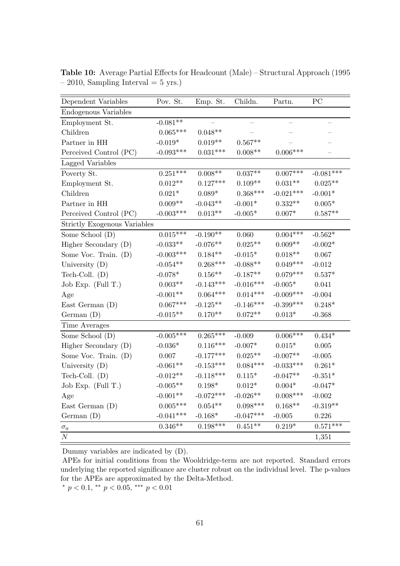| Dependent Variables          | Pov. St.        | Emp. St.           | Childn.     | Partn.         | PC          |
|------------------------------|-----------------|--------------------|-------------|----------------|-------------|
| Endogenous Variables         |                 |                    |             |                |             |
| Employment St.               | $-0.081**$      |                    |             |                |             |
| Children                     | $0.065***$      | $0.048**$          |             |                |             |
| Partner in HH                | $-0.019*$       | $0.019**$          | $0.567**$   |                |             |
| Perceived Control (PC)       | $-0.093***$     | $0.031***$         | $0.008**$   | $0.006***$     |             |
| Lagged Variables             |                 |                    |             |                |             |
| Poverty St.                  | $0.251***$      | $0.008**$          | $0.037**$   | $0.007***$     | $-0.081***$ |
| Employment St.               | $0.012**$       | $0.127***$         | $0.109**$   | $0.031**$      | $0.025**$   |
| Children                     | $0.021*$        | $0.089*$           | $0.368***$  | $-0.021***$    | $-0.001*$   |
| Partner in HH                | $0.009**$       | $-0.043**$         | $-0.001*$   | $0.332**$      | $0.005*$    |
| Perceived Control (PC)       | $-0.003***$     | $0.013**$          | $-0.005*$   | $0.007*$       | $0.587**$   |
| Strictly Exogenous Variables |                 |                    |             |                |             |
| Some School (D)              | $0.015***$      | $-0.190**$         | 0.060       | $0.004***$     | $-0.562*$   |
| Higher Secondary (D)         | $-0.033**$      | $-0.076**$         | $0.025**$   | $0.009**$      | $-0.002*$   |
| Some Voc. Train. (D)         | $-0.003***$     | $0.184**$          | $-0.015*$   | $0.018**$      | 0.067       |
| University $(D)$             | $-0.054**$      | $0.268***$         | $-0.088**$  | $0.049***$     | $-0.012$    |
| Tech-Coll. $(D)$             | $-0.078*$       | $0.156**$          | $-0.187**$  | $0.079***$     | $0.537*$    |
| Job Exp. $(Full T.)$         | $0.003**$       | $-0.143***$        | $-0.016***$ | $-0.005^*$     | 0.041       |
| Age                          | $-0.001**$      | $0.064***$         | $0.014***$  | $-0.009***$    | $-0.004$    |
| East German (D)              | $0.067***$      | $-0.125**$         | $-0.146***$ | $-0.399***$    | $0.248*$    |
| German(D)                    | $-0.015**$      | $0.170**$          | $0.072**$   | $0.013^{\ast}$ | $-0.368$    |
| Time Averages                |                 |                    |             |                |             |
| Some School (D)              | $-0.005***$     | $0.265***$         | $-0.009$    | $0.006***$     | $0.434*$    |
| Higher Secondary (D)         | $-0.036^{\ast}$ | $0.116***$         | $-0.007*$   | $0.015^{\ast}$ | 0.005       |
| Some Voc. Train. (D)         | 0.007           | $-0.177***$        | $0.025**$   | $-0.007**$     | $-0.005$    |
| University $(D)$             | $-0.061**$      | $-0.153***$        | $0.084***$  | $-0.033***$    | $0.261*$    |
| Tech-Coll. $(D)$             | $-0.012**$      | $-0.118***$        | $0.115*$    | $-0.047**$     | $-0.351*$   |
| Job Exp. (Full T.)           | $-0.005**$      | $0.198*$           | $0.012*$    | $0.004^{\ast}$ | $-0.047*$   |
| Age                          | $-0.001**$      | $-0.072***$        | $-0.026**$  | $0.008***$     | $-0.002$    |
| East German (D)              | $0.005^{***}\,$ | $0.054^{\ast\ast}$ | $0.098***$  | $0.168**$      | $-0.319**$  |
| German(D)                    | $-0.041***$     | $-0.168*$          | $-0.047***$ | $-0.005$       | 0.226       |
| $\sigma_a$                   | $0.346**$       | $0.198***$         | $0.451**$   | $0.219*$       | $0.571***$  |
| $\cal N$                     |                 |                    |             |                | 1,351       |

Table 10: Average Partial Effects for Headcount (Male) – Structural Approach (1995  $-2010$ , Sampling Interval  $= 5$  yrs.)

APEs for initial conditions from the Wooldridge-term are not reported. Standard errors underlying the reported significance are cluster robust on the individual level. The p-values for the APEs are approximated by the Delta-Method.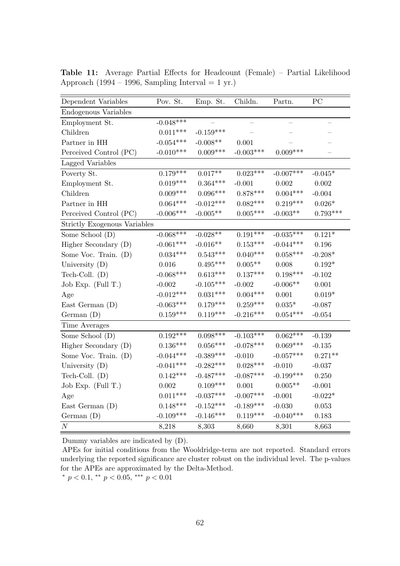| Dependent Variables                 | Pov. St.        | Emp. St.    | Childn.     | Partn.           | $\overline{PC}$ |
|-------------------------------------|-----------------|-------------|-------------|------------------|-----------------|
| Endogenous Variables                |                 |             |             |                  |                 |
| Employment St.                      | $-0.048***$     |             |             | —                |                 |
| Children                            | $0.011***$      | $-0.159***$ |             |                  |                 |
| Partner in HH                       | $-0.054***$     | $-0.008**$  | 0.001       |                  |                 |
| Perceived Control (PC)              | $-0.010***$     | $0.009***$  | $-0.003***$ | $0.009***$       |                 |
| Lagged Variables                    |                 |             |             |                  |                 |
| Poverty St.                         | $0.179***$      | $0.017**$   | $0.023***$  | $-0.007***$      | $-0.045*$       |
| Employment St.                      | $0.019***$      | $0.364***$  | $-0.001$    | 0.002            | 0.002           |
| Children                            | $0.009^{***}\,$ | $0.096***$  | $0.878***$  | $0.004***$       | $-0.004$        |
| Partner in HH                       | $0.064***$      | $-0.012***$ | $0.082***$  | $0.219***$       | $0.026^{\ast}$  |
| Perceived Control (PC)              | $-0.006***$     | $-0.005**$  | $0.005***$  | $-0.003**$       | $0.793***$      |
| <b>Strictly Exogenous Variables</b> |                 |             |             |                  |                 |
| Some School (D)                     | $-0.068***$     | $-0.028**$  | $0.191***$  | $-0.035^{***}\,$ | $0.121*$        |
| Higher Secondary (D)                | $-0.061***$     | $-0.016**$  | $0.153***$  | $-0.044***$      | 0.196           |
| Some Voc. Train. (D)                | $0.034***$      | $0.543***$  | $0.040***$  | $0.058***$       | $-0.208*$       |
| University $(D)$                    | 0.016           | $0.495***$  | $0.005**$   | 0.008            | $0.192*$        |
| Tech-Coll. $(D)$                    | $-0.068***$     | $0.613***$  | $0.137***$  | $0.198***$       | $-0.102$        |
| Job Exp. (Full T.)                  | $-0.002$        | $-0.105***$ | $-0.002$    | $-0.006**$       | 0.001           |
| Age                                 | $-0.012***$     | $0.031***$  | $0.004***$  | 0.001            | $0.019*$        |
| East German $(D)$                   | $-0.063***$     | $0.179***$  | $0.259***$  | $0.035*$         | $-0.087$        |
| German(D)                           | $0.159***$      | $0.119***$  | $-0.216***$ | $0.054***$       | $-0.054$        |
| Time Averages                       |                 |             |             |                  |                 |
| Some School (D)                     | $0.192***$      | $0.098***$  | $-0.103***$ | $0.062***$       | $-0.139$        |
| Higher Secondary (D)                | $0.136***$      | $0.056***$  | $-0.078***$ | $0.069***$       | $-0.135$        |
| Some Voc. Train. (D)                | $-0.044***$     | $-0.389***$ | $-0.010$    | $-0.057***$      | $0.271**$       |
| University $(D)$                    | $-0.041***$     | $-0.282***$ | $0.028***$  | $-0.010$         | $-0.037$        |
| Tech-Coll. $(D)$                    | $0.142***$      | $-0.487***$ | $-0.087***$ | $-0.199***$      | 0.250           |
| Job Exp. (Full T.)                  | 0.002           | $0.109***$  | $0.001\,$   | $0.005**$        | $-0.001$        |
| Age                                 | $0.011***$      | $-0.037***$ | $-0.007***$ | $-0.001$         | $-0.022*$       |
| East German $(D)$                   | $0.148***$      | $-0.152***$ | $-0.189***$ | $-0.030$         | 0.053           |
| German(D)                           | $-0.109***$     | $-0.146***$ | $0.119***$  | $-0.040***$      | 0.183           |
| $\cal N$                            | 8,218           | 8,303       | 8,660       | 8,301            | 8,663           |

Table 11: Average Partial Effects for Headcount (Female) – Partial Likelihood Approach (1994 – 1996, Sampling Interval = 1 yr.)

APEs for initial conditions from the Wooldridge-term are not reported. Standard errors underlying the reported significance are cluster robust on the individual level. The p-values for the APEs are approximated by the Delta-Method.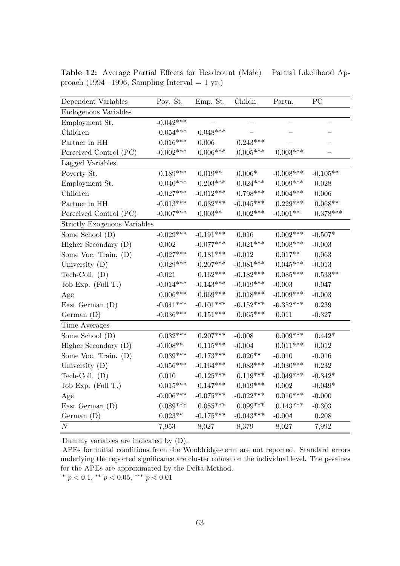| Dependent Variables                 | Pov. St.    | Emp. St.    | Childn.         | Partn.      | PC         |
|-------------------------------------|-------------|-------------|-----------------|-------------|------------|
| Endogenous Variables                |             |             |                 |             |            |
| Employment St.                      | $-0.042***$ |             |                 |             |            |
| Children                            | $0.054***$  | $0.048***$  |                 |             |            |
| Partner in HH                       | $0.016***$  | 0.006       | $0.243***$      |             |            |
| Perceived Control (PC)              | $-0.002***$ | $0.006***$  | $0.005^{***}\,$ | $0.003***$  |            |
| Lagged Variables                    |             |             |                 |             |            |
| Poverty St.                         | $0.189***$  | $0.019**$   | $0.006^{\ast}$  | $-0.008***$ | $-0.105**$ |
| Employment St.                      | $0.040***$  | $0.203***$  | $0.024***$      | $0.009***$  | 0.028      |
| Children                            | $-0.027***$ | $-0.012***$ | $0.798***$      | $0.004***$  | 0.006      |
| Partner in HH                       | $-0.013***$ | $0.032***$  | $-0.045***$     | $0.229***$  | $0.068**$  |
| Perceived Control (PC)              | $-0.007***$ | $0.003**$   | $0.002***$      | $-0.001**$  | $0.378***$ |
| <b>Strictly Exogenous Variables</b> |             |             |                 |             |            |
| Some School (D)                     | $-0.029***$ | $-0.191***$ | 0.016           | $0.002***$  | $-0.507*$  |
| Higher Secondary (D)                | 0.002       | $-0.077***$ | $0.021***$      | $0.008***$  | $-0.003$   |
| Some Voc. Train. (D)                | $-0.027***$ | $0.181***$  | $-0.012$        | $0.017**$   | 0.063      |
| University $(D)$                    | $0.029***$  | $0.207***$  | $-0.081***$     | $0.045***$  | $-0.013$   |
| Tech-Coll. $(D)$                    | $-0.021$    | $0.162***$  | $-0.182***$     | $0.085***$  | $0.533**$  |
| Job Exp. $(Full T.)$                | $-0.014***$ | $-0.143***$ | $-0.019***$     | $-0.003$    | 0.047      |
| Age                                 | $0.006***$  | $0.069***$  | $0.018***$      | $-0.009***$ | $-0.003$   |
| East German $(D)$                   | $-0.041***$ | $-0.101***$ | $-0.152***$     | $-0.352***$ | 0.239      |
| German $(D)$                        | $-0.036***$ | $0.151***$  | $0.065***$      | 0.011       | $-0.327$   |
| Time Averages                       |             |             |                 |             |            |
| Some School (D)                     | $0.032***$  | $0.207***$  | $-0.008$        | $0.009***$  | $0.442*$   |
| Higher Secondary (D)                | $-0.008**$  | $0.115***$  | $-0.004$        | $0.011***$  | 0.012      |
| Some Voc. Train. (D)                | $0.039***$  | $-0.173***$ | $0.026**$       | $-0.010$    | $-0.016$   |
| University $(D)$                    | $-0.056***$ | $-0.164***$ | $0.083***$      | $-0.030***$ | 0.232      |
| Tech-Coll. $(D)$                    | 0.010       | $-0.125***$ | $0.119***$      | $-0.049***$ | $-0.342*$  |
| Job Exp. (Full T.)                  | $0.015***$  | $0.147***$  | $0.019***$      | 0.002       | $-0.049*$  |
| Age                                 | $-0.006***$ | $-0.075***$ | $-0.022***$     | $0.010***$  | $-0.000$   |
| East German $(D)$                   | $0.089***$  | $0.055***$  | $0.099^{***}\,$ | $0.143***$  | $-0.303$   |
| German $(D)$                        | $0.023**$   | $-0.175***$ | $-0.043***$     | $-0.004$    | 0.208      |
| $\cal N$                            | 7,953       | 8,027       | 8,379           | 8,027       | 7,992      |

Table 12: Average Partial Effects for Headcount (Male) – Partial Likelihood Approach (1994 –1996, Sampling Interval = 1 yr.)

APEs for initial conditions from the Wooldridge-term are not reported. Standard errors underlying the reported significance are cluster robust on the individual level. The p-values for the APEs are approximated by the Delta-Method.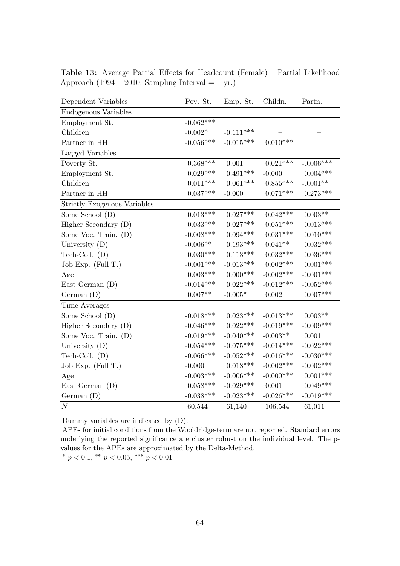| Dependent Variables          | Pov. St.                   | Emp. St.    | Childn.      | Partn.                   |
|------------------------------|----------------------------|-------------|--------------|--------------------------|
| Endogenous Variables         |                            |             |              |                          |
| Employment St.               | $-0.062***$                |             |              | $\overline{\phantom{0}}$ |
| Children                     | $-0.002*$                  | $-0.111***$ |              |                          |
| Partner in HH                | $-0.056***$                | $-0.015***$ | $0.010***$   |                          |
| Lagged Variables             |                            |             |              |                          |
| Poverty St.                  | $0.368***$                 | 0.001       | $0.021***$   | $-0.006***$              |
| Employment St.               | $0.029***$                 | $0.491***$  | $-0.000$     | $0.004***$               |
| Children                     | $0.011***$                 | $0.061***$  | $0.855***$   | $-0.001**$               |
| Partner in HH                | $0.037***$                 | $-0.000$    | $0.071***$   | $0.273***$               |
| Strictly Exogenous Variables |                            |             |              |                          |
| Some School (D)              | $0.013***$                 | $0.027***$  | $0.042***$   | $0.003^{**}$             |
| Higher Secondary (D)         | $0.033***$                 | $0.027***$  | $0.051***$   | $0.013***$               |
| Some Voc. Train. (D)         | $-0.008***$                | $0.094***$  | $0.031***$   | $0.010***$               |
| University $(D)$             | $\textnormal{-}0.006^{**}$ | $0.193***$  | $0.041**$    | $0.032***$               |
| Tech-Coll. (D)               | $0.030***$                 | $0.113***$  | $0.032***$   | $0.036***$               |
| Job Exp. $(Full T.)$         | $-0.001***$                | $-0.013***$ | $0.002***$   | $0.001***$               |
| Age                          | $0.003***$                 | $0.000***$  | $-0.002***$  | $-0.001***$              |
| East German $(D)$            | $-0.014***$                | $0.022***$  | $-0.012***$  | $-0.052***$              |
| German(D)                    | $0.007**$                  | $-0.005*$   | 0.002        | $0.007***$               |
| Time Averages                |                            |             |              |                          |
| Some School (D)              | $-0.018***$                | $0.023***$  | $-0.013***$  | $0.003^{\ast\ast}$       |
| Higher Secondary (D)         | $-0.046***$                | $0.022***$  | $-0.019***$  | $-0.009***$              |
| Some Voc. Train. (D)         | $-0.019***$                | $-0.040***$ | $-0.003**$   | 0.001                    |
| University $(D)$             | $-0.054***$                | $-0.075***$ | $-0.014***$  | $-0.022***$              |
| Tech-Coll. (D)               | $-0.066***$                | $-0.052***$ | $-0.016***$  | $-0.030***$              |
| Job Exp. $(Full T.)$         | $-0.000$                   | $0.018***$  | $-0.002***$  | $-0.002***$              |
| Age                          | $-0.003***$                | $-0.006***$ | $-0.000$ *** | $0.001***$               |
| East German $(D)$            | $0.058***$                 | $-0.029***$ | 0.001        | $0.049***$               |
| German(D)                    | $-0.038***$                | $-0.023***$ | $-0.026***$  | $-0.019***$              |
| $\cal N$                     | 60,544                     | 61,140      | 106,544      | 61,011                   |

Table 13: Average Partial Effects for Headcount (Female) – Partial Likelihood Approach (1994 – 2010, Sampling Interval = 1 yr.)

APEs for initial conditions from the Wooldridge-term are not reported. Standard errors underlying the reported significance are cluster robust on the individual level. The pvalues for the APEs are approximated by the Delta-Method.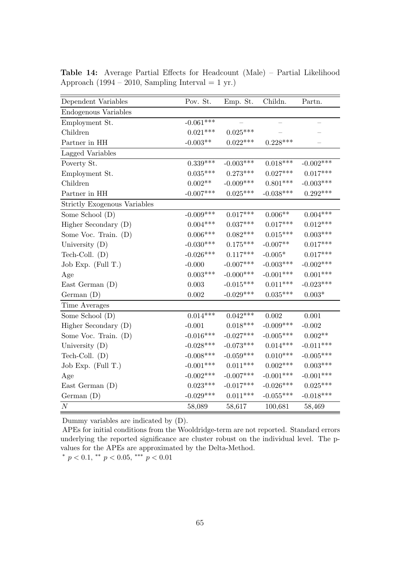| Dependent Variables          | Pov. St.        | Emp. St.    | Childn.     | Partn.                   |
|------------------------------|-----------------|-------------|-------------|--------------------------|
| Endogenous Variables         |                 |             |             |                          |
| Employment St.               | $-0.061***$     |             |             | $\overline{\phantom{0}}$ |
| Children                     | $0.021***$      | $0.025***$  |             |                          |
| Partner in HH                | $-0.003**$      | $0.022***$  | $0.228***$  |                          |
| Lagged Variables             |                 |             |             |                          |
| Poverty St.                  | $0.339^{***}\;$ | $-0.003***$ | $0.018***$  | $-0.002***$              |
| Employment St.               | $0.035***$      | $0.273***$  | $0.027***$  | $0.017***$               |
| Children                     | $0.002^{**}$    | $-0.009***$ | $0.801***$  | $-0.003***$              |
| Partner in HH                | $-0.007***$     | $0.025***$  | $-0.038***$ | $0.292***$               |
| Strictly Exogenous Variables |                 |             |             |                          |
| Some School (D)              | $-0.009***$     | $0.017***$  | $0.006**$   | $0.004***$               |
| Higher Secondary (D)         | $0.004***$      | $0.037***$  | $0.017***$  | $0.012***$               |
| Some Voc. Train. (D)         | $0.006^{***}\;$ | $0.082***$  | $0.015***$  | $0.003^{***}\,$          |
| University $(D)$             | $-0.030***$     | $0.175***$  | $-0.007**$  | $0.017***$               |
| Tech-Coll. $(D)$             | $-0.026***$     | $0.117***$  | $-0.005*$   | $0.017***$               |
| Job Exp. $(Full T.)$         | $-0.000$        | $-0.007***$ | $-0.003***$ | $-0.002***$              |
| Age                          | $0.003***$      | $-0.000***$ | $-0.001***$ | $0.001***$               |
| East German $(D)$            | 0.003           | $-0.015***$ | $0.011***$  | $-0.023***$              |
| German(D)                    | 0.002           | $-0.029***$ | $0.035***$  | $0.003*$                 |
| Time Averages                |                 |             |             |                          |
| Some School (D)              | $0.014***$      | $0.042***$  | $0.002\,$   | 0.001                    |
| Higher Secondary (D)         | $-0.001$        | $0.018***$  | $-0.009***$ | $-0.002$                 |
| Some Voc. Train. (D)         | $-0.016***$     | $-0.027***$ | $-0.005***$ | $0.002**$                |
| University $(D)$             | $-0.028***$     | $-0.073***$ | $0.014***$  | $-0.011***$              |
| Tech-Coll. $(D)$             | $-0.008***$     | $-0.059***$ | $0.010***$  | $-0.005***$              |
| Job Exp. $(Full T.)$         | $-0.001***$     | $0.011***$  | $0.002***$  | $0.003***$               |
| Age                          | $-0.002***$     | $-0.007***$ | $-0.001***$ | $-0.001***$              |
| East German (D)              | $0.023***$      | $-0.017***$ | $-0.026***$ | $0.025***$               |
| German(D)                    | $-0.029***$     | $0.011***$  | $-0.055***$ | $-0.018***$              |
| $\cal N$                     | 58,089          | 58,617      | 100,681     | 58,469                   |

Table 14: Average Partial Effects for Headcount (Male) – Partial Likelihood Approach (1994 – 2010, Sampling Interval = 1 yr.)

APEs for initial conditions from the Wooldridge-term are not reported. Standard errors underlying the reported significance are cluster robust on the individual level. The pvalues for the APEs are approximated by the Delta-Method.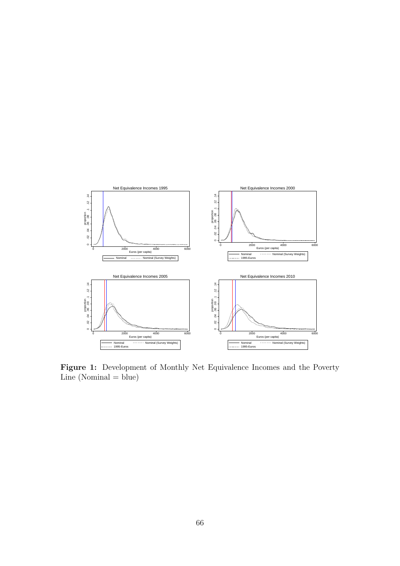

Figure 1: Development of Monthly Net Equivalence Incomes and the Poverty  $Line (Nominal = blue)$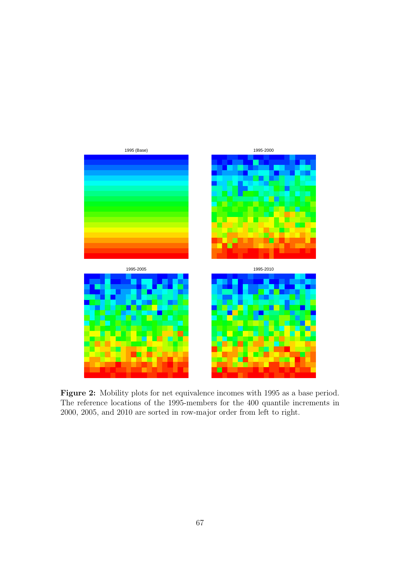

Figure 2: Mobility plots for net equivalence incomes with 1995 as a base period. The reference locations of the 1995-members for the 400 quantile increments in 2000, 2005, and 2010 are sorted in row-major order from left to right.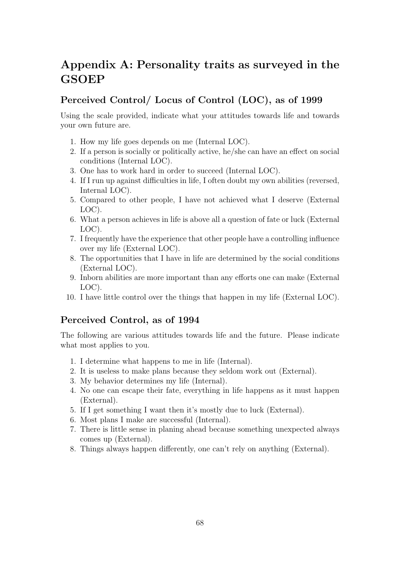## Appendix A: Personality traits as surveyed in the **GSOEP**

### Perceived Control/ Locus of Control (LOC), as of 1999

Using the scale provided, indicate what your attitudes towards life and towards your own future are.

- 1. How my life goes depends on me (Internal LOC).
- 2. If a person is socially or politically active, he/she can have an effect on social conditions (Internal LOC).
- 3. One has to work hard in order to succeed (Internal LOC).
- 4. If I run up against difficulties in life, I often doubt my own abilities (reversed, Internal LOC).
- 5. Compared to other people, I have not achieved what I deserve (External LOC).
- 6. What a person achieves in life is above all a question of fate or luck (External LOC).
- 7. I frequently have the experience that other people have a controlling influence over my life (External LOC).
- 8. The opportunities that I have in life are determined by the social conditions (External LOC).
- 9. Inborn abilities are more important than any efforts one can make (External LOC).
- 10. I have little control over the things that happen in my life (External LOC).

### Perceived Control, as of 1994

The following are various attitudes towards life and the future. Please indicate what most applies to you.

- 1. I determine what happens to me in life (Internal).
- 2. It is useless to make plans because they seldom work out (External).
- 3. My behavior determines my life (Internal).
- 4. No one can escape their fate, everything in life happens as it must happen (External).
- 5. If I get something I want then it's mostly due to luck (External).
- 6. Most plans I make are successful (Internal).
- 7. There is little sense in planing ahead because something unexpected always comes up (External).
- 8. Things always happen differently, one can't rely on anything (External).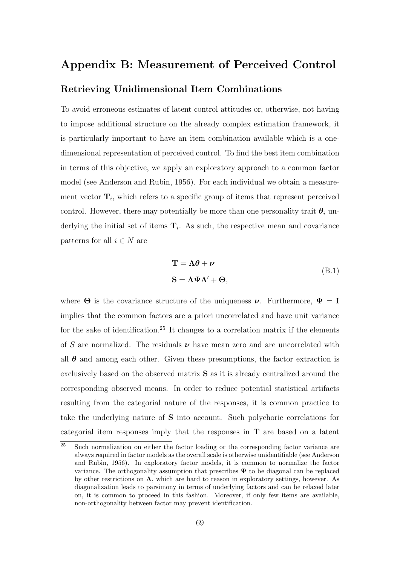### Appendix B: Measurement of Perceived Control

### Retrieving Unidimensional Item Combinations

To avoid erroneous estimates of latent control attitudes or, otherwise, not having to impose additional structure on the already complex estimation framework, it is particularly important to have an item combination available which is a onedimensional representation of perceived control. To find the best item combination in terms of this objective, we apply an exploratory approach to a common factor model (see Anderson and Rubin, 1956). For each individual we obtain a measurement vector  $\mathbf{T}_i$ , which refers to a specific group of items that represent perceived control. However, there may potentially be more than one personality trait  $\theta_i$  underlying the initial set of items  $\mathbf{T}_i$ . As such, the respective mean and covariance patterns for all  $i \in N$  are

$$
\mathbf{T} = \mathbf{\Lambda}\boldsymbol{\theta} + \boldsymbol{\nu}
$$
  
\n
$$
\mathbf{S} = \mathbf{\Lambda}\boldsymbol{\Psi}\mathbf{\Lambda}' + \boldsymbol{\Theta},
$$
 (B.1)

where  $\Theta$  is the covariance structure of the uniqueness  $\nu$ . Furthermore,  $\Psi = I$ implies that the common factors are a priori uncorrelated and have unit variance for the sake of identification.<sup>25</sup> It changes to a correlation matrix if the elements of S are normalized. The residuals  $\nu$  have mean zero and are uncorrelated with all  $\theta$  and among each other. Given these presumptions, the factor extraction is exclusively based on the observed matrix S as it is already centralized around the corresponding observed means. In order to reduce potential statistical artifacts resulting from the categorial nature of the responses, it is common practice to take the underlying nature of S into account. Such polychoric correlations for categorial item responses imply that the responses in T are based on a latent

 $\frac{25}{25}$  Such normalization on either the factor loading or the corresponding factor variance are always required in factor models as the overall scale is otherwise unidentifiable (see Anderson and Rubin, 1956). In exploratory factor models, it is common to normalize the factor variance. The orthogonality assumption that prescribes  $\Psi$  to be diagonal can be replaced by other restrictions on  $\Lambda$ , which are hard to reason in exploratory settings, however. As diagonalization leads to parsimony in terms of underlying factors and can be relaxed later on, it is common to proceed in this fashion. Moreover, if only few items are available, non-orthogonality between factor may prevent identification.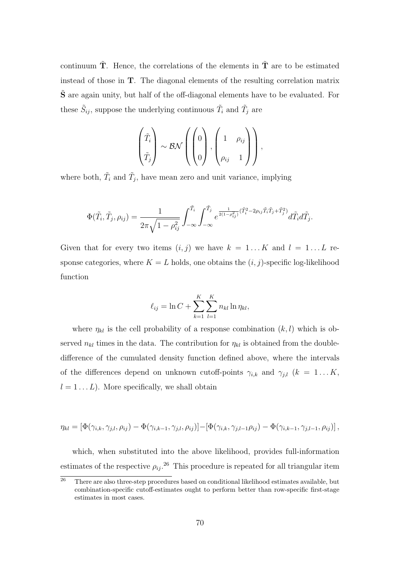continuum  $\tilde{T}$ . Hence, the correlations of the elements in  $\tilde{T}$  are to be estimated instead of those in T. The diagonal elements of the resulting correlation matrix  $\tilde{\mathbf{S}}$  are again unity, but half of the off-diagonal elements have to be evaluated. For these  $\tilde{S}_{ij}$ , suppose the underlying continuous  $\tilde{T}_i$  and  $\tilde{T}_j$  are

$$
\begin{pmatrix} \tilde{T}_i \\ \tilde{T}_j \end{pmatrix} \sim \mathcal{BN}\left(\begin{pmatrix} 0 \\ 0 \\ 0 \end{pmatrix}, \begin{pmatrix} 1 & \rho_{ij} \\ \rho_{ij} & 1 \end{pmatrix}\right),
$$

where both,  $\tilde{T}_i$  and  $\tilde{T}_j$ , have mean zero and unit variance, implying

$$
\Phi(\tilde{T}_i, \tilde{T}_j, \rho_{ij}) = \frac{1}{2\pi\sqrt{1-\rho_{ij}^2}} \int_{-\infty}^{\tilde{T}_i} \int_{-\infty}^{\tilde{T}_j} e^{\frac{1}{2(1-\rho_{ij}^2)}(\tilde{T}_i^2 - 2\rho_{ij}\tilde{T}_i\tilde{T}_j + \tilde{T}_j^2)} d\tilde{T}_i d\tilde{T}_j.
$$

Given that for every two items  $(i, j)$  we have  $k = 1...K$  and  $l = 1...L$  response categories, where  $K = L$  holds, one obtains the  $(i, j)$ -specific log-likelihood function

$$
\ell_{ij} = \ln C + \sum_{k=1}^{K} \sum_{l=1}^{K} n_{kl} \ln \eta_{kl},
$$

where  $\eta_{kl}$  is the cell probability of a response combination  $(k, l)$  which is observed  $n_{kl}$  times in the data. The contribution for  $\eta_{kl}$  is obtained from the doubledifference of the cumulated density function defined above, where the intervals of the differences depend on unknown cutoff-points  $\gamma_{i,k}$  and  $\gamma_{j,l}$  ( $k = 1...K$ ,  $l = 1...L$ ). More specifically, we shall obtain

$$
\eta_{kl} = \left[\Phi(\gamma_{i,k},\gamma_{j,l},\rho_{ij}) - \Phi(\gamma_{i,k-1},\gamma_{j,l},\rho_{ij})\right] - \left[\Phi(\gamma_{i,k},\gamma_{j,l-1}\rho_{ij}) - \Phi(\gamma_{i,k-1},\gamma_{j,l-1},\rho_{ij})\right],
$$

which, when substituted into the above likelihood, provides full-information estimates of the respective  $\rho_{ij}$ .<sup>26</sup> This procedure is repeated for all triangular item

 $\overline{26}$  There are also three-step procedures based on conditional likelihood estimates available, but combination-specific cutoff-estimates ought to perform better than row-specific first-stage estimates in most cases.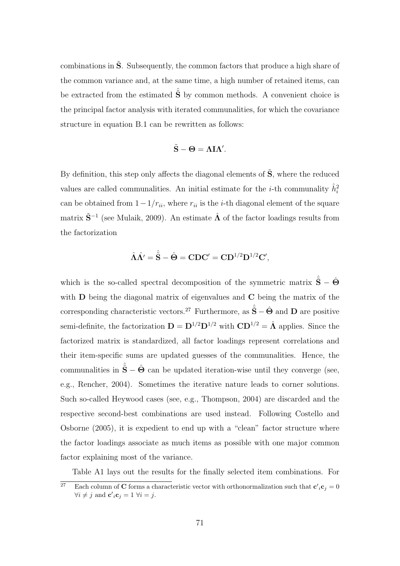combinations in  $\tilde{S}$ . Subsequently, the common factors that produce a high share of the common variance and, at the same time, a high number of retained items, can be extracted from the estimated  $\hat{\tilde{S}}$  by common methods. A convenient choice is the principal factor analysis with iterated communalities, for which the covariance structure in equation B.1 can be rewritten as follows:

$$
\tilde{S}-\Theta=\Lambda I\Lambda'.
$$

By definition, this step only affects the diagonal elements of  $\tilde{S}$ , where the reduced values are called communalities. An initial estimate for the *i*-th communality  $\hat{h}_i^2$ can be obtained from  $1-1/r_{ii}$ , where  $r_{ii}$  is the *i*-th diagonal element of the square matrix  $\tilde{\mathbf{S}}^{-1}$  (see Mulaik, 2009). An estimate  $\hat{\mathbf{\Lambda}}$  of the factor loadings results from the factorization

$$
\hat{\Lambda}\hat{\Lambda'}=\hat{\tilde{\mathbf{S}}}-\hat{\mathbf{\Theta}}=\mathbf{CDC'}=\mathbf{CD}^{1/2}\mathbf{D}^{1/2}\mathbf{C'},
$$

which is the so-called spectral decomposition of the symmetric matrix  $\hat{\tilde{S}} - \hat{\Theta}$ with **D** being the diagonal matrix of eigenvalues and **C** being the matrix of the corresponding characteristic vectors.<sup>27</sup> Furthermore, as  $\hat{\tilde{S}} - \hat{\Theta}$  and **D** are positive semi-definite, the factorization  $\mathbf{D} = \mathbf{D}^{1/2} \mathbf{D}^{1/2}$  with  $\mathbf{C} \mathbf{D}^{1/2} = \hat{\mathbf{\Lambda}}$  applies. Since the factorized matrix is standardized, all factor loadings represent correlations and their item-specific sums are updated guesses of the communalities. Hence, the communalities in  $\hat{\tilde{\mathbf{S}}} - \hat{\mathbf{\Theta}}$  can be updated iteration-wise until they converge (see, e.g., Rencher, 2004). Sometimes the iterative nature leads to corner solutions. Such so-called Heywood cases (see, e.g., Thompson, 2004) are discarded and the respective second-best combinations are used instead. Following Costello and Osborne (2005), it is expedient to end up with a "clean" factor structure where the factor loadings associate as much items as possible with one major common factor explaining most of the variance.

Table A1 lays out the results for the finally selected item combinations. For

<sup>&</sup>lt;sup>27</sup> Each column of **C** forms a characteristic vector with orthonormalization such that  $c'_{i}c_{j} = 0$  $\forall i \neq j$  and  $\mathbf{c}'_i \mathbf{c}_j = 1 \ \forall i = j$ .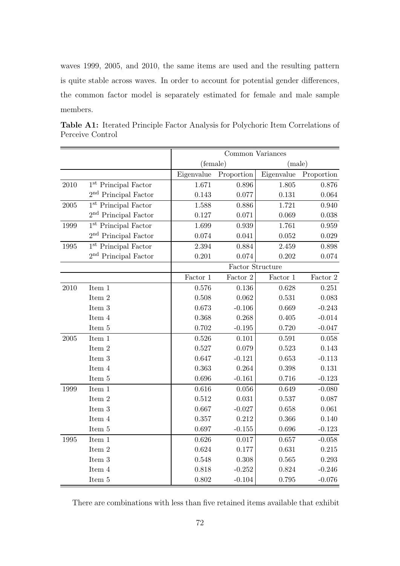waves 1999, 2005, and 2010, the same items are used and the resulting pattern is quite stable across waves. In order to account for potential gender differences, the common factor model is separately estimated for female and male sample members.

|            |                                  | Common Variances |            |            |              |
|------------|----------------------------------|------------------|------------|------------|--------------|
|            |                                  | (female)         |            | (male)     |              |
|            |                                  | Eigenvalue       | Proportion | Eigenvalue | Proportion   |
| 2010       | 1 <sup>st</sup> Principal Factor | 1.671            | 0.896      | 1.805      | 0.876        |
|            | $2nd$ Principal Factor           | 0.143            | 0.077      | 0.131      | $\,0.064\,$  |
| $\,2005\,$ | 1 <sup>st</sup> Principal Factor | 1.588            | 0.886      | 1.721      | 0.940        |
|            | $2nd$ Principal Factor           | 0.127            | 0.071      | 0.069      | 0.038        |
| 1999       | $1st$ Principal Factor           | 1.699            | 0.939      | 1.761      | 0.959        |
|            | 2 <sup>nd</sup> Principal Factor | 0.074            | 0.041      | 0.052      | 0.029        |
| 1995       | $1st$ Principal Factor           | 2.394            | 0.884      | 2.459      | 0.898        |
|            | $2^{\rm nd}$ Principal Factor    | 0.201            | 0.074      | 0.202      | 0.074        |
|            |                                  | Factor Structure |            |            |              |
|            |                                  | Factor 1         | Factor 2   | Factor 1   | Factor $2\,$ |
| 2010       | Item 1                           | 0.576            | 0.136      | 0.628      | 0.251        |
|            | Item 2                           | 0.508            | 0.062      | 0.531      | 0.083        |
|            | Item 3                           | 0.673            | $-0.106$   | 0.669      | $-0.243$     |
|            | Item 4                           | 0.368            | 0.268      | 0.405      | $-0.014$     |
|            | Item 5                           | 0.702            | $-0.195$   | 0.720      | $-0.047$     |
| $\,2005\,$ | Item 1                           | 0.526            | 0.101      | 0.591      | 0.058        |
|            | Item 2                           | 0.527            | 0.079      | 0.523      | 0.143        |
|            | Item 3                           | 0.647            | $-0.121$   | 0.653      | $-0.113$     |
|            | Item 4                           | 0.363            | 0.264      | 0.398      | $\rm 0.131$  |
|            | Item 5                           | 0.696            | $-0.161$   | 0.716      | $-0.123$     |
| 1999       | Item 1                           | 0.616            | 0.056      | 0.649      | $-0.080$     |
|            | Item 2                           | 0.512            | 0.031      | 0.537      | 0.087        |
|            | Item 3                           | 0.667            | $-0.027$   | 0.658      | 0.061        |
|            | Item 4                           | 0.357            | 0.212      | 0.366      | 0.140        |
|            | Item 5                           | 0.697            | $-0.155$   | 0.696      | $-0.123$     |
| 1995       | Item $1$                         | 0.626            | 0.017      | 0.657      | $-0.058$     |
|            | Item 2                           | 0.624            | 0.177      | 0.631      | 0.215        |
|            | Item 3                           | 0.548            | 0.308      | 0.565      | 0.293        |
|            | Item 4                           | 0.818            | $-0.252$   | 0.824      | $-0.246$     |
|            | Item 5                           | 0.802            | $-0.104$   | 0.795      | $-0.076$     |

Table A1: Iterated Principle Factor Analysis for Polychoric Item Correlations of Perceive Control

There are combinations with less than five retained items available that exhibit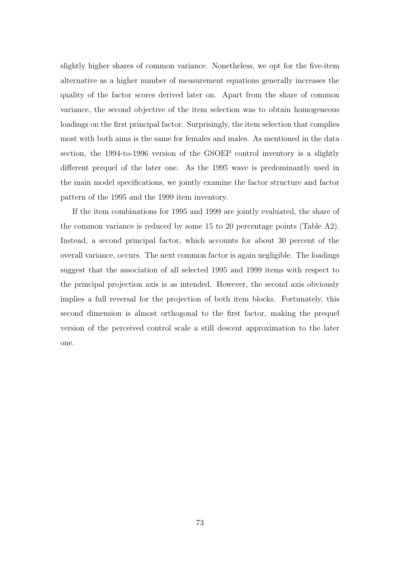slightly higher shares of common variance. Nonetheless, we opt for the five-item alternative as a higher number of measurement equations generally increases the quality of the factor scores derived later on. Apart from the share of common variance, the second objective of the item selection was to obtain homogeneous loadings on the first principal factor. Surprisingly, the item selection that complies most with both aims is the same for females and males. As mentioned in the data section, the 1994-to-1996 version of the GSOEP control inventory is a slightly different prequel of the later one. As the 1995 wave is predominantly used in the main model specifications, we jointly examine the factor structure and factor pattern of the 1995 and the 1999 item inventory.

If the item combinations for 1995 and 1999 are jointly evaluated, the share of the common variance is reduced by some 15 to 20 percentage points (Table A2). Instead, a second principal factor, which accounts for about 30 percent of the overall variance, occurs. The next common factor is again negligible. The loadings suggest that the association of all selected 1995 and 1999 items with respect to the principal projection axis is as intended. However, the second axis obviously implies a full reversal for the projection of both item blocks. Fortunately, this second dimension is almost orthogonal to the first factor, making the prequel version of the perceived control scale a still descent approximation to the later one.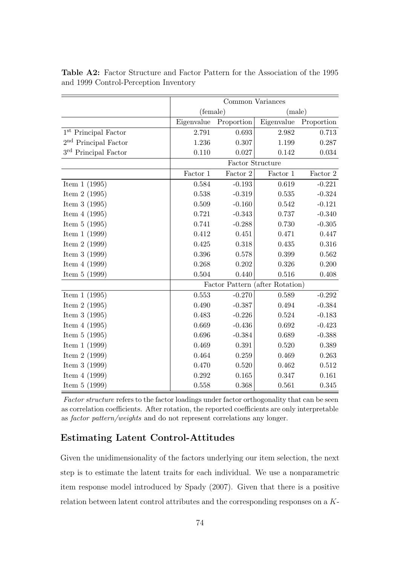|                                  | Common Variances                |            |              |            |
|----------------------------------|---------------------------------|------------|--------------|------------|
|                                  | (female)                        |            | (male)       |            |
|                                  | Eigenvalue                      | Proportion | Eigenvalue   | Proportion |
| 1 <sup>st</sup> Principal Factor | 2.791                           | 0.693      | 2.982        | 0.713      |
| $2nd$ Principal Factor           | 1.236                           | 0.307      | 1.199        | 0.287      |
| $3rd$ Principal Factor           | 0.110                           | 0.027      | 0.142        | 0.034      |
|                                  | Factor Structure                |            |              |            |
|                                  | Factor 1                        | Factor $2$ | Factor $1\,$ | Factor 2   |
| Item $1(1995)$                   | 0.584                           | $-0.193$   | 0.619        | $-0.221$   |
| Item $2(1995)$                   | 0.538                           | $-0.319$   | 0.535        | $-0.324$   |
| Item $3(1995)$                   | 0.509                           | $-0.160$   | 0.542        | $-0.121$   |
| Item $4(1995)$                   | 0.721                           | $-0.343$   | 0.737        | $-0.340$   |
| Item $5(1995)$                   | 0.741                           | $-0.288$   | 0.730        | $-0.305$   |
| Item $1(1999)$                   | 0.412                           | 0.451      | 0.471        | 0.447      |
| Item $2(1999)$                   | 0.425                           | 0.318      | 0.435        | 0.316      |
| Item $3(1999)$                   | 0.396                           | 0.578      | 0.399        | 0.562      |
| Item $4(1999)$                   | 0.268                           | 0.202      | 0.326        | 0.200      |
| Item $5(1999)$                   | 0.504                           | 0.440      | 0.516        | 0.408      |
|                                  | Factor Pattern (after Rotation) |            |              |            |
| Item $1(1995)$                   | 0.553                           | $-0.270$   | 0.589        | $-0.292$   |
| Item $2(1995)$                   | 0.490                           | $-0.387$   | 0.494        | $-0.384$   |
| Item $3(1995)$                   | 0.483                           | $-0.226$   | 0.524        | $-0.183$   |
| Item $4(1995)$                   | 0.669                           | $-0.436$   | 0.692        | $-0.423$   |
| Item $5(1995)$                   | 0.696                           | $-0.384$   | 0.689        | $-0.388$   |
| Item $1(1999)$                   | 0.469                           | 0.391      | 0.520        | 0.389      |
| Item $2(1999)$                   | 0.464                           | 0.259      | 0.469        | 0.263      |
| Item $3(1999)$                   | 0.470                           | 0.520      | 0.462        | 0.512      |
| Item $4(1999)$                   | 0.292                           | 0.165      | 0.347        | 0.161      |
| Item $5(1999)$                   | 0.558                           | 0.368      | 0.561        | 0.345      |

Table A2: Factor Structure and Factor Pattern for the Association of the 1995 and 1999 Control-Perception Inventory

Factor structure refers to the factor loadings under factor orthogonality that can be seen as correlation coefficients. After rotation, the reported coefficients are only interpretable as factor pattern/weights and do not represent correlations any longer.

## Estimating Latent Control-Attitudes

Given the unidimensionality of the factors underlying our item selection, the next step is to estimate the latent traits for each individual. We use a nonparametric item response model introduced by Spady (2007). Given that there is a positive relation between latent control attributes and the corresponding responses on a K-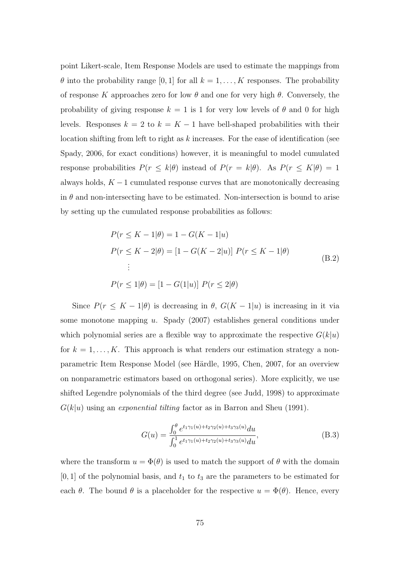point Likert-scale, Item Response Models are used to estimate the mappings from  $\theta$  into the probability range [0, 1] for all  $k = 1, ..., K$  responses. The probability of response K approaches zero for low  $\theta$  and one for very high  $\theta$ . Conversely, the probability of giving response  $k = 1$  is 1 for very low levels of  $\theta$  and 0 for high levels. Responses  $k = 2$  to  $k = K - 1$  have bell-shaped probabilities with their location shifting from left to right as  $k$  increases. For the ease of identification (see Spady, 2006, for exact conditions) however, it is meaningful to model cumulated response probabilities  $P(r \le k|\theta)$  instead of  $P(r = k|\theta)$ . As  $P(r \le K|\theta) = 1$ always holds,  $K - 1$  cumulated response curves that are monotonically decreasing in  $\theta$  and non-intersecting have to be estimated. Non-intersection is bound to arise by setting up the cumulated response probabilities as follows:

$$
P(r \le K - 1|\theta) = 1 - G(K - 1|u)
$$
  
\n
$$
P(r \le K - 2|\theta) = [1 - G(K - 2|u)] \ P(r \le K - 1|\theta)
$$
  
\n
$$
\vdots
$$
  
\n
$$
P(r \le 1|\theta) = [1 - G(1|u)] \ P(r \le 2|\theta)
$$
\n(B.2)

Since  $P(r \leq K - 1|\theta)$  is decreasing in  $\theta$ ,  $G(K - 1|u)$  is increasing in it via some monotone mapping u. Spady (2007) establishes general conditions under which polynomial series are a flexible way to approximate the respective  $G(k|u)$ for  $k = 1, ..., K$ . This approach is what renders our estimation strategy a nonparametric Item Response Model (see Härdle, 1995, Chen, 2007, for an overview on nonparametric estimators based on orthogonal series). More explicitly, we use shifted Legendre polynomials of the third degree (see Judd, 1998) to approximate  $G(k|u)$  using an *exponential tilting* factor as in Barron and Sheu (1991).

$$
G(u) = \frac{\int_0^{\theta} e^{t_1 \gamma_1(u) + t_2 \gamma_2(u) + t_3 \gamma_3(u)} du}{\int_0^1 e^{t_1 \gamma_1(u) + t_2 \gamma_2(u) + t_3 \gamma_3(u)} du},
$$
\n(B.3)

where the transform  $u = \Phi(\theta)$  is used to match the support of  $\theta$  with the domain  $[0, 1]$  of the polynomial basis, and  $t_1$  to  $t_3$  are the parameters to be estimated for each  $\theta$ . The bound  $\theta$  is a placeholder for the respective  $u = \Phi(\theta)$ . Hence, every